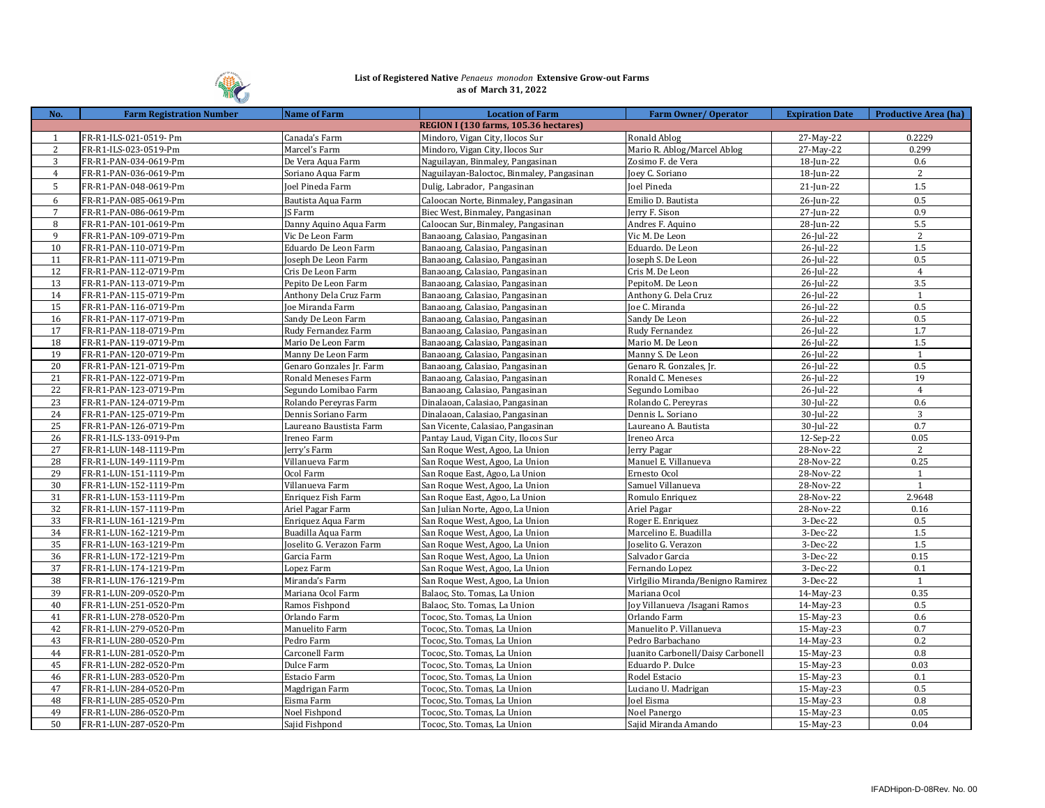

## **List of Registered Native** *Penaeus monodon* **Extensive Grow-out Farms as of March 31, 2022**

| No.             | <b>Farm Registration Number</b> | <b>Name of Farm</b>      | <b>Location of Farm</b>                   | Farm Owner/Operator               | <b>Expiration Date</b> | <b>Productive Area (ha)</b> |
|-----------------|---------------------------------|--------------------------|-------------------------------------------|-----------------------------------|------------------------|-----------------------------|
|                 |                                 |                          | REGION I (130 farms, 105.36 hectares)     |                                   |                        |                             |
| 1               | FR-R1-ILS-021-0519- Pm          | Canada's Farm            | Mindoro, Vigan City, Ilocos Sur           | Ronald Ablog                      | 27-May-22              | 0.2229                      |
| 2               | FR-R1-ILS-023-0519-Pm           | Marcel's Farm            | Mindoro, Vigan City, Ilocos Sur           | Mario R. Ablog/Marcel Ablog       | 27-May-22              | 0.299                       |
| 3               | FR-R1-PAN-034-0619-Pm           | De Vera Aqua Farm        | Naguilayan, Binmaley, Pangasinan          | Zosimo F. de Vera                 | 18-Jun-22              | 0.6                         |
| $\overline{4}$  | FR-R1-PAN-036-0619-Pm           | Soriano Aqua Farm        | Naguilayan-Baloctoc, Binmaley, Pangasinan | Joey C. Soriano                   | 18-Jun-22              | 2                           |
| 5               | FR-R1-PAN-048-0619-Pm           | Joel Pineda Farm         | Dulig, Labrador, Pangasinan               | Joel Pineda                       | 21-Jun-22              | 1.5                         |
| 6               | FR-R1-PAN-085-0619-Pm           | Bautista Aqua Farm       | Caloocan Norte, Binmaley, Pangasinan      | Emilio D. Bautista                | 26-Jun-22              | 0.5                         |
| $7\overline{ }$ | FR-R1-PAN-086-0619-Pm           | <b>IS Farm</b>           | Biec West, Binmaley, Pangasinan           | Jerry F. Sison                    | 27-Jun-22              | 0.9                         |
| 8               | FR-R1-PAN-101-0619-Pm           | Danny Aquino Aqua Farm   | Caloocan Sur, Binmaley, Pangasinan        | Andres F. Aquino                  | 28-Jun-22              | 5.5                         |
| 9               | FR-R1-PAN-109-0719-Pm           | Vic De Leon Farm         | Banaoang, Calasiao, Pangasinan            | Vic M. De Leon                    | 26-Jul-22              | 2                           |
| 10              | FR-R1-PAN-110-0719-Pm           | Eduardo De Leon Farm     | Banaoang, Calasiao, Pangasinan            | Eduardo. De Leon                  | 26-Jul-22              | 1.5                         |
| 11              | FR-R1-PAN-111-0719-Pm           | Joseph De Leon Farm      | Banaoang, Calasiao, Pangasinan            | Joseph S. De Leon                 | 26-Jul-22              | 0.5                         |
| 12              | FR-R1-PAN-112-0719-Pm           | Cris De Leon Farm        | Banaoang, Calasiao, Pangasinan            | Cris M. De Leon                   | 26-Jul-22              | $\overline{4}$              |
| 13              | FR-R1-PAN-113-0719-Pm           | Pepito De Leon Farm      | Banaoang, Calasiao, Pangasinan            | PepitoM. De Leon                  | 26-Jul-22              | 3.5                         |
| 14              | FR-R1-PAN-115-0719-Pm           | Anthony Dela Cruz Farm   | Banaoang, Calasiao, Pangasinan            | Anthony G. Dela Cruz              | 26-Jul-22              | $\mathbf{1}$                |
| 15              | FR-R1-PAN-116-0719-Pm           | Joe Miranda Farm         | Banaoang, Calasiao, Pangasinan            | Joe C. Miranda                    | 26-Jul-22              | 0.5                         |
| 16              | FR-R1-PAN-117-0719-Pm           | Sandy De Leon Farm       | Banaoang, Calasiao, Pangasinan            | Sandy De Leon                     | 26-Jul-22              | 0.5                         |
| 17              | FR-R1-PAN-118-0719-Pm           | Rudy Fernandez Farm      | Banaoang, Calasiao, Pangasinan            | Rudy Fernandez                    | 26-Jul-22              | 1.7                         |
| 18              | FR-R1-PAN-119-0719-Pm           | Mario De Leon Farm       | Banaoang, Calasiao, Pangasinan            | Mario M. De Leon                  | 26-Jul-22              | 1.5                         |
| 19              | FR-R1-PAN-120-0719-Pm           | Manny De Leon Farm       | Banaoang, Calasiao, Pangasinan            | Manny S. De Leon                  | 26-Jul-22              | $\mathbf{1}$                |
| 20              | FR-R1-PAN-121-0719-Pm           | Genaro Gonzales Jr. Farm | Banaoang, Calasiao, Pangasinan            | Genaro R. Gonzales, Jr.           | 26-Jul-22              | $0.5\,$                     |
| 21              | FR-R1-PAN-122-0719-Pm           | Ronald Meneses Farm      | Banaoang, Calasiao, Pangasinan            | Ronald C. Meneses                 | 26-Jul-22              | 19                          |
| 22              | FR-R1-PAN-123-0719-Pm           | Segundo Lomibao Farm     | Banaoang, Calasiao, Pangasinan            | Segundo Lomibao                   | 26-Jul-22              | $\overline{4}$              |
| 23              | FR-R1-PAN-124-0719-Pm           | Rolando Pereyras Farm    | Dinalaoan, Calasiao, Pangasinan           | Rolando C. Pereyras               | 30-Jul-22              | 0.6                         |
| 24              | FR-R1-PAN-125-0719-Pm           | Dennis Soriano Farm      | Dinalaoan, Calasiao, Pangasinan           | Dennis L. Soriano                 | 30-Jul-22              | 3                           |
| 25              | FR-R1-PAN-126-0719-Pm           | Laureano Baustista Farm  | San Vicente, Calasiao, Pangasinan         | Laureano A. Bautista              | 30-Jul-22              | 0.7                         |
| 26              | FR-R1-ILS-133-0919-Pm           | Ireneo Farm              | Pantay Laud, Vigan City, Ilocos Sur       | Ireneo Arca                       | 12-Sep-22              | 0.05                        |
| 27              | FR-R1-LUN-148-1119-Pm           | Jerry's Farm             | San Roque West, Agoo, La Union            | Jerry Pagar                       | 28-Nov-22              | 2                           |
| 28              | FR-R1-LUN-149-1119-Pm           | Villanueva Farm          | San Roque West, Agoo, La Union            | Manuel E. Villanueva              | 28-Nov-22              | 0.25                        |
| 29              | FR-R1-LUN-151-1119-Pm           | Ocol Farm                | San Roque East, Agoo, La Union            | Ernesto Ocol                      | 28-Nov-22              | 1                           |
| 30              | FR-R1-LUN-152-1119-Pm           | Villanueva Farm          | San Roque West, Agoo, La Union            | Samuel Villanueva                 | 28-Nov-22              | $\mathbf{1}$                |
| 31              | FR-R1-LUN-153-1119-Pm           | Enriquez Fish Farm       | San Roque East, Agoo, La Union            | Romulo Enriquez                   | 28-Nov-22              | 2.9648                      |
| 32              | FR-R1-LUN-157-1119-Pm           | Ariel Pagar Farm         | San Julian Norte, Agoo, La Union          | Ariel Pagar                       | 28-Nov-22              | 0.16                        |
| 33              | FR-R1-LUN-161-1219-Pm           | Enriquez Aqua Farm       | San Roque West, Agoo, La Union            | Roger E. Enriquez                 | 3-Dec-22               | 0.5                         |
| 34              | FR-R1-LUN-162-1219-Pm           | Buadilla Aqua Farm       | San Roque West, Agoo, La Union            | Marcelino E. Buadilla             | 3-Dec-22               | 1.5                         |
| 35              | FR-R1-LUN-163-1219-Pm           | oselito G. Verazon Farm  | San Roque West, Agoo, La Union            | Joselito G. Verazon               | 3-Dec-22               | 1.5                         |
| 36              | FR-R1-LUN-172-1219-Pm           | Garcia Farm              | San Roque West, Agoo, La Union            | Salvador Garcia                   | 3-Dec-22               | 0.15                        |
| 37              | FR-R1-LUN-174-1219-Pm           | Lopez Farm               | San Roque West, Agoo, La Union            | Fernando Lopez                    | 3-Dec-22               | 0.1                         |
| 38              | FR-R1-LUN-176-1219-Pm           | Miranda's Farm           | San Roque West, Agoo, La Union            | Virlgilio Miranda/Benigno Ramirez | 3-Dec-22               | $\mathbf{1}$                |
| 39              | FR-R1-LUN-209-0520-Pm           | Mariana Ocol Farm        | Balaoc, Sto. Tomas, La Union              | Mariana Ocol                      | 14-May-23              | 0.35                        |
| 40              | FR-R1-LUN-251-0520-Pm           | Ramos Fishpond           | Balaoc, Sto. Tomas, La Union              | Joy Villanueva /Isagani Ramos     | 14-May-23              | 0.5                         |
| 41              | FR-R1-LUN-278-0520-Pm           | Orlando Farm             | Tococ, Sto. Tomas, La Union               | Orlando Farm                      | 15-May-23              | 0.6                         |
| 42              | FR-R1-LUN-279-0520-Pm           | Manuelito Farm           | Tococ, Sto. Tomas, La Union               | Manuelito P. Villanueva           | 15-May-23              | 0.7                         |
| 43              | FR-R1-LUN-280-0520-Pm           | Pedro Farm               | Tococ, Sto. Tomas, La Union               | Pedro Barbachano                  | 14-May-23              | 0.2                         |
| 44              | FR-R1-LUN-281-0520-Pm           | Carconell Farm           | Tococ, Sto. Tomas, La Union               | Juanito Carbonell/Daisy Carbonell | 15-May-23              | 0.8                         |
| 45              | FR-R1-LUN-282-0520-Pm           | Dulce Farm               | Tococ, Sto. Tomas, La Union               | Eduardo P. Dulce                  | 15-May-23              | 0.03                        |
| 46              | FR-R1-LUN-283-0520-Pm           | Estacio Farm             | Tococ, Sto. Tomas, La Union               | Rodel Estacio                     | 15-May-23              | 0.1                         |
| 47              | FR-R1-LUN-284-0520-Pm           | Magdrigan Farm           | Tococ, Sto. Tomas, La Union               | Luciano U. Madrigan               | 15-May-23              | 0.5                         |
| 48              | FR-R1-LUN-285-0520-Pm           | Eisma Farm               | Tococ, Sto. Tomas, La Union               | oel Eisma                         | 15-May-23              | 0.8                         |
| 49              | FR-R1-LUN-286-0520-Pm           | Noel Fishpond            | Tococ, Sto. Tomas, La Union               | Noel Panergo                      | 15-May-23              | 0.05                        |
| 50              | FR-R1-LUN-287-0520-Pm           | Sajid Fishpond           | Tococ, Sto. Tomas, La Union               | Sajid Miranda Amando              | 15-May-23              | 0.04                        |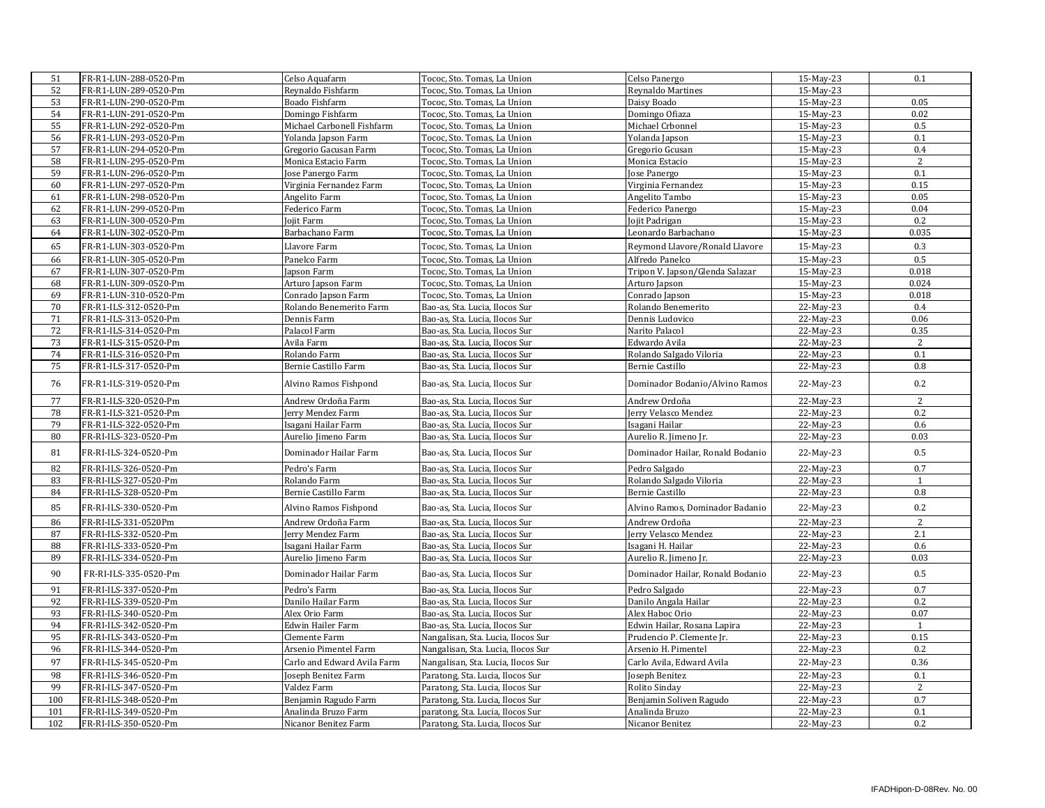| 51  | FR-R1-LUN-288-0520-Pm | Celso Aquafarm              | Tococ, Sto. Tomas, La Union        | Celso Panergo                    | 15-May-23 | 0.1            |
|-----|-----------------------|-----------------------------|------------------------------------|----------------------------------|-----------|----------------|
| 52  | FR-R1-LUN-289-0520-Pm | Reynaldo Fishfarm           | Tococ, Sto. Tomas, La Union        | Reynaldo Martines                | 15-May-23 |                |
| 53  | FR-R1-LUN-290-0520-Pm | Boado Fishfarm              | Tococ, Sto. Tomas, La Union        | Daisy Boado                      | 15-May-23 | 0.05           |
| 54  | FR-R1-LUN-291-0520-Pm | Domingo Fishfarm            | Tococ, Sto. Tomas, La Union        | Domingo Ofiaza                   | 15-May-23 | 0.02           |
| 55  | FR-R1-LUN-292-0520-Pm | Michael Carbonell Fishfarm  | Tococ, Sto. Tomas, La Union        | Michael Crbonnel                 | 15-May-23 | 0.5            |
| 56  | FR-R1-LUN-293-0520-Pm | Yolanda Japson Farm         | Tococ, Sto. Tomas, La Union        | Yolanda Japson                   | 15-May-23 | 0.1            |
| 57  | FR-R1-LUN-294-0520-Pm | Gregorio Gacusan Farm       | Tococ, Sto. Tomas, La Union        | Gregorio Gcusan                  | 15-May-23 | 0.4            |
| 58  | FR-R1-LUN-295-0520-Pm | Monica Estacio Farm         | Tococ, Sto. Tomas, La Union        | Monica Estacio                   | 15-May-23 | 2              |
| 59  | FR-R1-LUN-296-0520-Pm | Jose Panergo Farm           | Tococ, Sto. Tomas, La Union        | Jose Panergo                     | 15-May-23 | 0.1            |
| 60  | FR-R1-LUN-297-0520-Pm | Virginia Fernandez Farm     | Tococ, Sto. Tomas, La Union        | Virginia Fernandez               | 15-May-23 | 0.15           |
| 61  | FR-R1-LUN-298-0520-Pm | Angelito Farm               | Tococ, Sto. Tomas, La Union        | Angelito Tambo                   | 15-May-23 | 0.05           |
| 62  | FR-R1-LUN-299-0520-Pm | Federico Farm               | Tococ, Sto. Tomas, La Union        | Federico Panergo                 | 15-May-23 | 0.04           |
| 63  | FR-R1-LUN-300-0520-Pm | Jojit Farm                  | Tococ, Sto. Tomas, La Union        | Jojit Padrigan                   | 15-May-23 | 0.2            |
| 64  | FR-R1-LUN-302-0520-Pm | Barbachano Farm             | Tococ, Sto. Tomas, La Union        | Leonardo Barbachano              | 15-May-23 | 0.035          |
| 65  | FR-R1-LUN-303-0520-Pm | Llavore Farm                | Tococ, Sto. Tomas, La Union        | Reymond Llavore/Ronald Llavore   | 15-May-23 | 0.3            |
| 66  | FR-R1-LUN-305-0520-Pm | Panelco Farm                | Tococ, Sto. Tomas, La Union        | Alfredo Panelco                  | 15-May-23 | 0.5            |
| 67  | FR-R1-LUN-307-0520-Pm | Japson Farm                 | Tococ, Sto. Tomas, La Union        | Tripon V. Japson/Glenda Salazar  | 15-May-23 | 0.018          |
| 68  | FR-R1-LUN-309-0520-Pm | Arturo Japson Farm          | Tococ, Sto. Tomas, La Union        | Arturo Japson                    | 15-May-23 | 0.024          |
| 69  | FR-R1-LUN-310-0520-Pm | Conrado Japson Farm         | Tococ, Sto. Tomas, La Union        | Conrado Japson                   | 15-May-23 | 0.018          |
| 70  | FR-R1-ILS-312-0520-Pm | Rolando Benemerito Farm     | Bao-as, Sta. Lucia, Ilocos Sur     | Rolando Benemerito               | 22-May-23 | 0.4            |
| 71  | FR-R1-ILS-313-0520-Pm | Dennis Farm                 | Bao-as, Sta. Lucia, Ilocos Sur     | Dennis Ludovico                  | 22-May-23 | 0.06           |
| 72  | FR-R1-ILS-314-0520-Pm | Palacol Farm                | Bao-as, Sta. Lucia, Ilocos Sur     | Narito Palacol                   | 22-May-23 | 0.35           |
| 73  | FR-R1-ILS-315-0520-Pm | Avila Farm                  | Bao-as, Sta. Lucia, Ilocos Sur     | Edwardo Avila                    | 22-May-23 | 2              |
| 74  | FR-R1-ILS-316-0520-Pm | Rolando Farm                | Bao-as, Sta. Lucia, Ilocos Sur     | Rolando Salgado Viloria          | 22-May-23 | 0.1            |
| 75  | FR-R1-ILS-317-0520-Pm | Bernie Castillo Farm        | Bao-as, Sta. Lucia, Ilocos Sur     | Bernie Castillo                  | 22-May-23 | 0.8            |
| 76  | FR-R1-ILS-319-0520-Pm | Alvino Ramos Fishpond       | Bao-as, Sta. Lucia, Ilocos Sur     | Dominador Bodanio/Alvino Ramos   | 22-May-23 | $0.2\,$        |
| 77  | FR-R1-ILS-320-0520-Pm | Andrew Ordoña Farm          | Bao-as, Sta. Lucia, Ilocos Sur     | Andrew Ordoña                    | 22-May-23 | 2              |
| 78  | FR-R1-ILS-321-0520-Pm | Jerry Mendez Farm           | Bao-as, Sta. Lucia, Ilocos Sur     | Jerry Velasco Mendez             | 22-May-23 | 0.2            |
| 79  | FR-R1-ILS-322-0520-Pm | Isagani Hailar Farm         | Bao-as, Sta. Lucia, Ilocos Sur     | Isagani Hailar                   | 22-May-23 | 0.6            |
| 80  | FR-RI-ILS-323-0520-Pm | Aurelio Jimeno Farm         | Bao-as, Sta. Lucia, Ilocos Sur     | Aurelio R. Jimeno Jr.            | 22-May-23 | 0.03           |
| 81  | FR-RI-ILS-324-0520-Pm | Dominador Hailar Farm       | Bao-as, Sta. Lucia, Ilocos Sur     | Dominador Hailar, Ronald Bodanio | 22-May-23 | 0.5            |
| 82  | FR-RI-ILS-326-0520-Pm | Pedro's Farm                | Bao-as, Sta. Lucia, Ilocos Sur     | Pedro Salgado                    | 22-May-23 | 0.7            |
| 83  | FR-RI-ILS-327-0520-Pm | Rolando Farm                | Bao-as, Sta. Lucia, Ilocos Sur     | Rolando Salgado Viloria          | 22-May-23 | $\overline{1}$ |
| 84  | FR-RI-ILS-328-0520-Pm | Bernie Castillo Farm        | Bao-as, Sta. Lucia, Ilocos Sur     | Bernie Castillo                  | 22-May-23 | $0.8\,$        |
| 85  | FR-RI-ILS-330-0520-Pm | Alvino Ramos Fishpond       | Bao-as, Sta. Lucia, Ilocos Sur     | Alvino Ramos, Dominador Badanio  | 22-May-23 | 0.2            |
| 86  | FR-RI-ILS-331-0520Pm  | Andrew Ordoña Farm          | Bao-as, Sta. Lucia, Ilocos Sur     | Andrew Ordoña                    | 22-May-23 | $\overline{2}$ |
| 87  | FR-RI-ILS-332-0520-Pm | Jerry Mendez Farm           | Bao-as, Sta. Lucia, Ilocos Sur     | Jerry Velasco Mendez             | 22-May-23 | 2.1            |
| 88  | FR-RI-ILS-333-0520-Pm | Isagani Hailar Farm         | Bao-as, Sta. Lucia, Ilocos Sur     | Isagani H. Hailar                | 22-May-23 | 0.6            |
| 89  | FR-RI-ILS-334-0520-Pm | Aurelio Jimeno Farm         | Bao-as, Sta. Lucia, Ilocos Sur     | Aurelio R. Jimeno Jr.            | 22-May-23 | 0.03           |
| 90  | FR-RI-ILS-335-0520-Pm | Dominador Hailar Farm       | Bao-as, Sta. Lucia, Ilocos Sur     | Dominador Hailar, Ronald Bodanio | 22-May-23 | 0.5            |
| 91  | FR-RI-ILS-337-0520-Pm | Pedro's Farm                | Bao-as, Sta. Lucia, Ilocos Sur     | Pedro Salgado                    | 22-May-23 | 0.7            |
| 92  | FR-RI-ILS-339-0520-Pm | Danilo Hailar Farm          | Bao-as, Sta. Lucia, Ilocos Sur     | Danilo Angala Hailar             | 22-May-23 | 0.2            |
| 93  | FR-RI-ILS-340-0520-Pm | Alex Orio Farm              | Bao-as, Sta. Lucia, Ilocos Sur     | Alex Haboc Orio                  | 22-May-23 | 0.07           |
| 94  | FR-RI-ILS-342-0520-Pm | <b>Edwin Hailer Farm</b>    | Bao-as, Sta. Lucia, Ilocos Sur     | Edwin Hailar, Rosana Lapira      | 22-May-23 | $\mathbf{1}$   |
| 95  | FR-RI-ILS-343-0520-Pm | Clemente Farm               | Nangalisan, Sta. Lucia, Ilocos Sur | Prudencio P. Clemente Jr.        | 22-May-23 | 0.15           |
| 96  | FR-RI-ILS-344-0520-Pm | Arsenio Pimentel Farm       | Nangalisan, Sta. Lucia, Ilocos Sur | Arsenio H. Pimentel              | 22-May-23 | 0.2            |
| 97  | FR-RI-ILS-345-0520-Pm | Carlo and Edward Avila Farm | Nangalisan, Sta. Lucia, Ilocos Sur | Carlo Avila, Edward Avila        | 22-May-23 | 0.36           |
| 98  | FR-RI-ILS-346-0520-Pm | Joseph Benitez Farm         | Paratong, Sta. Lucia, Ilocos Sur   | Joseph Benitez                   | 22-May-23 | 0.1            |
| 99  | FR-RI-ILS-347-0520-Pm | Valdez Farm                 | Paratong, Sta. Lucia, Ilocos Sur   | Rolito Sinday                    | 22-May-23 | 2              |
| 100 | FR-RI-ILS-348-0520-Pm | Benjamin Ragudo Farm        | Paratong, Sta. Lucia, Ilocos Sur   | Benjamin Soliven Ragudo          | 22-May-23 | 0.7            |
| 101 | FR-RI-ILS-349-0520-Pm | Analinda Bruzo Farm         | paratong, Sta. Lucia, Ilocos Sur   | Analinda Bruzo                   | 22-May-23 | 0.1            |
| 102 | FR-RI-ILS-350-0520-Pm | Nicanor Benitez Farm        | Paratong, Sta. Lucia, Ilocos Sur   | Nicanor Benitez                  | 22-May-23 | 0.2            |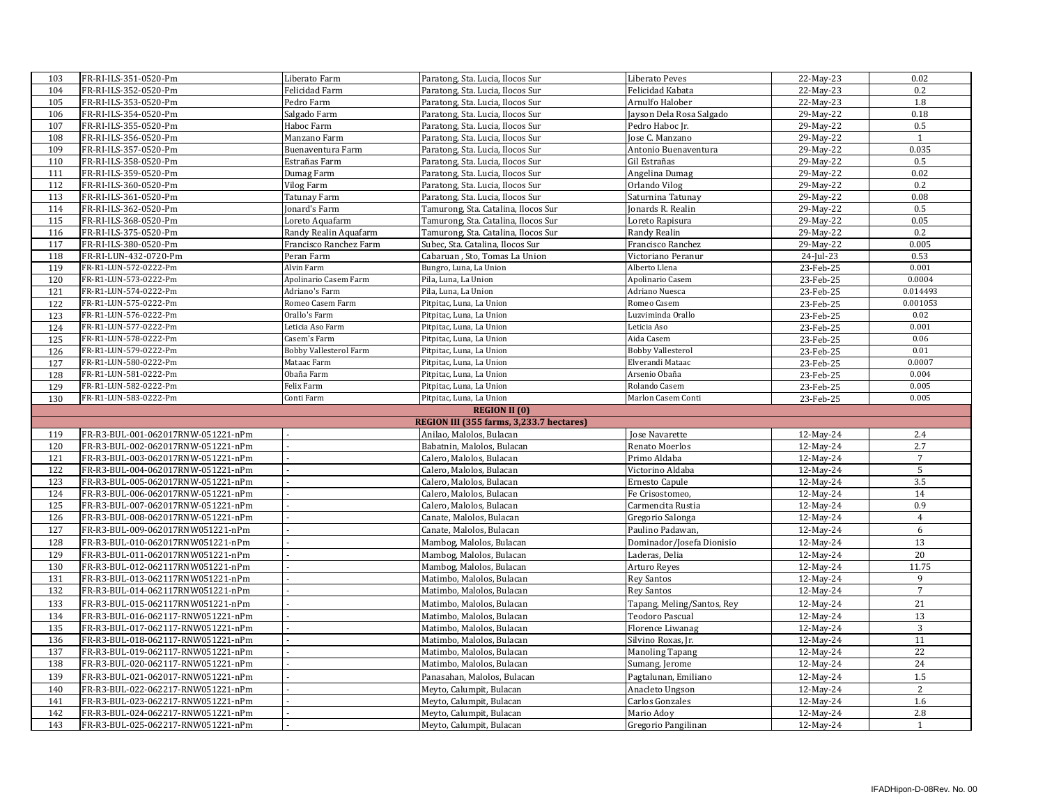| 103        | FR-RI-ILS-351-0520-Pm                                                    | Liberato Farm                 | Paratong, Sta. Lucia, Ilocos Sur                     | Liberato Peves                    | 22-May-23              | 0.02                |
|------------|--------------------------------------------------------------------------|-------------------------------|------------------------------------------------------|-----------------------------------|------------------------|---------------------|
| 104        | FR-RI-ILS-352-0520-Pm                                                    | Felicidad Farm                | Paratong, Sta. Lucia, Ilocos Sur                     | Felicidad Kabata                  | 22-May-23              | 0.2                 |
| 105        | FR-RI-ILS-353-0520-Pm                                                    | Pedro Farm                    | Paratong, Sta. Lucia, Ilocos Sur                     | Arnulfo Halober                   | 22-May-23              | 1.8                 |
| 106        | FR-RI-ILS-354-0520-Pm                                                    | Salgado Farm                  | Paratong, Sta. Lucia, Ilocos Sur                     | Jayson Dela Rosa Salgado          | 29-May-22              | 0.18                |
| 107        | FR-RI-ILS-355-0520-Pm                                                    | Haboc Farm                    | Paratong, Sta. Lucia, Ilocos Sur                     | Pedro Haboc Ir.                   | 29-May-22              | 0.5                 |
| 108        | FR-RI-ILS-356-0520-Pm                                                    | Manzano Farm                  | Paratong, Sta. Lucia, Ilocos Sur                     | Jose C. Manzano                   | 29-May-22              | 1                   |
| 109        | FR-RI-ILS-357-0520-Pm                                                    | Buenaventura Farm             | Paratong, Sta. Lucia, Ilocos Sur                     | Antonio Buenaventura              | 29-May-22              | 0.035               |
| 110        | FR-RI-ILS-358-0520-Pm                                                    | Estrañas Farm                 | Paratong, Sta. Lucia, Ilocos Sur                     | Gil Estrañas                      | 29-May-22              | 0.5                 |
| 111        | FR-RI-ILS-359-0520-Pm                                                    | Dumag Farm                    | Paratong, Sta. Lucia, Ilocos Sur                     | Angelina Dumag                    | 29-May-22              | 0.02                |
| 112        | FR-RI-ILS-360-0520-Pm                                                    | Vilog Farm                    | Paratong, Sta. Lucia, Ilocos Sur                     | Orlando Vilog                     | 29-May-22              | 0.2                 |
| 113        | FR-RI-ILS-361-0520-Pm                                                    | Tatunay Farm                  | Paratong, Sta. Lucia, Ilocos Sur                     | Saturnina Tatunay                 | 29-May-22              | 0.08                |
| 114        | FR-RI-ILS-362-0520-Pm                                                    | Jonard's Farm                 | Tamurong, Sta. Catalina, Ilocos Sur                  | Jonards R. Realin                 | 29-May-22              | 0.5                 |
| 115        | FR-RI-ILS-368-0520-Pm                                                    | Loreto Aquafarm               | Tamurong, Sta. Catalina, Ilocos Sur                  | Loreto Rapisura                   | 29-May-22              | 0.05                |
| 116        | FR-RI-ILS-375-0520-Pm                                                    | Randy Realin Aquafarm         | Tamurong, Sta. Catalina, Ilocos Sur                  | Randy Realin                      | 29-May-22              | 0.2                 |
| 117        | FR-RI-ILS-380-0520-Pm                                                    | Francisco Ranchez Farm        | Subec, Sta, Catalina, Ilocos Sur                     | Francisco Ranchez                 | 29-May-22              | 0.005               |
| 118        | FR-RI-LUN-432-0720-Pm                                                    | Peran Farm                    | Cabaruan, Sto, Tomas La Union                        | Victoriano Peranur                | 24-Jul-23              | 0.53                |
| 119        | FR-R1-LUN-572-0222-Pm                                                    | Alvin Farm                    | Bungro, Luna, La Union                               | Alberto Llena                     | 23-Feb-25              | 0.001               |
| 120        | FR-R1-LUN-573-0222-Pm                                                    | Apolinario Casem Farm         | Pila, Luna, La Union                                 | Apolinario Casem                  | 23-Feb-25              | 0.0004              |
| 121        | FR-R1-LUN-574-0222-Pm                                                    | Adriano's Farm                | Pila, Luna, La Union                                 | Adriano Nuesca                    | 23-Feb-25              | 0.014493            |
| 122        | FR-R1-LUN-575-0222-Pm                                                    | Romeo Casem Farm              | Pitpitac, Luna, La Union                             | Romeo Casem                       | 23-Feb-25              | 0.001053            |
| 123        | FR-R1-LUN-576-0222-Pm                                                    | Orallo's Farm                 | Pitpitac, Luna, La Union                             | Luzviminda Orallo                 | 23-Feb-25              | 0.02                |
| 124        | FR-R1-LUN-577-0222-Pm                                                    | Leticia Aso Farm              | Pitpitac, Luna, La Union                             | Leticia Aso                       | 23-Feb-25              | 0.001               |
| 125        | FR-R1-LUN-578-0222-Pm                                                    | Casem's Farm                  | Pitpitac, Luna, La Union                             | Aida Casem                        | 23-Feb-25              | 0.06                |
| 126        | FR-R1-LUN-579-0222-Pm                                                    | <b>Bobby Vallesterol Farm</b> | Pitpitac, Luna, La Union                             | <b>Bobby Vallesterol</b>          | 23-Feb-25              | 0.01                |
| 127        | FR-R1-LUN-580-0222-Pm                                                    | Mataac Farm                   | Pitpitac, Luna, La Union                             | Elverandi Mataac                  | 23-Feb-25              | 0.0007              |
| 128        | FR-R1-LUN-581-0222-Pm                                                    | Obaña Farm                    | Pitpitac, Luna, La Union                             | Arsenio Obaña                     | 23-Feb-25              | 0.004               |
| 129        | FR-R1-LUN-582-0222-Pm                                                    | Felix Farm                    | Pitpitac, Luna, La Union                             | Rolando Casem                     | 23-Feb-25              | 0.005               |
| 130        | FR-R1-LUN-583-0222-Pm                                                    | Conti Farm                    | Pitpitac, Luna, La Union                             | Marlon Casem Conti                | 23-Feb-25              | 0.005               |
|            |                                                                          |                               |                                                      |                                   |                        |                     |
|            |                                                                          |                               |                                                      |                                   |                        |                     |
|            |                                                                          |                               | <b>REGION II (0)</b>                                 |                                   |                        |                     |
|            |                                                                          |                               | REGION III (355 farms, 3,233.7 hectares)             |                                   |                        |                     |
| 119        | FR-R3-BUL-001-062017RNW-051221-nPm                                       |                               | Anilao, Malolos, Bulacan                             | Jose Navarette                    | 12-May-24              | 2.4                 |
| 120        | FR-R3-BUL-002-062017RNW-051221-nPm                                       |                               | Babatnin, Malolos, Bulacan                           | Renato Moerlos                    | 12-May-24              | 2.7                 |
| 121        | FR-R3-BUL-003-062017RNW-051221-nPm                                       |                               | Calero, Malolos, Bulacan                             | Primo Aldaba                      | 12-May-24              | $\overline{7}$      |
| 122        | FR-R3-BUL-004-062017RNW-051221-nPm                                       |                               | Calero, Malolos, Bulacan                             | Victorino Aldaba                  | 12-May-24              | 5                   |
| 123        | FR-R3-BUL-005-062017RNW-051221-nPm                                       |                               | Calero, Malolos, Bulacan                             | Ernesto Capule                    | 12-May-24              | 3.5                 |
| 124        | FR-R3-BUL-006-062017RNW-051221-nPm                                       |                               | Calero, Malolos, Bulacan                             | Fe Crisostomeo,                   | 12-May-24              | 14                  |
| 125        | FR-R3-BUL-007-062017RNW-051221-nPm                                       |                               | Calero, Malolos, Bulacan                             | Carmencita Rustia                 | 12-May-24              | 0.9                 |
| 126        | FR-R3-BUL-008-062017RNW-051221-nPm                                       |                               | Canate, Malolos, Bulacan                             | Gregorio Salonga                  | 12-May-24              | $\overline{4}$      |
| 127        | FR-R3-BUL-009-062017RNW051221-nPm                                        |                               | Canate, Malolos, Bulacan                             | Paulino Padawan,                  | 12-May-24              | 6                   |
| 128        | FR-R3-BUL-010-062017RNW051221-nPm                                        |                               | Mambog, Malolos, Bulacan                             | Dominador/Josefa Dionisio         | 12-May-24              | 13                  |
| 129        | FR-R3-BUL-011-062017RNW051221-nPm                                        |                               | Mambog, Malolos, Bulacan                             | Laderas, Delia                    | 12-May-24              | 20                  |
| 130        | FR-R3-BUL-012-062117RNW051221-nPm                                        |                               | Mambog, Malolos, Bulacan                             | Arturo Reyes                      | 12-May-24              | 11.75               |
| 131        | FR-R3-BUL-013-062117RNW051221-nPm                                        |                               | Matimbo, Malolos, Bulacan                            | <b>Rey Santos</b>                 | 12-May-24              | 9                   |
| 132        | FR-R3-BUL-014-062117RNW051221-nPm                                        |                               | Matimbo, Malolos, Bulacan                            | <b>Rey Santos</b>                 | 12-May-24              | $\overline{7}$      |
| 133        | FR-R3-BUL-015-062117RNW051221-nPm                                        |                               | Matimbo, Malolos, Bulacan                            | Tapang, Meling/Santos, Rey        | 12-May-24              | 21                  |
| 134        | FR-R3-BUL-016-062117-RNW051221-nPm                                       |                               | Matimbo, Malolos, Bulacan                            | <b>Teodoro Pascual</b>            | 12-May-24              | 13                  |
| 135        | FR-R3-BUL-017-062117-RNW051221-nPm                                       |                               | Matimbo, Malolos, Bulacan                            | Florence Liwanag                  | 12-May-24              | 3                   |
| 136        | FR-R3-BUL-018-062117-RNW051221-nPm                                       |                               | Matimbo, Malolos, Bulacan                            | Silvino Roxas, Jr.                | 12-May-24              | $11\,$              |
| 137        | FR-R3-BUL-019-062117-RNW051221-nPm                                       |                               | Matimbo, Malolos, Bulacan                            | <b>Manoling Tapang</b>            | 12-May-24              | 22                  |
| 138        | FR-R3-BUL-020-062117-RNW051221-nPm                                       |                               | Matimbo, Malolos, Bulacan                            | Sumang, Jerome                    | 12-May-24              | 24                  |
| 139        | FR-R3-BUL-021-062017-RNW051221-nPm                                       |                               | Panasahan, Malolos, Bulacan                          | Pagtalunan, Emiliano              | 12-May-24              | 1.5                 |
| 140        | FR-R3-BUL-022-062217-RNW051221-nPm                                       |                               | Meyto, Calumpit, Bulacan                             | Anacleto Ungson                   | 12-May-24              | 2                   |
| 141        | FR-R3-BUL-023-062217-RNW051221-nPm                                       |                               | Meyto, Calumpit, Bulacan                             | Carlos Gonzales                   | 12-May-24              | 1.6                 |
| 142<br>143 | FR-R3-BUL-024-062217-RNW051221-nPm<br>FR-R3-BUL-025-062217-RNW051221-nPm |                               | Meyto, Calumpit, Bulacan<br>Meyto, Calumpit, Bulacan | Mario Adov<br>Gregorio Pangilinan | 12-May-24<br>12-May-24 | 2.8<br>$\mathbf{1}$ |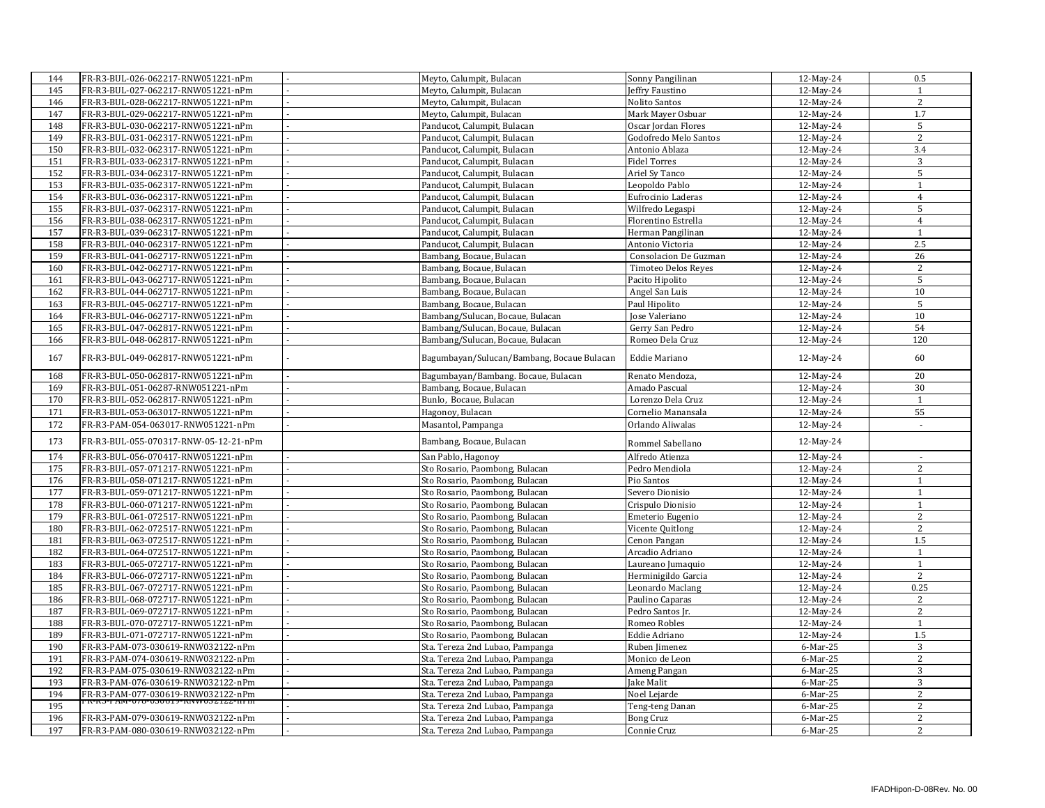| 144 | FR-R3-BUL-026-062217-RNW051221-nPm    |    | Meyto, Calumpit, Bulacan                   | Sonny Pangilinan      | 12-May-24   | 0.5                         |
|-----|---------------------------------------|----|--------------------------------------------|-----------------------|-------------|-----------------------------|
| 145 | FR-R3-BUL-027-062217-RNW051221-nPm    |    | Meyto, Calumpit, Bulacan                   | effry Faustino        | 12-May-24   | $\mathbf{1}$                |
| 146 | FR-R3-BUL-028-062217-RNW051221-nPm    |    | Meyto, Calumpit, Bulacan                   | Nolito Santos         | 12-May-24   | $\overline{c}$              |
| 147 | FR-R3-BUL-029-062217-RNW051221-nPm    |    | Meyto, Calumpit, Bulacan                   | Mark Mayer Osbuar     | 12-May-24   | 1.7                         |
| 148 | FR-R3-BUL-030-062217-RNW051221-nPm    |    | Panducot, Calumpit, Bulacan                | Oscar Jordan Flores   | 12-May-24   | 5                           |
| 149 | FR-R3-BUL-031-062317-RNW051221-nPm    |    | Panducot, Calumpit, Bulacan                | Godofredo Melo Santos | 12-May-24   | $\sqrt{2}$                  |
| 150 | FR-R3-BUL-032-062317-RNW051221-nPm    |    | Panducot, Calumpit, Bulacan                | Antonio Ablaza        | 12-May-24   | 3.4                         |
| 151 | FR-R3-BUL-033-062317-RNW051221-nPm    |    | Panducot, Calumpit, Bulacan                | <b>Fidel Torres</b>   | 12-May-24   | 3                           |
| 152 | FR-R3-BUL-034-062317-RNW051221-nPm    |    | Panducot, Calumpit, Bulacan                | Ariel Sy Tanco        | 12-May-24   | 5                           |
| 153 | FR-R3-BUL-035-062317-RNW051221-nPm    |    | Panducot, Calumpit, Bulacan                | Leopoldo Pablo        | 12-May-24   | $\mathbf{1}$                |
| 154 | FR-R3-BUL-036-062317-RNW051221-nPm    |    | Panducot, Calumpit, Bulacan                | Eufrocinio Laderas    | 12-May-24   | $\overline{4}$              |
| 155 | FR-R3-BUL-037-062317-RNW051221-nPm    |    | Panducot, Calumpit, Bulacan                | Wilfredo Legaspi      | 12-May-24   | 5                           |
| 156 | FR-R3-BUL-038-062317-RNW051221-nPm    |    | Panducot, Calumpit, Bulacan                | Florentino Estrella   | 12-May-24   | $\overline{4}$              |
| 157 | FR-R3-BUL-039-062317-RNW051221-nPm    |    | Panducot, Calumpit, Bulacan                | Herman Pangilinan     | 12-May-24   | $\mathbf{1}$                |
| 158 | FR-R3-BUL-040-062317-RNW051221-nPm    |    | Panducot, Calumpit, Bulacan                | Antonio Victoria      | 12-May-24   | 2.5                         |
| 159 | FR-R3-BUL-041-062717-RNW051221-nPm    |    | Bambang, Bocaue, Bulacan                   | Consolacion De Guzman | 12-May-24   | 26                          |
| 160 | FR-R3-BUL-042-062717-RNW051221-nPm    |    | Bambang, Bocaue, Bulacan                   |                       |             |                             |
|     |                                       |    |                                            | Timoteo Delos Reyes   | 12-May-24   | 2                           |
| 161 | FR-R3-BUL-043-062717-RNW051221-nPm    |    | Bambang, Bocaue, Bulacan                   | Pacito Hipolito       | 12-May-24   | 5                           |
| 162 | FR-R3-BUL-044-062717-RNW051221-nPm    |    | Bambang, Bocaue, Bulacan                   | Angel San Luis        | 12-May-24   | 10                          |
| 163 | FR-R3-BUL-045-062717-RNW051221-nPm    |    | Bambang, Bocaue, Bulacan                   | Paul Hipolito         | 12-May-24   | 5                           |
| 164 | FR-R3-BUL-046-062717-RNW051221-nPm    |    | Bambang/Sulucan, Bocaue, Bulacan           | Jose Valeriano        | 12-May-24   | 10                          |
| 165 | FR-R3-BUL-047-062817-RNW051221-nPm    |    | Bambang/Sulucan, Bocaue, Bulacan           | Gerry San Pedro       | 12-May-24   | 54                          |
| 166 | FR-R3-BUL-048-062817-RNW051221-nPm    |    | Bambang/Sulucan, Bocaue, Bulacan           | Romeo Dela Cruz       | 12-May-24   | 120                         |
| 167 | FR-R3-BUL-049-062817-RNW051221-nPm    |    | Bagumbayan/Sulucan/Bambang, Bocaue Bulacan | Eddie Mariano         | 12-May-24   | 60                          |
| 168 | FR-R3-BUL-050-062817-RNW051221-nPm    |    | Bagumbayan/Bambang. Bocaue, Bulacan        | Renato Mendoza,       | 12-May-24   | 20                          |
| 169 | FR-R3-BUL-051-06287-RNW051221-nPm     |    | Bambang, Bocaue, Bulacan                   | Amado Pascual         | 12-May-24   | 30                          |
| 170 | FR-R3-BUL-052-062817-RNW051221-nPm    |    | Bunlo, Bocaue, Bulacan                     | Lorenzo Dela Cruz     | 12-May-24   | $\mathbf{1}$                |
| 171 | FR-R3-BUL-053-063017-RNW051221-nPm    |    | Hagonoy, Bulacan                           | Cornelio Manansala    | 12-May-24   | 55                          |
| 172 | FR-R3-PAM-054-063017-RNW051221-nPm    |    | Masantol, Pampanga                         | Orlando Aliwalas      | 12-May-24   | $\mathcal{L}_{\mathcal{A}}$ |
| 173 | FR-R3-BUL-055-070317-RNW-05-12-21-nPm |    | Bambang, Bocaue, Bulacan                   | Rommel Sabellano      | 12-May-24   |                             |
| 174 | FR-R3-BUL-056-070417-RNW051221-nPm    |    | San Pablo, Hagonoy                         | Alfredo Atienza       | 12-May-24   |                             |
| 175 | FR-R3-BUL-057-071217-RNW051221-nPm    |    | Sto Rosario, Paombong, Bulacan             | Pedro Mendiola        | 12-May-24   | 2                           |
| 176 | FR-R3-BUL-058-071217-RNW051221-nPm    |    | Sto Rosario, Paombong, Bulacan             | Pio Santos            | 12-May-24   | $\mathbf{1}$                |
| 177 | FR-R3-BUL-059-071217-RNW051221-nPm    |    | Sto Rosario, Paombong, Bulacan             | Severo Dionisio       | 12-May-24   | $1\,$                       |
| 178 | FR-R3-BUL-060-071217-RNW051221-nPm    |    | Sto Rosario, Paombong, Bulacan             | Crispulo Dionisio     | 12-May-24   | $\mathbf{1}$                |
| 179 | FR-R3-BUL-061-072517-RNW051221-nPm    |    | Sto Rosario, Paombong, Bulacan             | Emeterio Eugenio      | 12-May-24   | 2                           |
| 180 | FR-R3-BUL-062-072517-RNW051221-nPm    |    | Sto Rosario, Paombong, Bulacan             | Vicente Quitlong      | 12-May-24   | $\overline{2}$              |
| 181 | FR-R3-BUL-063-072517-RNW051221-nPm    |    | Sto Rosario, Paombong, Bulacan             | Cenon Pangan          | 12-May-24   | 1.5                         |
| 182 | FR-R3-BUL-064-072517-RNW051221-nPm    |    | Sto Rosario, Paombong, Bulacan             | Arcadio Adriano       | 12-May-24   | $\mathbf{1}$                |
| 183 | FR-R3-BUL-065-072717-RNW051221-nPm    |    | Sto Rosario, Paombong, Bulacan             | Laureano Jumaquio     | 12-May-24   | $\mathbf{1}$                |
| 184 | FR-R3-BUL-066-072717-RNW051221-nPm    |    | Sto Rosario, Paombong, Bulacan             | Herminigildo Garcia   | 12-May-24   | 2                           |
| 185 | FR-R3-BUL-067-072717-RNW051221-nPm    |    | Sto Rosario, Paombong, Bulacan             | Leonardo Maclang      | 12-May-24   | 0.25                        |
| 186 | FR-R3-BUL-068-072717-RNW051221-nPm    |    | Sto Rosario, Paombong, Bulacan             | Paulino Caparas       | 12-May-24   | 2                           |
| 187 | FR-R3-BUL-069-072717-RNW051221-nPm    |    | Sto Rosario, Paombong, Bulacan             | Pedro Santos Jr.      | 12-May-24   | 2                           |
| 188 | FR-R3-BUL-070-072717-RNW051221-nPm    |    | Sto Rosario, Paombong, Bulacan             | Romeo Robles          | 12-May-24   | $\mathbf{1}$                |
| 189 | FR-R3-BUL-071-072717-RNW051221-nPm    |    | Sto Rosario, Paombong, Bulacan             | Eddie Adriano         | 12-May-24   | 1.5                         |
| 190 | FR-R3-PAM-073-030619-RNW032122-nPm    |    | Sta. Tereza 2nd Lubao, Pampanga            | Ruben Jimenez         | $6$ -Mar-25 | 3                           |
| 191 | FR-R3-PAM-074-030619-RNW032122-nPm    |    | Sta. Tereza 2nd Lubao, Pampanga            | Monico de Leon        | 6-Mar-25    | $\overline{c}$              |
| 192 | FR-R3-PAM-075-030619-RNW032122-nPm    |    | Sta. Tereza 2nd Lubao, Pampanga            | Ameng Pangan          | 6-Mar-25    | $\overline{3}$              |
| 193 | FR-R3-PAM-076-030619-RNW032122-nPm    |    | Sta. Tereza 2nd Lubao, Pampanga            | Jake Malit            | 6-Mar-25    | 3                           |
| 194 | FR-R3-PAM-077-030619-RNW032122-nPm    | L. | Sta. Tereza 2nd Lubao, Pampanga            | Noel Lejarde          | 6-Mar-25    | $\overline{c}$              |
| 195 |                                       |    | Sta. Tereza 2nd Lubao, Pampanga            | Teng-teng Danan       | 6-Mar-25    | $\overline{c}$              |
| 196 | FR-R3-PAM-079-030619-RNW032122-nPm    |    | Sta. Tereza 2nd Lubao, Pampanga            | <b>Bong Cruz</b>      | 6-Mar-25    | $\overline{c}$              |
| 197 | FR-R3-PAM-080-030619-RNW032122-nPm    |    | Sta. Tereza 2nd Lubao, Pampanga            | Connie Cruz           | 6-Mar-25    | 2                           |
|     |                                       |    |                                            |                       |             |                             |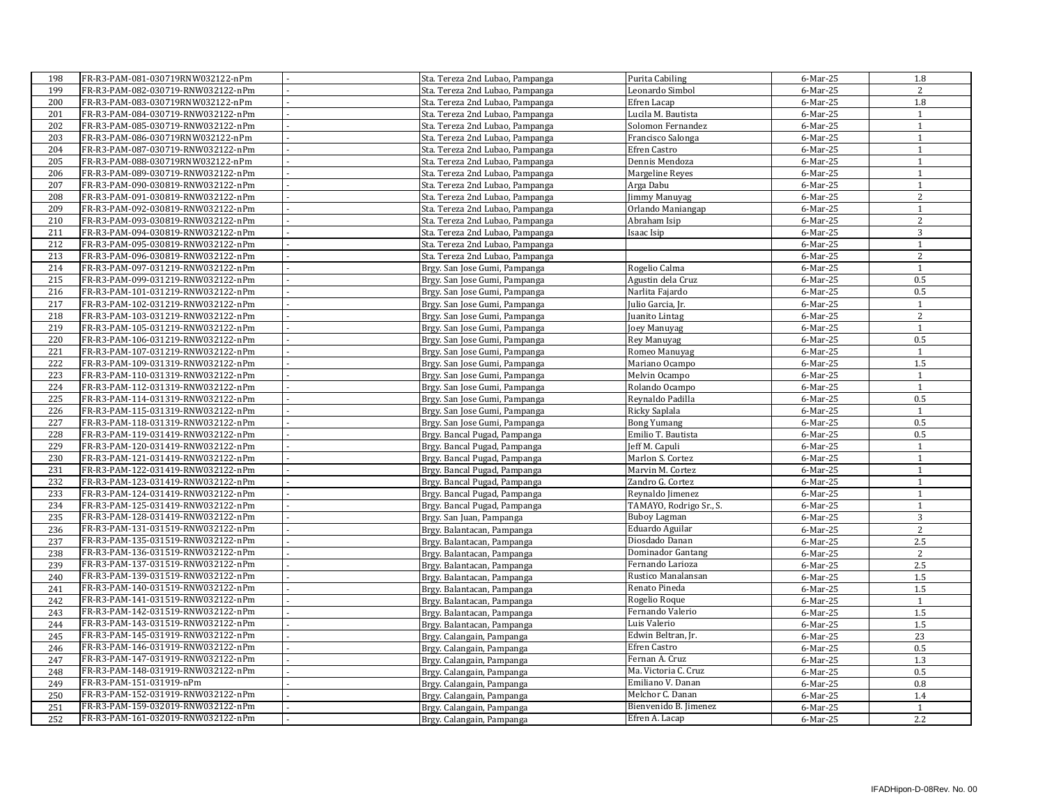| 199<br>FR-R3-PAM-082-030719-RNW032122-nPm<br>6-Mar-25<br>2<br>Sta. Tereza 2nd Lubao, Pampanga<br>Leonardo Simbol<br>FR-R3-PAM-083-030719RNW032122-nPm<br>1.8<br>200<br>Sta. Tereza 2nd Lubao, Pampanga<br>Efren Lacap<br>6-Mar-25<br>FR-R3-PAM-084-030719-RNW032122-nPm<br>$1\,$<br>201<br>Sta. Tereza 2nd Lubao, Pampanga<br>Lucila M. Bautista<br>6-Mar-25<br>202<br>FR-R3-PAM-085-030719-RNW032122-nPm<br>Sta. Tereza 2nd Lubao, Pampanga<br>Solomon Fernandez<br>6-Mar-25<br>$\mathbf{1}$<br>203<br>FR-R3-PAM-086-030719RNW032122-nPm<br>Sta. Tereza 2nd Lubao, Pampanga<br>Francisco Salonga<br>$6$ -Mar-25<br>$\mathbf{1}$<br>Efren Castro<br>$\mathbf{1}$<br>204<br>FR-R3-PAM-087-030719-RNW032122-nPm<br>Sta. Tereza 2nd Lubao, Pampanga<br>6-Mar-25<br>205<br>FR-R3-PAM-088-030719RNW032122-nPm<br>Sta. Tereza 2nd Lubao, Pampanga<br>Dennis Mendoza<br>6-Mar-25<br>$\mathbf{1}$<br>FR-R3-PAM-089-030719-RNW032122-nPm<br>Sta. Tereza 2nd Lubao, Pampanga<br>Margeline Reves<br>6-Mar-25<br>206<br>$\mathbf{1}$<br>FR-R3-PAM-090-030819-RNW032122-nPm<br>Sta. Tereza 2nd Lubao, Pampanga<br>Arga Dabu<br>207<br>6-Mar-25<br>$\overline{1}$<br>$\overline{2}$<br>208<br>FR-R3-PAM-091-030819-RNW032122-nPm<br>Sta. Tereza 2nd Lubao, Pampanga<br>Jimmy Manuyag<br>6-Mar-25<br>209<br>FR-R3-PAM-092-030819-RNW032122-nPm<br>Sta. Tereza 2nd Lubao, Pampanga<br>Orlando Maniangap<br>6-Mar-25<br>$\mathbf{1}$<br>FR-R3-PAM-093-030819-RNW032122-nPm<br>$\overline{c}$<br>210<br>Sta. Tereza 2nd Lubao, Pampanga<br>Abraham Isip<br>6-Mar-25<br>3<br>FR-R3-PAM-094-030819-RNW032122-nPm<br>211<br>Sta. Tereza 2nd Lubao, Pampanga<br>Isaac Isip<br>6-Mar-25<br>212<br>FR-R3-PAM-095-030819-RNW032122-nPm<br>Sta. Tereza 2nd Lubao, Pampanga<br>6-Mar-25<br>$\mathbf{1}$<br>213<br>FR-R3-PAM-096-030819-RNW032122-nPm<br>Sta. Tereza 2nd Lubao, Pampanga<br>6-Mar-25<br>2<br>FR-R3-PAM-097-031219-RNW032122-nPm<br>$1\,$<br>214<br>Brgy. San Jose Gumi, Pampanga<br>Rogelio Calma<br>6-Mar-25<br>0.5<br>215<br>FR-R3-PAM-099-031219-RNW032122-nPm<br>6-Mar-25<br>Brgy. San Jose Gumi, Pampanga<br>Agustin dela Cruz<br>6-Mar-25<br>0.5<br>216<br>FR-R3-PAM-101-031219-RNW032122-nPm<br>Brgy. San Jose Gumi, Pampanga<br>Narlita Fajardo<br>217<br>FR-R3-PAM-102-031219-RNW032122-nPm<br>Brgy. San Jose Gumi, Pampanga<br>Julio Garcia, Jr.<br>6-Mar-25<br>$\mathbf{1}$<br>$\overline{2}$<br>218<br>FR-R3-PAM-103-031219-RNW032122-nPm<br>6-Mar-25<br>Brgy. San Jose Gumi, Pampanga<br>Juanito Lintag<br>219<br>$1\,$<br>FR-R3-PAM-105-031219-RNW032122-nPm<br>Brgy. San Jose Gumi, Pampanga<br>Joey Manuyag<br>6-Mar-25<br>220<br>0.5<br>FR-R3-PAM-106-031219-RNW032122-nPm<br>Brgy. San Jose Gumi, Pampanga<br>Rey Manuyag<br>6-Mar-25<br>221<br>FR-R3-PAM-107-031219-RNW032122-nPm<br>6-Mar-25<br>Brgy. San Jose Gumi, Pampanga<br>Romeo Manuyag<br>$\mathbf{1}$<br>222<br>1.5<br>FR-R3-PAM-109-031319-RNW032122-nPm<br>Mariano Ocampo<br>6-Mar-25<br>Brgy. San Jose Gumi, Pampanga<br>223<br>FR-R3-PAM-110-031319-RNW032122-nPm<br>Brgy. San Jose Gumi, Pampanga<br>Melvin Ocampo<br>6-Mar-25<br>$\mathbf{1}$<br>224<br>FR-R3-PAM-112-031319-RNW032122-nPm<br>6-Mar-25<br>Brgy. San Jose Gumi, Pampanga<br>Rolando Ocampo<br>1<br>225<br>0.5<br>FR-R3-PAM-114-031319-RNW032122-nPm<br>Reynaldo Padilla<br>6-Mar-25<br>Brgy. San Jose Gumi, Pampanga<br>226<br>FR-R3-PAM-115-031319-RNW032122-nPm<br>Brgy. San Jose Gumi, Pampanga<br>Ricky Saplala<br>6-Mar-25<br>$\mathbf{1}$<br>227<br>FR-R3-PAM-118-031319-RNW032122-nPm<br>6-Mar-25<br>0.5<br>Brgy. San Jose Gumi, Pampanga<br><b>Bong Yumang</b><br>228<br>FR-R3-PAM-119-031419-RNW032122-nPm<br>Brgy. Bancal Pugad, Pampanga<br>Emilio T. Bautista<br>6-Mar-25<br>0.5<br>229<br>FR-R3-PAM-120-031419-RNW032122-nPm<br>Brgy. Bancal Pugad, Pampanga<br>Jeff M. Capuli<br>6-Mar-25<br>$\mathbf{1}$<br>230<br>FR-R3-PAM-121-031419-RNW032122-nPm<br>6-Mar-25<br>Brgy. Bancal Pugad, Pampanga<br>Marlon S. Cortez<br>$\mathbf{1}$<br>231<br>FR-R3-PAM-122-031419-RNW032122-nPm<br>Marvin M. Cortez<br>6-Mar-25<br>$\mathbf{1}$<br>Brgy. Bancal Pugad, Pampanga<br>232<br>FR-R3-PAM-123-031419-RNW032122-nPm<br>Brgy. Bancal Pugad, Pampanga<br>Zandro G. Cortez<br>6-Mar-25<br>$\mathbf{1}$<br>233<br>FR-R3-PAM-124-031419-RNW032122-nPm<br>6-Mar-25<br>$\mathbf{1}$<br>Brgy. Bancal Pugad, Pampanga<br>Reynaldo Jimenez<br>FR-R3-PAM-125-031419-RNW032122-nPm<br>Brgy. Bancal Pugad, Pampanga<br>234<br>TAMAYO, Rodrigo Sr., S.<br>6-Mar-25<br>$\mathbf{1}$<br>FR-R3-PAM-128-031419-RNW032122-nPm<br>Buboy Lagman<br>3<br>235<br>Brgy. San Juan, Pampanga<br>6-Mar-25<br>FR-R3-PAM-131-031519-RNW032122-nPm<br>Eduardo Aguilar<br>$\sqrt{2}$<br>236<br>Brgy. Balantacan, Pampanga<br>6-Mar-25<br>FR-R3-PAM-135-031519-RNW032122-nPm<br>Diosdado Danan<br>2.5<br>237<br>6-Mar-25<br>Brgy. Balantacan, Pampanga<br>FR-R3-PAM-136-031519-RNW032122-nPm<br>238<br>Dominador Gantang<br>Brgy. Balantacan, Pampanga<br>6-Mar-25<br>2<br>FR-R3-PAM-137-031519-RNW032122-nPm<br>2.5<br>239<br>Fernando Larioza<br>Brgy. Balantacan, Pampanga<br>6-Mar-25<br>FR-R3-PAM-139-031519-RNW032122-nPm<br>Rustico Manalansan<br>240<br>6-Mar-25<br>1.5<br>Brgy. Balantacan, Pampanga<br>FR-R3-PAM-140-031519-RNW032122-nPm<br>Renato Pineda<br>241<br>Brgy. Balantacan, Pampanga<br>6-Mar-25<br>1.5<br>FR-R3-PAM-141-031519-RNW032122-nPm<br>242<br>Rogelio Roque<br>$\mathbf{1}$<br>Brgy. Balantacan, Pampanga<br>6-Mar-25<br>FR-R3-PAM-142-031519-RNW032122-nPm<br>Fernando Valerio<br>243<br>6-Mar-25<br>1.5<br>Brgy. Balantacan, Pampanga<br>FR-R3-PAM-143-031519-RNW032122-nPm<br>Luis Valerio<br>1.5<br>244<br>Brgy. Balantacan, Pampanga<br>6-Mar-25<br>FR-R3-PAM-145-031919-RNW032122-nPm<br>Edwin Beltran, Jr.<br>23<br>245<br>6-Mar-25<br>Brgy. Calangain, Pampanga<br>FR-R3-PAM-146-031919-RNW032122-nPm<br>Efren Castro<br>0.5<br>246<br>Brgy. Calangain, Pampanga<br>6-Mar-25<br>FR-R3-PAM-147-031919-RNW032122-nPm<br>Fernan A. Cruz<br>247<br>6-Mar-25<br>1.3<br>Brgy. Calangain, Pampanga<br>FR-R3-PAM-148-031919-RNW032122-nPm<br>Ma. Victoria C. Cruz<br>0.5<br>248<br>Brgy. Calangain, Pampanga<br>6-Mar-25<br>FR-R3-PAM-151-031919-nPm<br>Emiliano V. Danan<br>249<br>0.8<br>Brgy. Calangain, Pampanga<br>6-Mar-25<br>250<br>FR-R3-PAM-152-031919-RNW032122-nPm<br>Melchor C. Danan<br>6-Mar-25<br>1.4<br>Brgy. Calangain, Pampanga<br>FR-R3-PAM-159-032019-RNW032122-nPm<br>Bienvenido B. Jimenez<br>251<br>6-Mar-25<br>$\mathbf{1}$<br>Brgy. Calangain, Pampanga<br>FR-R3-PAM-161-032019-RNW032122-nPm<br>2.2<br>252<br>Efren A. Lacap<br>Brgy. Calangain, Pampanga<br>6-Mar-25 | 198 | FR-R3-PAM-081-030719RNW032122-nPm | Sta. Tereza 2nd Lubao, Pampanga | Purita Cabiling | 6-Mar-25 | 1.8 |
|-------------------------------------------------------------------------------------------------------------------------------------------------------------------------------------------------------------------------------------------------------------------------------------------------------------------------------------------------------------------------------------------------------------------------------------------------------------------------------------------------------------------------------------------------------------------------------------------------------------------------------------------------------------------------------------------------------------------------------------------------------------------------------------------------------------------------------------------------------------------------------------------------------------------------------------------------------------------------------------------------------------------------------------------------------------------------------------------------------------------------------------------------------------------------------------------------------------------------------------------------------------------------------------------------------------------------------------------------------------------------------------------------------------------------------------------------------------------------------------------------------------------------------------------------------------------------------------------------------------------------------------------------------------------------------------------------------------------------------------------------------------------------------------------------------------------------------------------------------------------------------------------------------------------------------------------------------------------------------------------------------------------------------------------------------------------------------------------------------------------------------------------------------------------------------------------------------------------------------------------------------------------------------------------------------------------------------------------------------------------------------------------------------------------------------------------------------------------------------------------------------------------------------------------------------------------------------------------------------------------------------------------------------------------------------------------------------------------------------------------------------------------------------------------------------------------------------------------------------------------------------------------------------------------------------------------------------------------------------------------------------------------------------------------------------------------------------------------------------------------------------------------------------------------------------------------------------------------------------------------------------------------------------------------------------------------------------------------------------------------------------------------------------------------------------------------------------------------------------------------------------------------------------------------------------------------------------------------------------------------------------------------------------------------------------------------------------------------------------------------------------------------------------------------------------------------------------------------------------------------------------------------------------------------------------------------------------------------------------------------------------------------------------------------------------------------------------------------------------------------------------------------------------------------------------------------------------------------------------------------------------------------------------------------------------------------------------------------------------------------------------------------------------------------------------------------------------------------------------------------------------------------------------------------------------------------------------------------------------------------------------------------------------------------------------------------------------------------------------------------------------------------------------------------------------------------------------------------------------------------------------------------------------------------------------------------------------------------------------------------------------------------------------------------------------------------------------------------------------------------------------------------------------------------------------------------------------------------------------------------------------------------------------------------------------------------------------------------------------------------------------------------------------------------------------------------------------------------------------------------------------------------------------------------------------------------------------------------------------------------------------------------------------------------------------------------------------------------------------------------------------------------------------------------------------------------------------------------------------------------------------------------------------------------------------------------------------------------------------------------------------------------------------------------------------------------------------------------------------------------------------------------------------------------------------------------------------------------------------------------------------------------------------------------------------------------------------------------------------------------------------------------------------------------------------------------------------------------------------------------------------------------------------------------------------------------------------------------------------------------------------------------------|-----|-----------------------------------|---------------------------------|-----------------|----------|-----|
|                                                                                                                                                                                                                                                                                                                                                                                                                                                                                                                                                                                                                                                                                                                                                                                                                                                                                                                                                                                                                                                                                                                                                                                                                                                                                                                                                                                                                                                                                                                                                                                                                                                                                                                                                                                                                                                                                                                                                                                                                                                                                                                                                                                                                                                                                                                                                                                                                                                                                                                                                                                                                                                                                                                                                                                                                                                                                                                                                                                                                                                                                                                                                                                                                                                                                                                                                                                                                                                                                                                                                                                                                                                                                                                                                                                                                                                                                                                                                                                                                                                                                                                                                                                                                                                                                                                                                                                                                                                                                                                                                                                                                                                                                                                                                                                                                                                                                                                                                                                                                                                                                                                                                                                                                                                                                                                                                                                                                                                                                                                                                                                                                                                                                                                                                                                                                                                                                                                                                                                                                                                                                                                                                                                                                                                                                                                                                                                                                                                                                                                                                                                                                                                 |     |                                   |                                 |                 |          |     |
|                                                                                                                                                                                                                                                                                                                                                                                                                                                                                                                                                                                                                                                                                                                                                                                                                                                                                                                                                                                                                                                                                                                                                                                                                                                                                                                                                                                                                                                                                                                                                                                                                                                                                                                                                                                                                                                                                                                                                                                                                                                                                                                                                                                                                                                                                                                                                                                                                                                                                                                                                                                                                                                                                                                                                                                                                                                                                                                                                                                                                                                                                                                                                                                                                                                                                                                                                                                                                                                                                                                                                                                                                                                                                                                                                                                                                                                                                                                                                                                                                                                                                                                                                                                                                                                                                                                                                                                                                                                                                                                                                                                                                                                                                                                                                                                                                                                                                                                                                                                                                                                                                                                                                                                                                                                                                                                                                                                                                                                                                                                                                                                                                                                                                                                                                                                                                                                                                                                                                                                                                                                                                                                                                                                                                                                                                                                                                                                                                                                                                                                                                                                                                                                 |     |                                   |                                 |                 |          |     |
|                                                                                                                                                                                                                                                                                                                                                                                                                                                                                                                                                                                                                                                                                                                                                                                                                                                                                                                                                                                                                                                                                                                                                                                                                                                                                                                                                                                                                                                                                                                                                                                                                                                                                                                                                                                                                                                                                                                                                                                                                                                                                                                                                                                                                                                                                                                                                                                                                                                                                                                                                                                                                                                                                                                                                                                                                                                                                                                                                                                                                                                                                                                                                                                                                                                                                                                                                                                                                                                                                                                                                                                                                                                                                                                                                                                                                                                                                                                                                                                                                                                                                                                                                                                                                                                                                                                                                                                                                                                                                                                                                                                                                                                                                                                                                                                                                                                                                                                                                                                                                                                                                                                                                                                                                                                                                                                                                                                                                                                                                                                                                                                                                                                                                                                                                                                                                                                                                                                                                                                                                                                                                                                                                                                                                                                                                                                                                                                                                                                                                                                                                                                                                                                 |     |                                   |                                 |                 |          |     |
|                                                                                                                                                                                                                                                                                                                                                                                                                                                                                                                                                                                                                                                                                                                                                                                                                                                                                                                                                                                                                                                                                                                                                                                                                                                                                                                                                                                                                                                                                                                                                                                                                                                                                                                                                                                                                                                                                                                                                                                                                                                                                                                                                                                                                                                                                                                                                                                                                                                                                                                                                                                                                                                                                                                                                                                                                                                                                                                                                                                                                                                                                                                                                                                                                                                                                                                                                                                                                                                                                                                                                                                                                                                                                                                                                                                                                                                                                                                                                                                                                                                                                                                                                                                                                                                                                                                                                                                                                                                                                                                                                                                                                                                                                                                                                                                                                                                                                                                                                                                                                                                                                                                                                                                                                                                                                                                                                                                                                                                                                                                                                                                                                                                                                                                                                                                                                                                                                                                                                                                                                                                                                                                                                                                                                                                                                                                                                                                                                                                                                                                                                                                                                                                 |     |                                   |                                 |                 |          |     |
|                                                                                                                                                                                                                                                                                                                                                                                                                                                                                                                                                                                                                                                                                                                                                                                                                                                                                                                                                                                                                                                                                                                                                                                                                                                                                                                                                                                                                                                                                                                                                                                                                                                                                                                                                                                                                                                                                                                                                                                                                                                                                                                                                                                                                                                                                                                                                                                                                                                                                                                                                                                                                                                                                                                                                                                                                                                                                                                                                                                                                                                                                                                                                                                                                                                                                                                                                                                                                                                                                                                                                                                                                                                                                                                                                                                                                                                                                                                                                                                                                                                                                                                                                                                                                                                                                                                                                                                                                                                                                                                                                                                                                                                                                                                                                                                                                                                                                                                                                                                                                                                                                                                                                                                                                                                                                                                                                                                                                                                                                                                                                                                                                                                                                                                                                                                                                                                                                                                                                                                                                                                                                                                                                                                                                                                                                                                                                                                                                                                                                                                                                                                                                                                 |     |                                   |                                 |                 |          |     |
|                                                                                                                                                                                                                                                                                                                                                                                                                                                                                                                                                                                                                                                                                                                                                                                                                                                                                                                                                                                                                                                                                                                                                                                                                                                                                                                                                                                                                                                                                                                                                                                                                                                                                                                                                                                                                                                                                                                                                                                                                                                                                                                                                                                                                                                                                                                                                                                                                                                                                                                                                                                                                                                                                                                                                                                                                                                                                                                                                                                                                                                                                                                                                                                                                                                                                                                                                                                                                                                                                                                                                                                                                                                                                                                                                                                                                                                                                                                                                                                                                                                                                                                                                                                                                                                                                                                                                                                                                                                                                                                                                                                                                                                                                                                                                                                                                                                                                                                                                                                                                                                                                                                                                                                                                                                                                                                                                                                                                                                                                                                                                                                                                                                                                                                                                                                                                                                                                                                                                                                                                                                                                                                                                                                                                                                                                                                                                                                                                                                                                                                                                                                                                                                 |     |                                   |                                 |                 |          |     |
|                                                                                                                                                                                                                                                                                                                                                                                                                                                                                                                                                                                                                                                                                                                                                                                                                                                                                                                                                                                                                                                                                                                                                                                                                                                                                                                                                                                                                                                                                                                                                                                                                                                                                                                                                                                                                                                                                                                                                                                                                                                                                                                                                                                                                                                                                                                                                                                                                                                                                                                                                                                                                                                                                                                                                                                                                                                                                                                                                                                                                                                                                                                                                                                                                                                                                                                                                                                                                                                                                                                                                                                                                                                                                                                                                                                                                                                                                                                                                                                                                                                                                                                                                                                                                                                                                                                                                                                                                                                                                                                                                                                                                                                                                                                                                                                                                                                                                                                                                                                                                                                                                                                                                                                                                                                                                                                                                                                                                                                                                                                                                                                                                                                                                                                                                                                                                                                                                                                                                                                                                                                                                                                                                                                                                                                                                                                                                                                                                                                                                                                                                                                                                                                 |     |                                   |                                 |                 |          |     |
|                                                                                                                                                                                                                                                                                                                                                                                                                                                                                                                                                                                                                                                                                                                                                                                                                                                                                                                                                                                                                                                                                                                                                                                                                                                                                                                                                                                                                                                                                                                                                                                                                                                                                                                                                                                                                                                                                                                                                                                                                                                                                                                                                                                                                                                                                                                                                                                                                                                                                                                                                                                                                                                                                                                                                                                                                                                                                                                                                                                                                                                                                                                                                                                                                                                                                                                                                                                                                                                                                                                                                                                                                                                                                                                                                                                                                                                                                                                                                                                                                                                                                                                                                                                                                                                                                                                                                                                                                                                                                                                                                                                                                                                                                                                                                                                                                                                                                                                                                                                                                                                                                                                                                                                                                                                                                                                                                                                                                                                                                                                                                                                                                                                                                                                                                                                                                                                                                                                                                                                                                                                                                                                                                                                                                                                                                                                                                                                                                                                                                                                                                                                                                                                 |     |                                   |                                 |                 |          |     |
|                                                                                                                                                                                                                                                                                                                                                                                                                                                                                                                                                                                                                                                                                                                                                                                                                                                                                                                                                                                                                                                                                                                                                                                                                                                                                                                                                                                                                                                                                                                                                                                                                                                                                                                                                                                                                                                                                                                                                                                                                                                                                                                                                                                                                                                                                                                                                                                                                                                                                                                                                                                                                                                                                                                                                                                                                                                                                                                                                                                                                                                                                                                                                                                                                                                                                                                                                                                                                                                                                                                                                                                                                                                                                                                                                                                                                                                                                                                                                                                                                                                                                                                                                                                                                                                                                                                                                                                                                                                                                                                                                                                                                                                                                                                                                                                                                                                                                                                                                                                                                                                                                                                                                                                                                                                                                                                                                                                                                                                                                                                                                                                                                                                                                                                                                                                                                                                                                                                                                                                                                                                                                                                                                                                                                                                                                                                                                                                                                                                                                                                                                                                                                                                 |     |                                   |                                 |                 |          |     |
|                                                                                                                                                                                                                                                                                                                                                                                                                                                                                                                                                                                                                                                                                                                                                                                                                                                                                                                                                                                                                                                                                                                                                                                                                                                                                                                                                                                                                                                                                                                                                                                                                                                                                                                                                                                                                                                                                                                                                                                                                                                                                                                                                                                                                                                                                                                                                                                                                                                                                                                                                                                                                                                                                                                                                                                                                                                                                                                                                                                                                                                                                                                                                                                                                                                                                                                                                                                                                                                                                                                                                                                                                                                                                                                                                                                                                                                                                                                                                                                                                                                                                                                                                                                                                                                                                                                                                                                                                                                                                                                                                                                                                                                                                                                                                                                                                                                                                                                                                                                                                                                                                                                                                                                                                                                                                                                                                                                                                                                                                                                                                                                                                                                                                                                                                                                                                                                                                                                                                                                                                                                                                                                                                                                                                                                                                                                                                                                                                                                                                                                                                                                                                                                 |     |                                   |                                 |                 |          |     |
|                                                                                                                                                                                                                                                                                                                                                                                                                                                                                                                                                                                                                                                                                                                                                                                                                                                                                                                                                                                                                                                                                                                                                                                                                                                                                                                                                                                                                                                                                                                                                                                                                                                                                                                                                                                                                                                                                                                                                                                                                                                                                                                                                                                                                                                                                                                                                                                                                                                                                                                                                                                                                                                                                                                                                                                                                                                                                                                                                                                                                                                                                                                                                                                                                                                                                                                                                                                                                                                                                                                                                                                                                                                                                                                                                                                                                                                                                                                                                                                                                                                                                                                                                                                                                                                                                                                                                                                                                                                                                                                                                                                                                                                                                                                                                                                                                                                                                                                                                                                                                                                                                                                                                                                                                                                                                                                                                                                                                                                                                                                                                                                                                                                                                                                                                                                                                                                                                                                                                                                                                                                                                                                                                                                                                                                                                                                                                                                                                                                                                                                                                                                                                                                 |     |                                   |                                 |                 |          |     |
|                                                                                                                                                                                                                                                                                                                                                                                                                                                                                                                                                                                                                                                                                                                                                                                                                                                                                                                                                                                                                                                                                                                                                                                                                                                                                                                                                                                                                                                                                                                                                                                                                                                                                                                                                                                                                                                                                                                                                                                                                                                                                                                                                                                                                                                                                                                                                                                                                                                                                                                                                                                                                                                                                                                                                                                                                                                                                                                                                                                                                                                                                                                                                                                                                                                                                                                                                                                                                                                                                                                                                                                                                                                                                                                                                                                                                                                                                                                                                                                                                                                                                                                                                                                                                                                                                                                                                                                                                                                                                                                                                                                                                                                                                                                                                                                                                                                                                                                                                                                                                                                                                                                                                                                                                                                                                                                                                                                                                                                                                                                                                                                                                                                                                                                                                                                                                                                                                                                                                                                                                                                                                                                                                                                                                                                                                                                                                                                                                                                                                                                                                                                                                                                 |     |                                   |                                 |                 |          |     |
|                                                                                                                                                                                                                                                                                                                                                                                                                                                                                                                                                                                                                                                                                                                                                                                                                                                                                                                                                                                                                                                                                                                                                                                                                                                                                                                                                                                                                                                                                                                                                                                                                                                                                                                                                                                                                                                                                                                                                                                                                                                                                                                                                                                                                                                                                                                                                                                                                                                                                                                                                                                                                                                                                                                                                                                                                                                                                                                                                                                                                                                                                                                                                                                                                                                                                                                                                                                                                                                                                                                                                                                                                                                                                                                                                                                                                                                                                                                                                                                                                                                                                                                                                                                                                                                                                                                                                                                                                                                                                                                                                                                                                                                                                                                                                                                                                                                                                                                                                                                                                                                                                                                                                                                                                                                                                                                                                                                                                                                                                                                                                                                                                                                                                                                                                                                                                                                                                                                                                                                                                                                                                                                                                                                                                                                                                                                                                                                                                                                                                                                                                                                                                                                 |     |                                   |                                 |                 |          |     |
|                                                                                                                                                                                                                                                                                                                                                                                                                                                                                                                                                                                                                                                                                                                                                                                                                                                                                                                                                                                                                                                                                                                                                                                                                                                                                                                                                                                                                                                                                                                                                                                                                                                                                                                                                                                                                                                                                                                                                                                                                                                                                                                                                                                                                                                                                                                                                                                                                                                                                                                                                                                                                                                                                                                                                                                                                                                                                                                                                                                                                                                                                                                                                                                                                                                                                                                                                                                                                                                                                                                                                                                                                                                                                                                                                                                                                                                                                                                                                                                                                                                                                                                                                                                                                                                                                                                                                                                                                                                                                                                                                                                                                                                                                                                                                                                                                                                                                                                                                                                                                                                                                                                                                                                                                                                                                                                                                                                                                                                                                                                                                                                                                                                                                                                                                                                                                                                                                                                                                                                                                                                                                                                                                                                                                                                                                                                                                                                                                                                                                                                                                                                                                                                 |     |                                   |                                 |                 |          |     |
|                                                                                                                                                                                                                                                                                                                                                                                                                                                                                                                                                                                                                                                                                                                                                                                                                                                                                                                                                                                                                                                                                                                                                                                                                                                                                                                                                                                                                                                                                                                                                                                                                                                                                                                                                                                                                                                                                                                                                                                                                                                                                                                                                                                                                                                                                                                                                                                                                                                                                                                                                                                                                                                                                                                                                                                                                                                                                                                                                                                                                                                                                                                                                                                                                                                                                                                                                                                                                                                                                                                                                                                                                                                                                                                                                                                                                                                                                                                                                                                                                                                                                                                                                                                                                                                                                                                                                                                                                                                                                                                                                                                                                                                                                                                                                                                                                                                                                                                                                                                                                                                                                                                                                                                                                                                                                                                                                                                                                                                                                                                                                                                                                                                                                                                                                                                                                                                                                                                                                                                                                                                                                                                                                                                                                                                                                                                                                                                                                                                                                                                                                                                                                                                 |     |                                   |                                 |                 |          |     |
|                                                                                                                                                                                                                                                                                                                                                                                                                                                                                                                                                                                                                                                                                                                                                                                                                                                                                                                                                                                                                                                                                                                                                                                                                                                                                                                                                                                                                                                                                                                                                                                                                                                                                                                                                                                                                                                                                                                                                                                                                                                                                                                                                                                                                                                                                                                                                                                                                                                                                                                                                                                                                                                                                                                                                                                                                                                                                                                                                                                                                                                                                                                                                                                                                                                                                                                                                                                                                                                                                                                                                                                                                                                                                                                                                                                                                                                                                                                                                                                                                                                                                                                                                                                                                                                                                                                                                                                                                                                                                                                                                                                                                                                                                                                                                                                                                                                                                                                                                                                                                                                                                                                                                                                                                                                                                                                                                                                                                                                                                                                                                                                                                                                                                                                                                                                                                                                                                                                                                                                                                                                                                                                                                                                                                                                                                                                                                                                                                                                                                                                                                                                                                                                 |     |                                   |                                 |                 |          |     |
|                                                                                                                                                                                                                                                                                                                                                                                                                                                                                                                                                                                                                                                                                                                                                                                                                                                                                                                                                                                                                                                                                                                                                                                                                                                                                                                                                                                                                                                                                                                                                                                                                                                                                                                                                                                                                                                                                                                                                                                                                                                                                                                                                                                                                                                                                                                                                                                                                                                                                                                                                                                                                                                                                                                                                                                                                                                                                                                                                                                                                                                                                                                                                                                                                                                                                                                                                                                                                                                                                                                                                                                                                                                                                                                                                                                                                                                                                                                                                                                                                                                                                                                                                                                                                                                                                                                                                                                                                                                                                                                                                                                                                                                                                                                                                                                                                                                                                                                                                                                                                                                                                                                                                                                                                                                                                                                                                                                                                                                                                                                                                                                                                                                                                                                                                                                                                                                                                                                                                                                                                                                                                                                                                                                                                                                                                                                                                                                                                                                                                                                                                                                                                                                 |     |                                   |                                 |                 |          |     |
|                                                                                                                                                                                                                                                                                                                                                                                                                                                                                                                                                                                                                                                                                                                                                                                                                                                                                                                                                                                                                                                                                                                                                                                                                                                                                                                                                                                                                                                                                                                                                                                                                                                                                                                                                                                                                                                                                                                                                                                                                                                                                                                                                                                                                                                                                                                                                                                                                                                                                                                                                                                                                                                                                                                                                                                                                                                                                                                                                                                                                                                                                                                                                                                                                                                                                                                                                                                                                                                                                                                                                                                                                                                                                                                                                                                                                                                                                                                                                                                                                                                                                                                                                                                                                                                                                                                                                                                                                                                                                                                                                                                                                                                                                                                                                                                                                                                                                                                                                                                                                                                                                                                                                                                                                                                                                                                                                                                                                                                                                                                                                                                                                                                                                                                                                                                                                                                                                                                                                                                                                                                                                                                                                                                                                                                                                                                                                                                                                                                                                                                                                                                                                                                 |     |                                   |                                 |                 |          |     |
|                                                                                                                                                                                                                                                                                                                                                                                                                                                                                                                                                                                                                                                                                                                                                                                                                                                                                                                                                                                                                                                                                                                                                                                                                                                                                                                                                                                                                                                                                                                                                                                                                                                                                                                                                                                                                                                                                                                                                                                                                                                                                                                                                                                                                                                                                                                                                                                                                                                                                                                                                                                                                                                                                                                                                                                                                                                                                                                                                                                                                                                                                                                                                                                                                                                                                                                                                                                                                                                                                                                                                                                                                                                                                                                                                                                                                                                                                                                                                                                                                                                                                                                                                                                                                                                                                                                                                                                                                                                                                                                                                                                                                                                                                                                                                                                                                                                                                                                                                                                                                                                                                                                                                                                                                                                                                                                                                                                                                                                                                                                                                                                                                                                                                                                                                                                                                                                                                                                                                                                                                                                                                                                                                                                                                                                                                                                                                                                                                                                                                                                                                                                                                                                 |     |                                   |                                 |                 |          |     |
|                                                                                                                                                                                                                                                                                                                                                                                                                                                                                                                                                                                                                                                                                                                                                                                                                                                                                                                                                                                                                                                                                                                                                                                                                                                                                                                                                                                                                                                                                                                                                                                                                                                                                                                                                                                                                                                                                                                                                                                                                                                                                                                                                                                                                                                                                                                                                                                                                                                                                                                                                                                                                                                                                                                                                                                                                                                                                                                                                                                                                                                                                                                                                                                                                                                                                                                                                                                                                                                                                                                                                                                                                                                                                                                                                                                                                                                                                                                                                                                                                                                                                                                                                                                                                                                                                                                                                                                                                                                                                                                                                                                                                                                                                                                                                                                                                                                                                                                                                                                                                                                                                                                                                                                                                                                                                                                                                                                                                                                                                                                                                                                                                                                                                                                                                                                                                                                                                                                                                                                                                                                                                                                                                                                                                                                                                                                                                                                                                                                                                                                                                                                                                                                 |     |                                   |                                 |                 |          |     |
|                                                                                                                                                                                                                                                                                                                                                                                                                                                                                                                                                                                                                                                                                                                                                                                                                                                                                                                                                                                                                                                                                                                                                                                                                                                                                                                                                                                                                                                                                                                                                                                                                                                                                                                                                                                                                                                                                                                                                                                                                                                                                                                                                                                                                                                                                                                                                                                                                                                                                                                                                                                                                                                                                                                                                                                                                                                                                                                                                                                                                                                                                                                                                                                                                                                                                                                                                                                                                                                                                                                                                                                                                                                                                                                                                                                                                                                                                                                                                                                                                                                                                                                                                                                                                                                                                                                                                                                                                                                                                                                                                                                                                                                                                                                                                                                                                                                                                                                                                                                                                                                                                                                                                                                                                                                                                                                                                                                                                                                                                                                                                                                                                                                                                                                                                                                                                                                                                                                                                                                                                                                                                                                                                                                                                                                                                                                                                                                                                                                                                                                                                                                                                                                 |     |                                   |                                 |                 |          |     |
|                                                                                                                                                                                                                                                                                                                                                                                                                                                                                                                                                                                                                                                                                                                                                                                                                                                                                                                                                                                                                                                                                                                                                                                                                                                                                                                                                                                                                                                                                                                                                                                                                                                                                                                                                                                                                                                                                                                                                                                                                                                                                                                                                                                                                                                                                                                                                                                                                                                                                                                                                                                                                                                                                                                                                                                                                                                                                                                                                                                                                                                                                                                                                                                                                                                                                                                                                                                                                                                                                                                                                                                                                                                                                                                                                                                                                                                                                                                                                                                                                                                                                                                                                                                                                                                                                                                                                                                                                                                                                                                                                                                                                                                                                                                                                                                                                                                                                                                                                                                                                                                                                                                                                                                                                                                                                                                                                                                                                                                                                                                                                                                                                                                                                                                                                                                                                                                                                                                                                                                                                                                                                                                                                                                                                                                                                                                                                                                                                                                                                                                                                                                                                                                 |     |                                   |                                 |                 |          |     |
|                                                                                                                                                                                                                                                                                                                                                                                                                                                                                                                                                                                                                                                                                                                                                                                                                                                                                                                                                                                                                                                                                                                                                                                                                                                                                                                                                                                                                                                                                                                                                                                                                                                                                                                                                                                                                                                                                                                                                                                                                                                                                                                                                                                                                                                                                                                                                                                                                                                                                                                                                                                                                                                                                                                                                                                                                                                                                                                                                                                                                                                                                                                                                                                                                                                                                                                                                                                                                                                                                                                                                                                                                                                                                                                                                                                                                                                                                                                                                                                                                                                                                                                                                                                                                                                                                                                                                                                                                                                                                                                                                                                                                                                                                                                                                                                                                                                                                                                                                                                                                                                                                                                                                                                                                                                                                                                                                                                                                                                                                                                                                                                                                                                                                                                                                                                                                                                                                                                                                                                                                                                                                                                                                                                                                                                                                                                                                                                                                                                                                                                                                                                                                                                 |     |                                   |                                 |                 |          |     |
|                                                                                                                                                                                                                                                                                                                                                                                                                                                                                                                                                                                                                                                                                                                                                                                                                                                                                                                                                                                                                                                                                                                                                                                                                                                                                                                                                                                                                                                                                                                                                                                                                                                                                                                                                                                                                                                                                                                                                                                                                                                                                                                                                                                                                                                                                                                                                                                                                                                                                                                                                                                                                                                                                                                                                                                                                                                                                                                                                                                                                                                                                                                                                                                                                                                                                                                                                                                                                                                                                                                                                                                                                                                                                                                                                                                                                                                                                                                                                                                                                                                                                                                                                                                                                                                                                                                                                                                                                                                                                                                                                                                                                                                                                                                                                                                                                                                                                                                                                                                                                                                                                                                                                                                                                                                                                                                                                                                                                                                                                                                                                                                                                                                                                                                                                                                                                                                                                                                                                                                                                                                                                                                                                                                                                                                                                                                                                                                                                                                                                                                                                                                                                                                 |     |                                   |                                 |                 |          |     |
|                                                                                                                                                                                                                                                                                                                                                                                                                                                                                                                                                                                                                                                                                                                                                                                                                                                                                                                                                                                                                                                                                                                                                                                                                                                                                                                                                                                                                                                                                                                                                                                                                                                                                                                                                                                                                                                                                                                                                                                                                                                                                                                                                                                                                                                                                                                                                                                                                                                                                                                                                                                                                                                                                                                                                                                                                                                                                                                                                                                                                                                                                                                                                                                                                                                                                                                                                                                                                                                                                                                                                                                                                                                                                                                                                                                                                                                                                                                                                                                                                                                                                                                                                                                                                                                                                                                                                                                                                                                                                                                                                                                                                                                                                                                                                                                                                                                                                                                                                                                                                                                                                                                                                                                                                                                                                                                                                                                                                                                                                                                                                                                                                                                                                                                                                                                                                                                                                                                                                                                                                                                                                                                                                                                                                                                                                                                                                                                                                                                                                                                                                                                                                                                 |     |                                   |                                 |                 |          |     |
|                                                                                                                                                                                                                                                                                                                                                                                                                                                                                                                                                                                                                                                                                                                                                                                                                                                                                                                                                                                                                                                                                                                                                                                                                                                                                                                                                                                                                                                                                                                                                                                                                                                                                                                                                                                                                                                                                                                                                                                                                                                                                                                                                                                                                                                                                                                                                                                                                                                                                                                                                                                                                                                                                                                                                                                                                                                                                                                                                                                                                                                                                                                                                                                                                                                                                                                                                                                                                                                                                                                                                                                                                                                                                                                                                                                                                                                                                                                                                                                                                                                                                                                                                                                                                                                                                                                                                                                                                                                                                                                                                                                                                                                                                                                                                                                                                                                                                                                                                                                                                                                                                                                                                                                                                                                                                                                                                                                                                                                                                                                                                                                                                                                                                                                                                                                                                                                                                                                                                                                                                                                                                                                                                                                                                                                                                                                                                                                                                                                                                                                                                                                                                                                 |     |                                   |                                 |                 |          |     |
|                                                                                                                                                                                                                                                                                                                                                                                                                                                                                                                                                                                                                                                                                                                                                                                                                                                                                                                                                                                                                                                                                                                                                                                                                                                                                                                                                                                                                                                                                                                                                                                                                                                                                                                                                                                                                                                                                                                                                                                                                                                                                                                                                                                                                                                                                                                                                                                                                                                                                                                                                                                                                                                                                                                                                                                                                                                                                                                                                                                                                                                                                                                                                                                                                                                                                                                                                                                                                                                                                                                                                                                                                                                                                                                                                                                                                                                                                                                                                                                                                                                                                                                                                                                                                                                                                                                                                                                                                                                                                                                                                                                                                                                                                                                                                                                                                                                                                                                                                                                                                                                                                                                                                                                                                                                                                                                                                                                                                                                                                                                                                                                                                                                                                                                                                                                                                                                                                                                                                                                                                                                                                                                                                                                                                                                                                                                                                                                                                                                                                                                                                                                                                                                 |     |                                   |                                 |                 |          |     |
|                                                                                                                                                                                                                                                                                                                                                                                                                                                                                                                                                                                                                                                                                                                                                                                                                                                                                                                                                                                                                                                                                                                                                                                                                                                                                                                                                                                                                                                                                                                                                                                                                                                                                                                                                                                                                                                                                                                                                                                                                                                                                                                                                                                                                                                                                                                                                                                                                                                                                                                                                                                                                                                                                                                                                                                                                                                                                                                                                                                                                                                                                                                                                                                                                                                                                                                                                                                                                                                                                                                                                                                                                                                                                                                                                                                                                                                                                                                                                                                                                                                                                                                                                                                                                                                                                                                                                                                                                                                                                                                                                                                                                                                                                                                                                                                                                                                                                                                                                                                                                                                                                                                                                                                                                                                                                                                                                                                                                                                                                                                                                                                                                                                                                                                                                                                                                                                                                                                                                                                                                                                                                                                                                                                                                                                                                                                                                                                                                                                                                                                                                                                                                                                 |     |                                   |                                 |                 |          |     |
|                                                                                                                                                                                                                                                                                                                                                                                                                                                                                                                                                                                                                                                                                                                                                                                                                                                                                                                                                                                                                                                                                                                                                                                                                                                                                                                                                                                                                                                                                                                                                                                                                                                                                                                                                                                                                                                                                                                                                                                                                                                                                                                                                                                                                                                                                                                                                                                                                                                                                                                                                                                                                                                                                                                                                                                                                                                                                                                                                                                                                                                                                                                                                                                                                                                                                                                                                                                                                                                                                                                                                                                                                                                                                                                                                                                                                                                                                                                                                                                                                                                                                                                                                                                                                                                                                                                                                                                                                                                                                                                                                                                                                                                                                                                                                                                                                                                                                                                                                                                                                                                                                                                                                                                                                                                                                                                                                                                                                                                                                                                                                                                                                                                                                                                                                                                                                                                                                                                                                                                                                                                                                                                                                                                                                                                                                                                                                                                                                                                                                                                                                                                                                                                 |     |                                   |                                 |                 |          |     |
|                                                                                                                                                                                                                                                                                                                                                                                                                                                                                                                                                                                                                                                                                                                                                                                                                                                                                                                                                                                                                                                                                                                                                                                                                                                                                                                                                                                                                                                                                                                                                                                                                                                                                                                                                                                                                                                                                                                                                                                                                                                                                                                                                                                                                                                                                                                                                                                                                                                                                                                                                                                                                                                                                                                                                                                                                                                                                                                                                                                                                                                                                                                                                                                                                                                                                                                                                                                                                                                                                                                                                                                                                                                                                                                                                                                                                                                                                                                                                                                                                                                                                                                                                                                                                                                                                                                                                                                                                                                                                                                                                                                                                                                                                                                                                                                                                                                                                                                                                                                                                                                                                                                                                                                                                                                                                                                                                                                                                                                                                                                                                                                                                                                                                                                                                                                                                                                                                                                                                                                                                                                                                                                                                                                                                                                                                                                                                                                                                                                                                                                                                                                                                                                 |     |                                   |                                 |                 |          |     |
|                                                                                                                                                                                                                                                                                                                                                                                                                                                                                                                                                                                                                                                                                                                                                                                                                                                                                                                                                                                                                                                                                                                                                                                                                                                                                                                                                                                                                                                                                                                                                                                                                                                                                                                                                                                                                                                                                                                                                                                                                                                                                                                                                                                                                                                                                                                                                                                                                                                                                                                                                                                                                                                                                                                                                                                                                                                                                                                                                                                                                                                                                                                                                                                                                                                                                                                                                                                                                                                                                                                                                                                                                                                                                                                                                                                                                                                                                                                                                                                                                                                                                                                                                                                                                                                                                                                                                                                                                                                                                                                                                                                                                                                                                                                                                                                                                                                                                                                                                                                                                                                                                                                                                                                                                                                                                                                                                                                                                                                                                                                                                                                                                                                                                                                                                                                                                                                                                                                                                                                                                                                                                                                                                                                                                                                                                                                                                                                                                                                                                                                                                                                                                                                 |     |                                   |                                 |                 |          |     |
|                                                                                                                                                                                                                                                                                                                                                                                                                                                                                                                                                                                                                                                                                                                                                                                                                                                                                                                                                                                                                                                                                                                                                                                                                                                                                                                                                                                                                                                                                                                                                                                                                                                                                                                                                                                                                                                                                                                                                                                                                                                                                                                                                                                                                                                                                                                                                                                                                                                                                                                                                                                                                                                                                                                                                                                                                                                                                                                                                                                                                                                                                                                                                                                                                                                                                                                                                                                                                                                                                                                                                                                                                                                                                                                                                                                                                                                                                                                                                                                                                                                                                                                                                                                                                                                                                                                                                                                                                                                                                                                                                                                                                                                                                                                                                                                                                                                                                                                                                                                                                                                                                                                                                                                                                                                                                                                                                                                                                                                                                                                                                                                                                                                                                                                                                                                                                                                                                                                                                                                                                                                                                                                                                                                                                                                                                                                                                                                                                                                                                                                                                                                                                                                 |     |                                   |                                 |                 |          |     |
|                                                                                                                                                                                                                                                                                                                                                                                                                                                                                                                                                                                                                                                                                                                                                                                                                                                                                                                                                                                                                                                                                                                                                                                                                                                                                                                                                                                                                                                                                                                                                                                                                                                                                                                                                                                                                                                                                                                                                                                                                                                                                                                                                                                                                                                                                                                                                                                                                                                                                                                                                                                                                                                                                                                                                                                                                                                                                                                                                                                                                                                                                                                                                                                                                                                                                                                                                                                                                                                                                                                                                                                                                                                                                                                                                                                                                                                                                                                                                                                                                                                                                                                                                                                                                                                                                                                                                                                                                                                                                                                                                                                                                                                                                                                                                                                                                                                                                                                                                                                                                                                                                                                                                                                                                                                                                                                                                                                                                                                                                                                                                                                                                                                                                                                                                                                                                                                                                                                                                                                                                                                                                                                                                                                                                                                                                                                                                                                                                                                                                                                                                                                                                                                 |     |                                   |                                 |                 |          |     |
|                                                                                                                                                                                                                                                                                                                                                                                                                                                                                                                                                                                                                                                                                                                                                                                                                                                                                                                                                                                                                                                                                                                                                                                                                                                                                                                                                                                                                                                                                                                                                                                                                                                                                                                                                                                                                                                                                                                                                                                                                                                                                                                                                                                                                                                                                                                                                                                                                                                                                                                                                                                                                                                                                                                                                                                                                                                                                                                                                                                                                                                                                                                                                                                                                                                                                                                                                                                                                                                                                                                                                                                                                                                                                                                                                                                                                                                                                                                                                                                                                                                                                                                                                                                                                                                                                                                                                                                                                                                                                                                                                                                                                                                                                                                                                                                                                                                                                                                                                                                                                                                                                                                                                                                                                                                                                                                                                                                                                                                                                                                                                                                                                                                                                                                                                                                                                                                                                                                                                                                                                                                                                                                                                                                                                                                                                                                                                                                                                                                                                                                                                                                                                                                 |     |                                   |                                 |                 |          |     |
|                                                                                                                                                                                                                                                                                                                                                                                                                                                                                                                                                                                                                                                                                                                                                                                                                                                                                                                                                                                                                                                                                                                                                                                                                                                                                                                                                                                                                                                                                                                                                                                                                                                                                                                                                                                                                                                                                                                                                                                                                                                                                                                                                                                                                                                                                                                                                                                                                                                                                                                                                                                                                                                                                                                                                                                                                                                                                                                                                                                                                                                                                                                                                                                                                                                                                                                                                                                                                                                                                                                                                                                                                                                                                                                                                                                                                                                                                                                                                                                                                                                                                                                                                                                                                                                                                                                                                                                                                                                                                                                                                                                                                                                                                                                                                                                                                                                                                                                                                                                                                                                                                                                                                                                                                                                                                                                                                                                                                                                                                                                                                                                                                                                                                                                                                                                                                                                                                                                                                                                                                                                                                                                                                                                                                                                                                                                                                                                                                                                                                                                                                                                                                                                 |     |                                   |                                 |                 |          |     |
|                                                                                                                                                                                                                                                                                                                                                                                                                                                                                                                                                                                                                                                                                                                                                                                                                                                                                                                                                                                                                                                                                                                                                                                                                                                                                                                                                                                                                                                                                                                                                                                                                                                                                                                                                                                                                                                                                                                                                                                                                                                                                                                                                                                                                                                                                                                                                                                                                                                                                                                                                                                                                                                                                                                                                                                                                                                                                                                                                                                                                                                                                                                                                                                                                                                                                                                                                                                                                                                                                                                                                                                                                                                                                                                                                                                                                                                                                                                                                                                                                                                                                                                                                                                                                                                                                                                                                                                                                                                                                                                                                                                                                                                                                                                                                                                                                                                                                                                                                                                                                                                                                                                                                                                                                                                                                                                                                                                                                                                                                                                                                                                                                                                                                                                                                                                                                                                                                                                                                                                                                                                                                                                                                                                                                                                                                                                                                                                                                                                                                                                                                                                                                                                 |     |                                   |                                 |                 |          |     |
|                                                                                                                                                                                                                                                                                                                                                                                                                                                                                                                                                                                                                                                                                                                                                                                                                                                                                                                                                                                                                                                                                                                                                                                                                                                                                                                                                                                                                                                                                                                                                                                                                                                                                                                                                                                                                                                                                                                                                                                                                                                                                                                                                                                                                                                                                                                                                                                                                                                                                                                                                                                                                                                                                                                                                                                                                                                                                                                                                                                                                                                                                                                                                                                                                                                                                                                                                                                                                                                                                                                                                                                                                                                                                                                                                                                                                                                                                                                                                                                                                                                                                                                                                                                                                                                                                                                                                                                                                                                                                                                                                                                                                                                                                                                                                                                                                                                                                                                                                                                                                                                                                                                                                                                                                                                                                                                                                                                                                                                                                                                                                                                                                                                                                                                                                                                                                                                                                                                                                                                                                                                                                                                                                                                                                                                                                                                                                                                                                                                                                                                                                                                                                                                 |     |                                   |                                 |                 |          |     |
|                                                                                                                                                                                                                                                                                                                                                                                                                                                                                                                                                                                                                                                                                                                                                                                                                                                                                                                                                                                                                                                                                                                                                                                                                                                                                                                                                                                                                                                                                                                                                                                                                                                                                                                                                                                                                                                                                                                                                                                                                                                                                                                                                                                                                                                                                                                                                                                                                                                                                                                                                                                                                                                                                                                                                                                                                                                                                                                                                                                                                                                                                                                                                                                                                                                                                                                                                                                                                                                                                                                                                                                                                                                                                                                                                                                                                                                                                                                                                                                                                                                                                                                                                                                                                                                                                                                                                                                                                                                                                                                                                                                                                                                                                                                                                                                                                                                                                                                                                                                                                                                                                                                                                                                                                                                                                                                                                                                                                                                                                                                                                                                                                                                                                                                                                                                                                                                                                                                                                                                                                                                                                                                                                                                                                                                                                                                                                                                                                                                                                                                                                                                                                                                 |     |                                   |                                 |                 |          |     |
|                                                                                                                                                                                                                                                                                                                                                                                                                                                                                                                                                                                                                                                                                                                                                                                                                                                                                                                                                                                                                                                                                                                                                                                                                                                                                                                                                                                                                                                                                                                                                                                                                                                                                                                                                                                                                                                                                                                                                                                                                                                                                                                                                                                                                                                                                                                                                                                                                                                                                                                                                                                                                                                                                                                                                                                                                                                                                                                                                                                                                                                                                                                                                                                                                                                                                                                                                                                                                                                                                                                                                                                                                                                                                                                                                                                                                                                                                                                                                                                                                                                                                                                                                                                                                                                                                                                                                                                                                                                                                                                                                                                                                                                                                                                                                                                                                                                                                                                                                                                                                                                                                                                                                                                                                                                                                                                                                                                                                                                                                                                                                                                                                                                                                                                                                                                                                                                                                                                                                                                                                                                                                                                                                                                                                                                                                                                                                                                                                                                                                                                                                                                                                                                 |     |                                   |                                 |                 |          |     |
|                                                                                                                                                                                                                                                                                                                                                                                                                                                                                                                                                                                                                                                                                                                                                                                                                                                                                                                                                                                                                                                                                                                                                                                                                                                                                                                                                                                                                                                                                                                                                                                                                                                                                                                                                                                                                                                                                                                                                                                                                                                                                                                                                                                                                                                                                                                                                                                                                                                                                                                                                                                                                                                                                                                                                                                                                                                                                                                                                                                                                                                                                                                                                                                                                                                                                                                                                                                                                                                                                                                                                                                                                                                                                                                                                                                                                                                                                                                                                                                                                                                                                                                                                                                                                                                                                                                                                                                                                                                                                                                                                                                                                                                                                                                                                                                                                                                                                                                                                                                                                                                                                                                                                                                                                                                                                                                                                                                                                                                                                                                                                                                                                                                                                                                                                                                                                                                                                                                                                                                                                                                                                                                                                                                                                                                                                                                                                                                                                                                                                                                                                                                                                                                 |     |                                   |                                 |                 |          |     |
|                                                                                                                                                                                                                                                                                                                                                                                                                                                                                                                                                                                                                                                                                                                                                                                                                                                                                                                                                                                                                                                                                                                                                                                                                                                                                                                                                                                                                                                                                                                                                                                                                                                                                                                                                                                                                                                                                                                                                                                                                                                                                                                                                                                                                                                                                                                                                                                                                                                                                                                                                                                                                                                                                                                                                                                                                                                                                                                                                                                                                                                                                                                                                                                                                                                                                                                                                                                                                                                                                                                                                                                                                                                                                                                                                                                                                                                                                                                                                                                                                                                                                                                                                                                                                                                                                                                                                                                                                                                                                                                                                                                                                                                                                                                                                                                                                                                                                                                                                                                                                                                                                                                                                                                                                                                                                                                                                                                                                                                                                                                                                                                                                                                                                                                                                                                                                                                                                                                                                                                                                                                                                                                                                                                                                                                                                                                                                                                                                                                                                                                                                                                                                                                 |     |                                   |                                 |                 |          |     |
|                                                                                                                                                                                                                                                                                                                                                                                                                                                                                                                                                                                                                                                                                                                                                                                                                                                                                                                                                                                                                                                                                                                                                                                                                                                                                                                                                                                                                                                                                                                                                                                                                                                                                                                                                                                                                                                                                                                                                                                                                                                                                                                                                                                                                                                                                                                                                                                                                                                                                                                                                                                                                                                                                                                                                                                                                                                                                                                                                                                                                                                                                                                                                                                                                                                                                                                                                                                                                                                                                                                                                                                                                                                                                                                                                                                                                                                                                                                                                                                                                                                                                                                                                                                                                                                                                                                                                                                                                                                                                                                                                                                                                                                                                                                                                                                                                                                                                                                                                                                                                                                                                                                                                                                                                                                                                                                                                                                                                                                                                                                                                                                                                                                                                                                                                                                                                                                                                                                                                                                                                                                                                                                                                                                                                                                                                                                                                                                                                                                                                                                                                                                                                                                 |     |                                   |                                 |                 |          |     |
|                                                                                                                                                                                                                                                                                                                                                                                                                                                                                                                                                                                                                                                                                                                                                                                                                                                                                                                                                                                                                                                                                                                                                                                                                                                                                                                                                                                                                                                                                                                                                                                                                                                                                                                                                                                                                                                                                                                                                                                                                                                                                                                                                                                                                                                                                                                                                                                                                                                                                                                                                                                                                                                                                                                                                                                                                                                                                                                                                                                                                                                                                                                                                                                                                                                                                                                                                                                                                                                                                                                                                                                                                                                                                                                                                                                                                                                                                                                                                                                                                                                                                                                                                                                                                                                                                                                                                                                                                                                                                                                                                                                                                                                                                                                                                                                                                                                                                                                                                                                                                                                                                                                                                                                                                                                                                                                                                                                                                                                                                                                                                                                                                                                                                                                                                                                                                                                                                                                                                                                                                                                                                                                                                                                                                                                                                                                                                                                                                                                                                                                                                                                                                                                 |     |                                   |                                 |                 |          |     |
|                                                                                                                                                                                                                                                                                                                                                                                                                                                                                                                                                                                                                                                                                                                                                                                                                                                                                                                                                                                                                                                                                                                                                                                                                                                                                                                                                                                                                                                                                                                                                                                                                                                                                                                                                                                                                                                                                                                                                                                                                                                                                                                                                                                                                                                                                                                                                                                                                                                                                                                                                                                                                                                                                                                                                                                                                                                                                                                                                                                                                                                                                                                                                                                                                                                                                                                                                                                                                                                                                                                                                                                                                                                                                                                                                                                                                                                                                                                                                                                                                                                                                                                                                                                                                                                                                                                                                                                                                                                                                                                                                                                                                                                                                                                                                                                                                                                                                                                                                                                                                                                                                                                                                                                                                                                                                                                                                                                                                                                                                                                                                                                                                                                                                                                                                                                                                                                                                                                                                                                                                                                                                                                                                                                                                                                                                                                                                                                                                                                                                                                                                                                                                                                 |     |                                   |                                 |                 |          |     |
|                                                                                                                                                                                                                                                                                                                                                                                                                                                                                                                                                                                                                                                                                                                                                                                                                                                                                                                                                                                                                                                                                                                                                                                                                                                                                                                                                                                                                                                                                                                                                                                                                                                                                                                                                                                                                                                                                                                                                                                                                                                                                                                                                                                                                                                                                                                                                                                                                                                                                                                                                                                                                                                                                                                                                                                                                                                                                                                                                                                                                                                                                                                                                                                                                                                                                                                                                                                                                                                                                                                                                                                                                                                                                                                                                                                                                                                                                                                                                                                                                                                                                                                                                                                                                                                                                                                                                                                                                                                                                                                                                                                                                                                                                                                                                                                                                                                                                                                                                                                                                                                                                                                                                                                                                                                                                                                                                                                                                                                                                                                                                                                                                                                                                                                                                                                                                                                                                                                                                                                                                                                                                                                                                                                                                                                                                                                                                                                                                                                                                                                                                                                                                                                 |     |                                   |                                 |                 |          |     |
|                                                                                                                                                                                                                                                                                                                                                                                                                                                                                                                                                                                                                                                                                                                                                                                                                                                                                                                                                                                                                                                                                                                                                                                                                                                                                                                                                                                                                                                                                                                                                                                                                                                                                                                                                                                                                                                                                                                                                                                                                                                                                                                                                                                                                                                                                                                                                                                                                                                                                                                                                                                                                                                                                                                                                                                                                                                                                                                                                                                                                                                                                                                                                                                                                                                                                                                                                                                                                                                                                                                                                                                                                                                                                                                                                                                                                                                                                                                                                                                                                                                                                                                                                                                                                                                                                                                                                                                                                                                                                                                                                                                                                                                                                                                                                                                                                                                                                                                                                                                                                                                                                                                                                                                                                                                                                                                                                                                                                                                                                                                                                                                                                                                                                                                                                                                                                                                                                                                                                                                                                                                                                                                                                                                                                                                                                                                                                                                                                                                                                                                                                                                                                                                 |     |                                   |                                 |                 |          |     |
|                                                                                                                                                                                                                                                                                                                                                                                                                                                                                                                                                                                                                                                                                                                                                                                                                                                                                                                                                                                                                                                                                                                                                                                                                                                                                                                                                                                                                                                                                                                                                                                                                                                                                                                                                                                                                                                                                                                                                                                                                                                                                                                                                                                                                                                                                                                                                                                                                                                                                                                                                                                                                                                                                                                                                                                                                                                                                                                                                                                                                                                                                                                                                                                                                                                                                                                                                                                                                                                                                                                                                                                                                                                                                                                                                                                                                                                                                                                                                                                                                                                                                                                                                                                                                                                                                                                                                                                                                                                                                                                                                                                                                                                                                                                                                                                                                                                                                                                                                                                                                                                                                                                                                                                                                                                                                                                                                                                                                                                                                                                                                                                                                                                                                                                                                                                                                                                                                                                                                                                                                                                                                                                                                                                                                                                                                                                                                                                                                                                                                                                                                                                                                                                 |     |                                   |                                 |                 |          |     |
|                                                                                                                                                                                                                                                                                                                                                                                                                                                                                                                                                                                                                                                                                                                                                                                                                                                                                                                                                                                                                                                                                                                                                                                                                                                                                                                                                                                                                                                                                                                                                                                                                                                                                                                                                                                                                                                                                                                                                                                                                                                                                                                                                                                                                                                                                                                                                                                                                                                                                                                                                                                                                                                                                                                                                                                                                                                                                                                                                                                                                                                                                                                                                                                                                                                                                                                                                                                                                                                                                                                                                                                                                                                                                                                                                                                                                                                                                                                                                                                                                                                                                                                                                                                                                                                                                                                                                                                                                                                                                                                                                                                                                                                                                                                                                                                                                                                                                                                                                                                                                                                                                                                                                                                                                                                                                                                                                                                                                                                                                                                                                                                                                                                                                                                                                                                                                                                                                                                                                                                                                                                                                                                                                                                                                                                                                                                                                                                                                                                                                                                                                                                                                                                 |     |                                   |                                 |                 |          |     |
|                                                                                                                                                                                                                                                                                                                                                                                                                                                                                                                                                                                                                                                                                                                                                                                                                                                                                                                                                                                                                                                                                                                                                                                                                                                                                                                                                                                                                                                                                                                                                                                                                                                                                                                                                                                                                                                                                                                                                                                                                                                                                                                                                                                                                                                                                                                                                                                                                                                                                                                                                                                                                                                                                                                                                                                                                                                                                                                                                                                                                                                                                                                                                                                                                                                                                                                                                                                                                                                                                                                                                                                                                                                                                                                                                                                                                                                                                                                                                                                                                                                                                                                                                                                                                                                                                                                                                                                                                                                                                                                                                                                                                                                                                                                                                                                                                                                                                                                                                                                                                                                                                                                                                                                                                                                                                                                                                                                                                                                                                                                                                                                                                                                                                                                                                                                                                                                                                                                                                                                                                                                                                                                                                                                                                                                                                                                                                                                                                                                                                                                                                                                                                                                 |     |                                   |                                 |                 |          |     |
|                                                                                                                                                                                                                                                                                                                                                                                                                                                                                                                                                                                                                                                                                                                                                                                                                                                                                                                                                                                                                                                                                                                                                                                                                                                                                                                                                                                                                                                                                                                                                                                                                                                                                                                                                                                                                                                                                                                                                                                                                                                                                                                                                                                                                                                                                                                                                                                                                                                                                                                                                                                                                                                                                                                                                                                                                                                                                                                                                                                                                                                                                                                                                                                                                                                                                                                                                                                                                                                                                                                                                                                                                                                                                                                                                                                                                                                                                                                                                                                                                                                                                                                                                                                                                                                                                                                                                                                                                                                                                                                                                                                                                                                                                                                                                                                                                                                                                                                                                                                                                                                                                                                                                                                                                                                                                                                                                                                                                                                                                                                                                                                                                                                                                                                                                                                                                                                                                                                                                                                                                                                                                                                                                                                                                                                                                                                                                                                                                                                                                                                                                                                                                                                 |     |                                   |                                 |                 |          |     |
|                                                                                                                                                                                                                                                                                                                                                                                                                                                                                                                                                                                                                                                                                                                                                                                                                                                                                                                                                                                                                                                                                                                                                                                                                                                                                                                                                                                                                                                                                                                                                                                                                                                                                                                                                                                                                                                                                                                                                                                                                                                                                                                                                                                                                                                                                                                                                                                                                                                                                                                                                                                                                                                                                                                                                                                                                                                                                                                                                                                                                                                                                                                                                                                                                                                                                                                                                                                                                                                                                                                                                                                                                                                                                                                                                                                                                                                                                                                                                                                                                                                                                                                                                                                                                                                                                                                                                                                                                                                                                                                                                                                                                                                                                                                                                                                                                                                                                                                                                                                                                                                                                                                                                                                                                                                                                                                                                                                                                                                                                                                                                                                                                                                                                                                                                                                                                                                                                                                                                                                                                                                                                                                                                                                                                                                                                                                                                                                                                                                                                                                                                                                                                                                 |     |                                   |                                 |                 |          |     |
|                                                                                                                                                                                                                                                                                                                                                                                                                                                                                                                                                                                                                                                                                                                                                                                                                                                                                                                                                                                                                                                                                                                                                                                                                                                                                                                                                                                                                                                                                                                                                                                                                                                                                                                                                                                                                                                                                                                                                                                                                                                                                                                                                                                                                                                                                                                                                                                                                                                                                                                                                                                                                                                                                                                                                                                                                                                                                                                                                                                                                                                                                                                                                                                                                                                                                                                                                                                                                                                                                                                                                                                                                                                                                                                                                                                                                                                                                                                                                                                                                                                                                                                                                                                                                                                                                                                                                                                                                                                                                                                                                                                                                                                                                                                                                                                                                                                                                                                                                                                                                                                                                                                                                                                                                                                                                                                                                                                                                                                                                                                                                                                                                                                                                                                                                                                                                                                                                                                                                                                                                                                                                                                                                                                                                                                                                                                                                                                                                                                                                                                                                                                                                                                 |     |                                   |                                 |                 |          |     |
|                                                                                                                                                                                                                                                                                                                                                                                                                                                                                                                                                                                                                                                                                                                                                                                                                                                                                                                                                                                                                                                                                                                                                                                                                                                                                                                                                                                                                                                                                                                                                                                                                                                                                                                                                                                                                                                                                                                                                                                                                                                                                                                                                                                                                                                                                                                                                                                                                                                                                                                                                                                                                                                                                                                                                                                                                                                                                                                                                                                                                                                                                                                                                                                                                                                                                                                                                                                                                                                                                                                                                                                                                                                                                                                                                                                                                                                                                                                                                                                                                                                                                                                                                                                                                                                                                                                                                                                                                                                                                                                                                                                                                                                                                                                                                                                                                                                                                                                                                                                                                                                                                                                                                                                                                                                                                                                                                                                                                                                                                                                                                                                                                                                                                                                                                                                                                                                                                                                                                                                                                                                                                                                                                                                                                                                                                                                                                                                                                                                                                                                                                                                                                                                 |     |                                   |                                 |                 |          |     |
|                                                                                                                                                                                                                                                                                                                                                                                                                                                                                                                                                                                                                                                                                                                                                                                                                                                                                                                                                                                                                                                                                                                                                                                                                                                                                                                                                                                                                                                                                                                                                                                                                                                                                                                                                                                                                                                                                                                                                                                                                                                                                                                                                                                                                                                                                                                                                                                                                                                                                                                                                                                                                                                                                                                                                                                                                                                                                                                                                                                                                                                                                                                                                                                                                                                                                                                                                                                                                                                                                                                                                                                                                                                                                                                                                                                                                                                                                                                                                                                                                                                                                                                                                                                                                                                                                                                                                                                                                                                                                                                                                                                                                                                                                                                                                                                                                                                                                                                                                                                                                                                                                                                                                                                                                                                                                                                                                                                                                                                                                                                                                                                                                                                                                                                                                                                                                                                                                                                                                                                                                                                                                                                                                                                                                                                                                                                                                                                                                                                                                                                                                                                                                                                 |     |                                   |                                 |                 |          |     |
|                                                                                                                                                                                                                                                                                                                                                                                                                                                                                                                                                                                                                                                                                                                                                                                                                                                                                                                                                                                                                                                                                                                                                                                                                                                                                                                                                                                                                                                                                                                                                                                                                                                                                                                                                                                                                                                                                                                                                                                                                                                                                                                                                                                                                                                                                                                                                                                                                                                                                                                                                                                                                                                                                                                                                                                                                                                                                                                                                                                                                                                                                                                                                                                                                                                                                                                                                                                                                                                                                                                                                                                                                                                                                                                                                                                                                                                                                                                                                                                                                                                                                                                                                                                                                                                                                                                                                                                                                                                                                                                                                                                                                                                                                                                                                                                                                                                                                                                                                                                                                                                                                                                                                                                                                                                                                                                                                                                                                                                                                                                                                                                                                                                                                                                                                                                                                                                                                                                                                                                                                                                                                                                                                                                                                                                                                                                                                                                                                                                                                                                                                                                                                                                 |     |                                   |                                 |                 |          |     |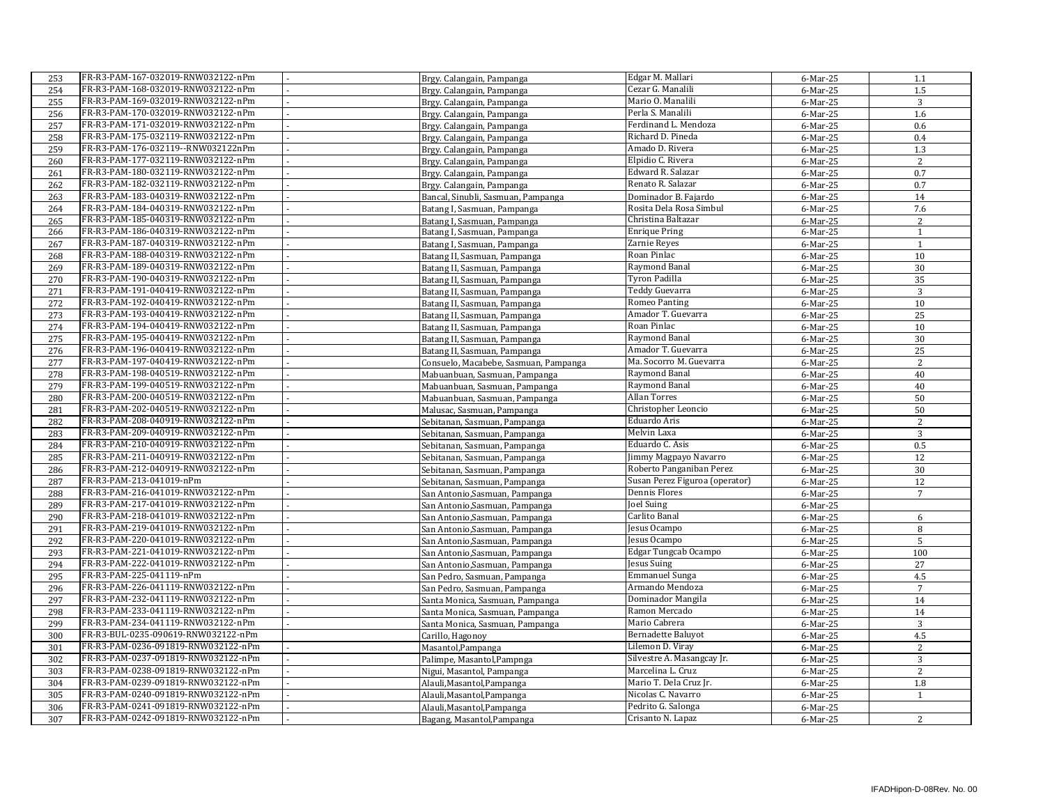| 253 | FR-R3-PAM-167-032019-RNW032122-nPm  | Brgy. Calangain, Pampanga             | Edgar M. Mallari               | 6-Mar-25    | 1.1            |
|-----|-------------------------------------|---------------------------------------|--------------------------------|-------------|----------------|
| 254 | FR-R3-PAM-168-032019-RNW032122-nPm  | Brgy. Calangain, Pampanga             | Cezar G. Manalili              | 6-Mar-25    | 1.5            |
| 255 | FR-R3-PAM-169-032019-RNW032122-nPm  | Brgy. Calangain, Pampanga             | Mario O. Manalili              | 6-Mar-25    | 3              |
| 256 | FR-R3-PAM-170-032019-RNW032122-nPm  | Brgy. Calangain, Pampanga             | Perla S. Manalili              | $6$ -Mar-25 | 1.6            |
| 257 | FR-R3-PAM-171-032019-RNW032122-nPm  | Brgy. Calangain, Pampanga             | Ferdinand L. Mendoza           | 6-Mar-25    | 0.6            |
| 258 | FR-R3-PAM-175-032119-RNW032122-nPm  | Brgy. Calangain, Pampanga             | Richard D. Pineda              | $6$ -Mar-25 | 0.4            |
| 259 | FR-R3-PAM-176-032119--RNW032122nPm  | Brgy. Calangain, Pampanga             | Amado D. Rivera                | 6-Mar-25    | 1.3            |
| 260 | FR-R3-PAM-177-032119-RNW032122-nPm  | Brgy. Calangain, Pampanga             | Elpidio C. Rivera              | 6-Mar-25    | 2              |
| 261 | FR-R3-PAM-180-032119-RNW032122-nPm  | Brgy. Calangain, Pampanga             | Edward R. Salazar              | 6-Mar-25    | 0.7            |
| 262 | FR-R3-PAM-182-032119-RNW032122-nPm  | Brgy. Calangain, Pampanga             | Renato R. Salazar              | 6-Mar-25    | 0.7            |
| 263 | FR-R3-PAM-183-040319-RNW032122-nPm  | Bancal, Sinubli, Sasmuan, Pampanga    | Dominador B. Fajardo           | 6-Mar-25    | 14             |
| 264 | FR-R3-PAM-184-040319-RNW032122-nPm  | Batang I, Sasmuan, Pampanga           | Rosita Dela Rosa Simbul        | 6-Mar-25    | 7.6            |
| 265 | FR-R3-PAM-185-040319-RNW032122-nPm  | Batang I. Sasmuan, Pampanga           | Christina Baltazar             | 6-Mar-25    | 2              |
| 266 | FR-R3-PAM-186-040319-RNW032122-nPm  | Batang I, Sasmuan, Pampanga           | <b>Enrique Pring</b>           | 6-Mar-25    | $\mathbf{1}$   |
| 267 | FR-R3-PAM-187-040319-RNW032122-nPm  | Batang I, Sasmuan, Pampanga           | Zarnie Reyes                   | 6-Mar-25    | $\mathbf{1}$   |
| 268 | FR-R3-PAM-188-040319-RNW032122-nPm  | Batang II, Sasmuan, Pampanga          | Roan Pinlac                    | 6-Mar-25    | 10             |
| 269 | FR-R3-PAM-189-040319-RNW032122-nPm  | Batang II, Sasmuan, Pampanga          | Raymond Banal                  | 6-Mar-25    | 30             |
| 270 | FR-R3-PAM-190-040319-RNW032122-nPm  | Batang II, Sasmuan, Pampanga          | Tyron Padilla                  | 6-Mar-25    | 35             |
| 271 | FR-R3-PAM-191-040419-RNW032122-nPm  | Batang II, Sasmuan, Pampanga          | <b>Teddy Guevarra</b>          | 6-Mar-25    | 3              |
| 272 | FR-R3-PAM-192-040419-RNW032122-nPm  | Batang II, Sasmuan, Pampanga          | Romeo Panting                  | 6-Mar-25    | 10             |
| 273 | FR-R3-PAM-193-040419-RNW032122-nPm  | Batang II, Sasmuan, Pampanga          | Amador T. Guevarra             | 6-Mar-25    | 25             |
| 274 | FR-R3-PAM-194-040419-RNW032122-nPm  | Batang II, Sasmuan, Pampanga          | Roan Pinlac                    | 6-Mar-25    | 10             |
| 275 | FR-R3-PAM-195-040419-RNW032122-nPm  | Batang II, Sasmuan, Pampanga          | Raymond Banal                  | 6-Mar-25    | 30             |
|     | FR-R3-PAM-196-040419-RNW032122-nPm  |                                       | Amador T. Guevarra             |             |                |
| 276 | FR-R3-PAM-197-040419-RNW032122-nPm  | Batang II, Sasmuan, Pampanga          | Ma. Socorro M. Guevarra        | 6-Mar-25    | 25             |
| 277 | FR-R3-PAM-198-040519-RNW032122-nPm  | Consuelo, Macabebe, Sasmuan, Pampanga | Raymond Banal                  | 6-Mar-25    | $\overline{2}$ |
| 278 | FR-R3-PAM-199-040519-RNW032122-nPm  | Mabuanbuan, Sasmuan, Pampanga         | Raymond Banal                  | 6-Mar-25    | 40             |
| 279 |                                     | Mabuanbuan, Sasmuan, Pampanga         |                                | 6-Mar-25    | 40             |
| 280 | FR-R3-PAM-200-040519-RNW032122-nPm  | Mabuanbuan, Sasmuan, Pampanga         | Allan Torres                   | 6-Mar-25    | 50             |
| 281 | FR-R3-PAM-202-040519-RNW032122-nPm  | Malusac, Sasmuan, Pampanga            | Christopher Leoncio            | 6-Mar-25    | 50             |
| 282 | FR-R3-PAM-208-040919-RNW032122-nPm  | Sebitanan, Sasmuan, Pampanga          | Eduardo Aris                   | 6-Mar-25    | $\sqrt{2}$     |
| 283 | FR-R3-PAM-209-040919-RNW032122-nPm  | Sebitanan, Sasmuan, Pampanga          | Melvin Laxa                    | 6-Mar-25    | $\overline{3}$ |
| 284 | FR-R3-PAM-210-040919-RNW032122-nPm  | Sebitanan, Sasmuan, Pampanga          | Eduardo C. Asis                | 6-Mar-25    | 0.5            |
| 285 | FR-R3-PAM-211-040919-RNW032122-nPm  | Sebitanan, Sasmuan, Pampanga          | Jimmy Magpayo Navarro          | 6-Mar-25    | 12             |
| 286 | FR-R3-PAM-212-040919-RNW032122-nPm  | Sebitanan, Sasmuan, Pampanga          | Roberto Panganiban Perez       | 6-Mar-25    | 30             |
| 287 | FR-R3-PAM-213-041019-nPm            | Sebitanan, Sasmuan, Pampanga          | Susan Perez Figuroa (operator) | 6-Mar-25    | 12             |
| 288 | FR-R3-PAM-216-041019-RNW032122-nPm  | San Antonio, Sasmuan, Pampanga        | Dennis Flores                  | 6-Mar-25    | $\overline{7}$ |
| 289 | FR-R3-PAM-217-041019-RNW032122-nPm  | San Antonio, Sasmuan, Pampanga        | Joel Suing                     | 6-Mar-25    |                |
| 290 | FR-R3-PAM-218-041019-RNW032122-nPm  | San Antonio, Sasmuan, Pampanga        | Carlito Banal                  | 6-Mar-25    | 6              |
| 291 | FR-R3-PAM-219-041019-RNW032122-nPm  | San Antonio, Sasmuan, Pampanga        | Jesus Ocampo                   | 6-Mar-25    | 8              |
| 292 | FR-R3-PAM-220-041019-RNW032122-nPm  | San Antonio, Sasmuan, Pampanga        | Jesus Ocampo                   | 6-Mar-25    | 5              |
| 293 | FR-R3-PAM-221-041019-RNW032122-nPm  | San Antonio, Sasmuan, Pampanga        | Edgar Tungcab Ocampo           | 6-Mar-25    | 100            |
| 294 | FR-R3-PAM-222-041019-RNW032122-nPm  | San Antonio, Sasmuan, Pampanga        | Jesus Suing                    | 6-Mar-25    | 27             |
| 295 | FR-R3-PAM-225-041119-nPm            | San Pedro, Sasmuan, Pampanga          | <b>Emmanuel Sunga</b>          | 6-Mar-25    | 4.5            |
| 296 | FR-R3-PAM-226-041119-RNW032122-nPm  | San Pedro, Sasmuan, Pampanga          | Armando Mendoza                | 6-Mar-25    | $\overline{7}$ |
| 297 | FR-R3-PAM-232-041119-RNW032122-nPm  | Santa Monica, Sasmuan, Pampanga       | Dominador Mangila              | $6$ -Mar-25 | 14             |
| 298 | FR-R3-PAM-233-041119-RNW032122-nPm  | Santa Monica, Sasmuan, Pampanga       | Ramon Mercado                  | 6-Mar-25    | 14             |
| 299 | FR-R3-PAM-234-041119-RNW032122-nPm  | Santa Monica, Sasmuan, Pampanga       | Mario Cabrera                  | 6-Mar-25    | 3              |
| 300 | FR-R3-BUL-0235-090619-RNW032122-nPm | Carillo, Hagonoy                      | Bernadette Baluyot             | 6-Mar-25    | 4.5            |
| 301 | FR-R3-PAM-0236-091819-RNW032122-nPm | Masantol, Pampanga                    | Lilemon D. Viray               | $6$ -Mar-25 | $\sqrt{2}$     |
| 302 | FR-R3-PAM-0237-091819-RNW032122-nPm | Palimpe, Masantol, Pampnga            | Silvestre A. Masangcay Jr.     | 6-Mar-25    | 3              |
| 303 | FR-R3-PAM-0238-091819-RNW032122-nPm | Nigui, Masantol, Pampanga             | Marcelina L. Cruz              | 6-Mar-25    | $\overline{2}$ |
| 304 | FR-R3-PAM-0239-091819-RNW032122-nPm | Alauli, Masantol, Pampanga            | Mario T. Dela Cruz Jr.         | $6$ -Mar-25 | 1.8            |
| 305 | FR-R3-PAM-0240-091819-RNW032122-nPm | Alauli, Masantol, Pampanga            | Nicolas C. Navarro             | 6-Mar-25    | $\mathbf{1}$   |
| 306 | FR-R3-PAM-0241-091819-RNW032122-nPm | Alauli, Masantol, Pampanga            | Pedrito G. Salonga             | 6-Mar-25    |                |
| 307 | FR-R3-PAM-0242-091819-RNW032122-nPm | Bagang, Masantol, Pampanga            | Crisanto N. Lapaz              | 6-Mar-25    | 2              |
|     |                                     |                                       |                                |             |                |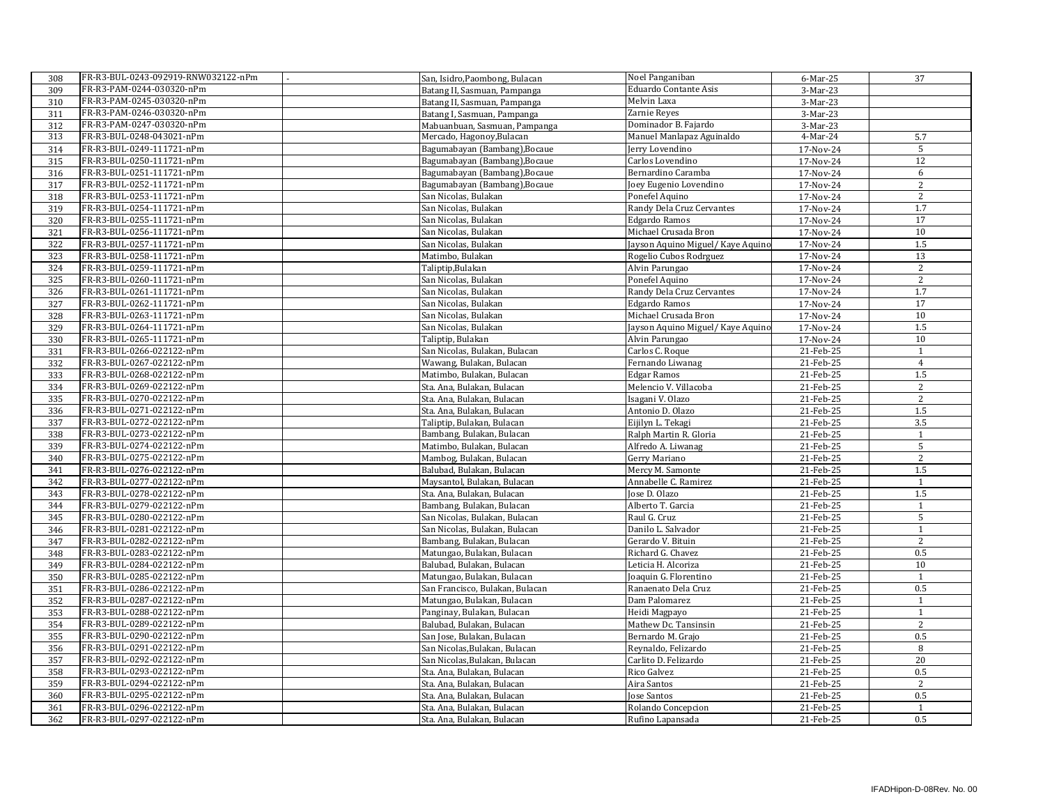| 308        | FR-R3-BUL-0243-092919-RNW032122-nPm                    | San, Isidro, Paombong, Bulacan                        | Noel Panganiban                   | 6-Mar-25  | 37              |
|------------|--------------------------------------------------------|-------------------------------------------------------|-----------------------------------|-----------|-----------------|
| 309        | FR-R3-PAM-0244-030320-nPm                              | Batang II, Sasmuan, Pampanga                          | Eduardo Contante Asis             | 3-Mar-23  |                 |
| 310        | FR-R3-PAM-0245-030320-nPm                              | Batang II, Sasmuan, Pampanga                          | Melvin Laxa                       | 3-Mar-23  |                 |
| 311        | FR-R3-PAM-0246-030320-nPm                              | Batang I, Sasmuan, Pampanga                           | Zarnie Reyes                      | 3-Mar-23  |                 |
| 312        | FR-R3-PAM-0247-030320-nPm                              | Mabuanbuan, Sasmuan, Pampanga                         | Dominador B. Fajardo              | 3-Mar-23  |                 |
| 313        | FR-R3-BUL-0248-043021-nPm                              | Mercado, Hagonoy, Bulacan                             | Manuel Manlapaz Aguinaldo         | 4-Mar-24  | 5.7             |
| 314        | FR-R3-BUL-0249-111721-nPm                              | Bagumabayan (Bambang), Bocaue                         | Jerry Lovendino                   | 17-Nov-24 | 5               |
| 315        | FR-R3-BUL-0250-111721-nPm                              | Bagumabayan (Bambang), Bocaue                         | Carlos Lovendino                  | 17-Nov-24 | 12              |
| 316        | FR-R3-BUL-0251-111721-nPm                              | Bagumabayan (Bambang), Bocaue                         | Bernardino Caramba                | 17-Nov-24 | 6               |
| 317        | FR-R3-BUL-0252-111721-nPm                              | Bagumabayan (Bambang), Bocaue                         | Joey Eugenio Lovendino            | 17-Nov-24 | 2               |
| 318        | FR-R3-BUL-0253-111721-nPm                              | San Nicolas, Bulakan                                  | Ponefel Aquino                    | 17-Nov-24 | 2               |
| 319        | FR-R3-BUL-0254-111721-nPm                              | San Nicolas, Bulakan                                  | Randy Dela Cruz Cervantes         | 17-Nov-24 | 1.7             |
| 320        | FR-R3-BUL-0255-111721-nPm                              | San Nicolas, Bulakan                                  | Edgardo Ramos                     | 17-Nov-24 | 17              |
| 321        | FR-R3-BUL-0256-111721-nPm                              | San Nicolas, Bulakan                                  | Michael Crusada Bron              | 17-Nov-24 | 10              |
| 322        | FR-R3-BUL-0257-111721-nPm                              | San Nicolas, Bulakan                                  | Jayson Aquino Miguel/ Kaye Aquino | 17-Nov-24 | 1.5             |
| 323        | FR-R3-BUL-0258-111721-nPm                              | Matimbo, Bulakan                                      | Rogelio Cubos Rodrguez            | 17-Nov-24 | 13              |
| 324        | FR-R3-BUL-0259-111721-nPm                              | Taliptip, Bulakan                                     | Alvin Parungao                    | 17-Nov-24 | $\overline{2}$  |
| 325        | FR-R3-BUL-0260-111721-nPm                              | San Nicolas, Bulakan                                  | Ponefel Aquino                    | 17-Nov-24 | 2               |
| 326        | FR-R3-BUL-0261-111721-nPm                              | San Nicolas, Bulakan                                  | Randy Dela Cruz Cervantes         | 17-Nov-24 | 1.7             |
| 327        | FR-R3-BUL-0262-111721-nPm                              | San Nicolas, Bulakan                                  | Edgardo Ramos                     | 17-Nov-24 | $\overline{17}$ |
| 328        | FR-R3-BUL-0263-111721-nPm                              | San Nicolas, Bulakan                                  | Michael Crusada Bron              | 17-Nov-24 | 10              |
| 329        | FR-R3-BUL-0264-111721-nPm                              | San Nicolas, Bulakan                                  | Jayson Aquino Miguel/ Kaye Aquino | 17-Nov-24 | 1.5             |
| 330        | FR-R3-BUL-0265-111721-nPm                              | Taliptip, Bulakan                                     | Alvin Parungao                    | 17-Nov-24 | 10              |
| 331        | FR-R3-BUL-0266-022122-nPm                              | San Nicolas, Bulakan, Bulacan                         | Carlos C. Roque                   | 21-Feb-25 | $\mathbf{1}$    |
| 332        | FR-R3-BUL-0267-022122-nPm                              |                                                       | Fernando Liwanag                  | 21-Feb-25 | $\overline{4}$  |
| 333        | FR-R3-BUL-0268-022122-nPm                              | Wawang, Bulakan, Bulacan<br>Matimbo, Bulakan, Bulacan | Edgar Ramos                       | 21-Feb-25 | $1.5\,$         |
|            | FR-R3-BUL-0269-022122-nPm                              | Sta. Ana, Bulakan, Bulacan                            |                                   | 21-Feb-25 |                 |
| 334<br>335 | FR-R3-BUL-0270-022122-nPm                              |                                                       | Melencio V. Villacoba             |           | 2<br>2          |
|            |                                                        | Sta. Ana, Bulakan, Bulacan                            | Isagani V. Olazo                  | 21-Feb-25 |                 |
| 336        | FR-R3-BUL-0271-022122-nPm<br>FR-R3-BUL-0272-022122-nPm | Sta. Ana, Bulakan, Bulacan                            | Antonio D. Olazo                  | 21-Feb-25 | $1.5\,$         |
| 337        | FR-R3-BUL-0273-022122-nPm                              | Taliptip, Bulakan, Bulacan                            | Eijilyn L. Tekagi                 | 21-Feb-25 | 3.5             |
| 338        |                                                        | Bambang, Bulakan, Bulacan                             | Ralph Martin R. Gloria            | 21-Feb-25 | $\mathbf{1}$    |
| 339        | FR-R3-BUL-0274-022122-nPm                              | Matimbo, Bulakan, Bulacan                             | Alfredo A. Liwanag                | 21-Feb-25 | $\sqrt{5}$      |
| 340        | FR-R3-BUL-0275-022122-nPm                              | Mambog, Bulakan, Bulacan                              | Gerry Mariano                     | 21-Feb-25 | 2               |
| 341        | FR-R3-BUL-0276-022122-nPm                              | Balubad, Bulakan, Bulacan                             | Mercy M. Samonte                  | 21-Feb-25 | 1.5             |
| 342        | FR-R3-BUL-0277-022122-nPm                              | Maysantol, Bulakan, Bulacan                           | Annabelle C. Ramirez              | 21-Feb-25 | $\mathbf{1}$    |
| 343        | FR-R3-BUL-0278-022122-nPm                              | Sta. Ana, Bulakan, Bulacan                            | Jose D. Olazo                     | 21-Feb-25 | 1.5             |
| 344        | FR-R3-BUL-0279-022122-nPm                              | Bambang, Bulakan, Bulacan                             | Alberto T. Garcia                 | 21-Feb-25 | $\mathbf{1}$    |
| 345        | FR-R3-BUL-0280-022122-nPm                              | San Nicolas, Bulakan, Bulacan                         | Raul G. Cruz                      | 21-Feb-25 | 5               |
| 346        | FR-R3-BUL-0281-022122-nPm                              | San Nicolas, Bulakan, Bulacan                         | Danilo L. Salvador                | 21-Feb-25 | $\overline{1}$  |
| 347        | FR-R3-BUL-0282-022122-nPm                              | Bambang, Bulakan, Bulacan                             | Gerardo V. Bituin                 | 21-Feb-25 | $\overline{2}$  |
| 348        | FR-R3-BUL-0283-022122-nPm                              | Matungao, Bulakan, Bulacan                            | Richard G. Chavez                 | 21-Feb-25 | 0.5             |
| 349        | FR-R3-BUL-0284-022122-nPm                              | Balubad, Bulakan, Bulacan                             | Leticia H. Alcoriza               | 21-Feb-25 | 10              |
| 350        | FR-R3-BUL-0285-022122-nPm                              | Matungao, Bulakan, Bulacan                            | Joaquin G. Florentino             | 21-Feb-25 | $\mathbf{1}$    |
| 351        | FR-R3-BUL-0286-022122-nPm                              | San Francisco, Bulakan, Bulacan                       | Ranaenato Dela Cruz               | 21-Feb-25 | 0.5             |
| 352        | FR-R3-BUL-0287-022122-nPm                              | Matungao, Bulakan, Bulacan                            | Dam Palomarez                     | 21-Feb-25 | $\mathbf{1}$    |
| 353        | FR-R3-BUL-0288-022122-nPm                              | Panginay, Bulakan, Bulacan                            | Heidi Magpayo                     | 21-Feb-25 | $\mathbf{1}$    |
| 354        | FR-R3-BUL-0289-022122-nPm                              | Balubad, Bulakan, Bulacan                             | Mathew Dc. Tansinsin              | 21-Feb-25 | $\sqrt{2}$      |
| 355        | FR-R3-BUL-0290-022122-nPm                              | San Jose, Bulakan, Bulacan                            | Bernardo M. Grajo                 | 21-Feb-25 | 0.5             |
| 356        | FR-R3-BUL-0291-022122-nPm                              | San Nicolas, Bulakan, Bulacan                         | Reynaldo, Felizardo               | 21-Feb-25 | 8               |
| 357        | FR-R3-BUL-0292-022122-nPm                              | San Nicolas, Bulakan, Bulacan                         | Carlito D. Felizardo              | 21-Feb-25 | 20              |
| 358        | FR-R3-BUL-0293-022122-nPm                              | Sta. Ana, Bulakan, Bulacan                            | Rico Galvez                       | 21-Feb-25 | 0.5             |
| 359        | FR-R3-BUL-0294-022122-nPm                              | Sta. Ana, Bulakan, Bulacan                            | Aira Santos                       | 21-Feb-25 | 2               |
| 360        | FR-R3-BUL-0295-022122-nPm                              | Sta. Ana. Bulakan. Bulacan                            | <b>Jose Santos</b>                | 21-Feb-25 | 0.5             |
| 361        | FR-R3-BUL-0296-022122-nPm                              | Sta. Ana, Bulakan, Bulacan                            | Rolando Concepcion                | 21-Feb-25 | $\mathbf{1}$    |
| 362        | FR-R3-BUL-0297-022122-nPm                              | Sta. Ana, Bulakan, Bulacan                            | Rufino Lapansada                  | 21-Feb-25 | 0.5             |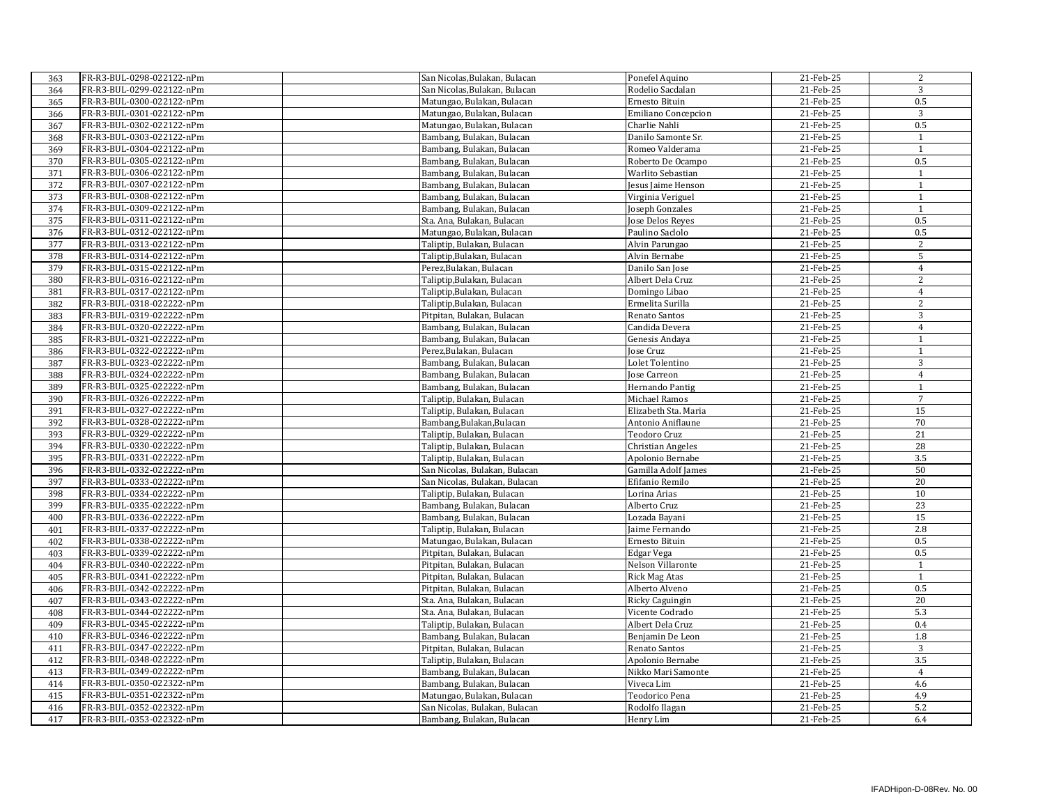| 363 | FR-R3-BUL-0298-022122-nPm  | San Nicolas, Bulakan, Bulacan | Ponefel Aquino             | 21-Feb-25 | 2              |
|-----|----------------------------|-------------------------------|----------------------------|-----------|----------------|
| 364 | FR-R3-BUL-0299-022122-nPm  | San Nicolas, Bulakan, Bulacan | Rodelio Sacdalan           | 21-Feb-25 | 3              |
| 365 | FR-R3-BUL-0300-022122-nPm  | Matungao, Bulakan, Bulacan    | Ernesto Bituin             | 21-Feb-25 | 0.5            |
| 366 | FR-R3-BUL-0301-022122-nPm  | Matungao, Bulakan, Bulacan    | <b>Emiliano Concepcion</b> | 21-Feb-25 | 3              |
| 367 | FR-R3-BUL-0302-022122-nPm  | Matungao, Bulakan, Bulacan    | Charlie Nahli              | 21-Feb-25 | 0.5            |
| 368 | FR-R3-BUL-0303-022122-nPm  | Bambang, Bulakan, Bulacan     | Danilo Samonte Sr.         | 21-Feb-25 | $\mathbf{1}$   |
| 369 | FR-R3-BUL-0304-022122-nPm  | Bambang, Bulakan, Bulacan     | Romeo Valderama            | 21-Feb-25 | $\overline{1}$ |
| 370 | FR-R3-BUL-0305-022122-nPm  | Bambang, Bulakan, Bulacan     | Roberto De Ocampo          | 21-Feb-25 | 0.5            |
| 371 | FR-R3-BUL-0306-022122-nPm  | Bambang, Bulakan, Bulacan     | Warlito Sebastian          | 21-Feb-25 | 1              |
| 372 | FR-R3-BUL-0307-022122-nPm  | Bambang, Bulakan, Bulacan     | Jesus Jaime Henson         | 21-Feb-25 | $\overline{1}$ |
| 373 | FR-R3-BUL-0308-022122-nPm  | Bambang, Bulakan, Bulacan     | Virginia Veriguel          | 21-Feb-25 | $\overline{1}$ |
| 374 | FR-R3-BUL-0309-022122-nPm  | Bambang, Bulakan, Bulacan     | Joseph Gonzales            | 21-Feb-25 | $\mathbf{1}$   |
| 375 | FR-R3-BUL-0311-022122-nPm  | Sta. Ana, Bulakan, Bulacan    | Jose Delos Reyes           | 21-Feb-25 | 0.5            |
| 376 | FR-R3-BUL-0312-022122-nPm  | Matungao, Bulakan, Bulacan    | Paulino Saclolo            | 21-Feb-25 | 0.5            |
| 377 | FR-R3-BUL-0313-022122-nPm  | Taliptip, Bulakan, Bulacan    | Alvin Parungao             | 21-Feb-25 | 2              |
| 378 | FR-R3-BUL-0314-022122-nPm  | Taliptip, Bulakan, Bulacan    | Alvin Bernabe              | 21-Feb-25 | 5              |
| 379 | FR-R3-BUL-0315-022122-nPm  | Perez, Bulakan, Bulacan       | Danilo San Jose            | 21-Feb-25 | $\overline{4}$ |
| 380 | FR-R3-BUL-0316-022122-nPm  | Taliptip, Bulakan, Bulacan    | Albert Dela Cruz           | 21-Feb-25 | $\overline{c}$ |
| 381 | FR-R3-BUL-0317-022122-nPm  | Taliptip, Bulakan, Bulacan    | Domingo Libao              | 21-Feb-25 | $\overline{4}$ |
| 382 | FR-R3-BUL-0318-022222-nPm  | Taliptip, Bulakan, Bulacan    | Ermelita Surilla           | 21-Feb-25 | 2              |
| 383 | FR-R3-BUL-0319-022222-nPm  | Pitpitan, Bulakan, Bulacan    | Renato Santos              | 21-Feb-25 | $\sqrt{3}$     |
| 384 | FR-R3-BUL-0320-022222-nPm  | Bambang, Bulakan, Bulacan     | Candida Devera             | 21-Feb-25 | $\sqrt{4}$     |
| 385 | FR-R3-BUL-0321-022222-nPm  | Bambang, Bulakan, Bulacan     | Genesis Andaya             | 21-Feb-25 | $\mathbf{1}$   |
| 386 | FR-R3-BUL-0322-0222222-nPm | Perez, Bulakan, Bulacan       | Jose Cruz                  | 21-Feb-25 | $\mathbf{1}$   |
| 387 | FR-R3-BUL-0323-0222222-nPm | Bambang, Bulakan, Bulacan     | Lolet Tolentino            | 21-Feb-25 | $\overline{3}$ |
| 388 | FR-R3-BUL-0324-0222222-nPm | Bambang, Bulakan, Bulacan     | Jose Carreon               | 21-Feb-25 | $\overline{4}$ |
| 389 | FR-R3-BUL-0325-0222222-nPm | Bambang, Bulakan, Bulacan     | Hernando Pantig            | 21-Feb-25 | $\mathbf{1}$   |
| 390 | FR-R3-BUL-0326-0222222-nPm | Taliptip, Bulakan, Bulacan    | Michael Ramos              | 21-Feb-25 | $\overline{7}$ |
| 391 | FR-R3-BUL-0327-0222222-nPm | Taliptip, Bulakan, Bulacan    | Elizabeth Sta. Maria       | 21-Feb-25 | 15             |
| 392 | FR-R3-BUL-0328-022222-nPm  | Bambang, Bulakan, Bulacan     | Antonio Aniflaune          | 21-Feb-25 | 70             |
| 393 | FR-R3-BUL-0329-0222222-nPm | Taliptip, Bulakan, Bulacan    | Teodoro Cruz               | 21-Feb-25 | 21             |
| 394 | FR-R3-BUL-0330-022222-nPm  | Taliptip, Bulakan, Bulacan    | <b>Christian Angeles</b>   | 21-Feb-25 | 28             |
| 395 | FR-R3-BUL-0331-022222-nPm  | Taliptip, Bulakan, Bulacan    | Apolonio Bernabe           | 21-Feb-25 | 3.5            |
| 396 | FR-R3-BUL-0332-0222222-nPm | San Nicolas, Bulakan, Bulacan | Gamilla Adolf James        | 21-Feb-25 | 50             |
| 397 | FR-R3-BUL-0333-022222-nPm  | San Nicolas, Bulakan, Bulacan | Efifanio Remilo            | 21-Feb-25 | 20             |
| 398 | FR-R3-BUL-0334-0222222-nPm | Taliptip, Bulakan, Bulacan    | Lorina Arias               | 21-Feb-25 | 10             |
| 399 | FR-R3-BUL-0335-022222-nPm  | Bambang, Bulakan, Bulacan     | Alberto Cruz               | 21-Feb-25 | 23             |
| 400 | FR-R3-BUL-0336-022222-nPm  | Bambang, Bulakan, Bulacan     | Lozada Bayani              | 21-Feb-25 | 15             |
| 401 | FR-R3-BUL-0337-022222-nPm  | Taliptip, Bulakan, Bulacan    | Jaime Fernando             | 21-Feb-25 | 2.8            |
| 402 | FR-R3-BUL-0338-022222-nPm  | Matungao, Bulakan, Bulacan    | Ernesto Bituin             | 21-Feb-25 | 0.5            |
| 403 | FR-R3-BUL-0339-022222-nPm  | Pitpitan, Bulakan, Bulacan    | Edgar Vega                 | 21-Feb-25 | $0.5\,$        |
| 404 | FR-R3-BUL-0340-022222-nPm  | Pitpitan, Bulakan, Bulacan    | Nelson Villaronte          | 21-Feb-25 | $\mathbf{1}$   |
| 405 | FR-R3-BUL-0341-022222-nPm  | Pitpitan, Bulakan, Bulacan    | <b>Rick Mag Atas</b>       | 21-Feb-25 | $\mathbf{1}$   |
| 406 | FR-R3-BUL-0342-0222222-nPm | Pitpitan, Bulakan, Bulacan    | Alberto Alveno             | 21-Feb-25 | 0.5            |
| 407 | FR-R3-BUL-0343-022222-nPm  | Sta. Ana, Bulakan, Bulacan    | Ricky Caguingin            | 21-Feb-25 | 20             |
| 408 | FR-R3-BUL-0344-022222-nPm  | Sta. Ana, Bulakan, Bulacan    | Vicente Codrado            | 21-Feb-25 | 5.3            |
| 409 | FR-R3-BUL-0345-022222-nPm  | Taliptip, Bulakan, Bulacan    | Albert Dela Cruz           | 21-Feb-25 | 0.4            |
| 410 | FR-R3-BUL-0346-022222-nPm  | Bambang, Bulakan, Bulacan     | Benjamin De Leon           | 21-Feb-25 | 1.8            |
| 411 | FR-R3-BUL-0347-022222-nPm  | Pitpitan, Bulakan, Bulacan    | Renato Santos              | 21-Feb-25 | 3              |
| 412 | FR-R3-BUL-0348-022222-nPm  | Taliptip, Bulakan, Bulacan    | Apolonio Bernabe           | 21-Feb-25 | 3.5            |
| 413 | FR-R3-BUL-0349-022222-nPm  | Bambang, Bulakan, Bulacan     | Nikko Mari Samonte         | 21-Feb-25 | $\overline{4}$ |
| 414 | FR-R3-BUL-0350-022322-nPm  | Bambang, Bulakan, Bulacan     | Viveca Lim                 | 21-Feb-25 | 4.6            |
| 415 | FR-R3-BUL-0351-022322-nPm  | Matungao, Bulakan, Bulacan    | Teodorico Pena             | 21-Feb-25 | 4.9            |
| 416 | FR-R3-BUL-0352-022322-nPm  | San Nicolas, Bulakan, Bulacan | Rodolfo Ilagan             | 21-Feb-25 | 5.2            |
| 417 | FR-R3-BUL-0353-022322-nPm  | Bambang, Bulakan, Bulacan     | Henry Lim                  | 21-Feb-25 | 6.4            |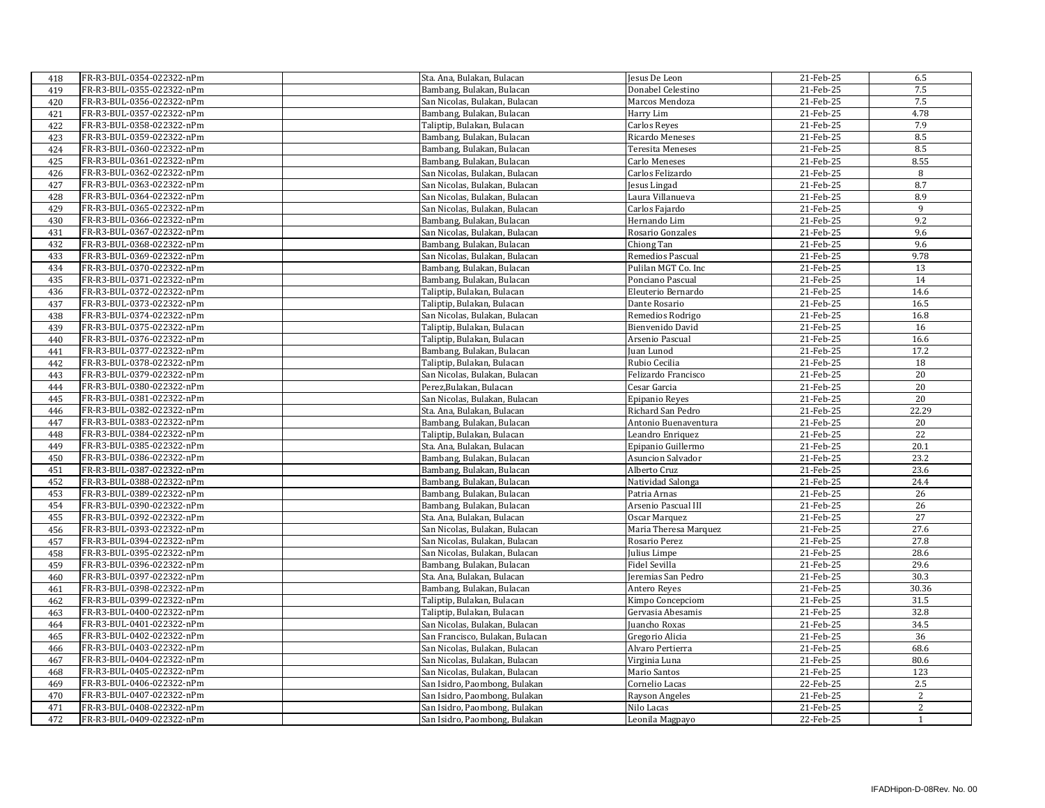| 418 | FR-R3-BUL-0354-022322-nPm | Sta. Ana, Bulakan, Bulacan |                                 | Jesus De Leon         | 21-Feb-25 | 6.5            |
|-----|---------------------------|----------------------------|---------------------------------|-----------------------|-----------|----------------|
| 419 | FR-R3-BUL-0355-022322-nPm |                            | Bambang, Bulakan, Bulacan       | Donabel Celestino     | 21-Feb-25 | 7.5            |
| 420 | FR-R3-BUL-0356-022322-nPm |                            | San Nicolas, Bulakan, Bulacan   | Marcos Mendoza        | 21-Feb-25 | 7.5            |
| 421 | FR-R3-BUL-0357-022322-nPm |                            | Bambang, Bulakan, Bulacan       | Harry Lim             | 21-Feb-25 | 4.78           |
| 422 | FR-R3-BUL-0358-022322-nPm | Taliptip, Bulakan, Bulacan |                                 | Carlos Reyes          | 21-Feb-25 | 7.9            |
| 423 | FR-R3-BUL-0359-022322-nPm |                            | Bambang, Bulakan, Bulacan       | Ricardo Meneses       | 21-Feb-25 | 8.5            |
| 424 | FR-R3-BUL-0360-022322-nPm |                            | Bambang, Bulakan, Bulacan       | Teresita Meneses      | 21-Feb-25 | 8.5            |
| 425 | FR-R3-BUL-0361-022322-nPm |                            | Bambang, Bulakan, Bulacan       | Carlo Meneses         | 21-Feb-25 | 8.55           |
| 426 | FR-R3-BUL-0362-022322-nPm |                            | San Nicolas, Bulakan, Bulacan   | Carlos Felizardo      | 21-Feb-25 | 8              |
| 427 | FR-R3-BUL-0363-022322-nPm |                            | San Nicolas, Bulakan, Bulacan   | Jesus Lingad          | 21-Feb-25 | 8.7            |
| 428 | FR-R3-BUL-0364-022322-nPm |                            | San Nicolas, Bulakan, Bulacan   | Laura Villanueva      | 21-Feb-25 | 8.9            |
| 429 | FR-R3-BUL-0365-022322-nPm |                            | San Nicolas, Bulakan, Bulacan   | Carlos Fajardo        | 21-Feb-25 | $\overline{9}$ |
| 430 | FR-R3-BUL-0366-022322-nPm |                            | Bambang, Bulakan, Bulacan       | Hernando Lim          | 21-Feb-25 | 9.2            |
| 431 | FR-R3-BUL-0367-022322-nPm |                            | San Nicolas, Bulakan, Bulacan   | Rosario Gonzales      | 21-Feb-25 | 9.6            |
| 432 | FR-R3-BUL-0368-022322-nPm |                            | Bambang, Bulakan, Bulacan       | Chiong Tan            | 21-Feb-25 | 9.6            |
| 433 | FR-R3-BUL-0369-022322-nPm |                            | San Nicolas, Bulakan, Bulacan   | Remedios Pascual      | 21-Feb-25 | 9.78           |
| 434 | FR-R3-BUL-0370-022322-nPm |                            | Bambang, Bulakan, Bulacan       | Pulilan MGT Co. Inc   | 21-Feb-25 | 13             |
| 435 | FR-R3-BUL-0371-022322-nPm |                            | Bambang, Bulakan, Bulacan       | Ponciano Pascual      | 21-Feb-25 | 14             |
| 436 | FR-R3-BUL-0372-022322-nPm |                            | Taliptip, Bulakan, Bulacan      | Eleuterio Bernardo    | 21-Feb-25 | 14.6           |
| 437 | FR-R3-BUL-0373-022322-nPm |                            | Taliptip, Bulakan, Bulacan      | Dante Rosario         | 21-Feb-25 | 16.5           |
| 438 | FR-R3-BUL-0374-022322-nPm |                            | San Nicolas, Bulakan, Bulacan   | Remedios Rodrigo      | 21-Feb-25 | 16.8           |
| 439 | FR-R3-BUL-0375-022322-nPm | Taliptip, Bulakan, Bulacan |                                 | Bienvenido David      | 21-Feb-25 | 16             |
| 440 | FR-R3-BUL-0376-022322-nPm | Taliptip, Bulakan, Bulacan |                                 | Arsenio Pascual       | 21-Feb-25 | 16.6           |
| 441 | FR-R3-BUL-0377-022322-nPm |                            | Bambang, Bulakan, Bulacan       | Juan Lunod            | 21-Feb-25 | 17.2           |
| 442 | FR-R3-BUL-0378-022322-nPm | Taliptip, Bulakan, Bulacan |                                 | Rubio Cecilia         | 21-Feb-25 | 18             |
| 443 | FR-R3-BUL-0379-022322-nPm |                            | San Nicolas, Bulakan, Bulacan   | Felizardo Francisco   | 21-Feb-25 | 20             |
| 444 | FR-R3-BUL-0380-022322-nPm | Perez, Bulakan, Bulacan    |                                 | Cesar Garcia          | 21-Feb-25 | 20             |
| 445 | FR-R3-BUL-0381-022322-nPm |                            | San Nicolas, Bulakan, Bulacan   | Epipanio Reyes        | 21-Feb-25 | 20             |
| 446 | FR-R3-BUL-0382-022322-nPm |                            | Sta. Ana, Bulakan, Bulacan      | Richard San Pedro     | 21-Feb-25 | 22.29          |
| 447 | FR-R3-BUL-0383-022322-nPm |                            | Bambang, Bulakan, Bulacan       | Antonio Buenaventura  | 21-Feb-25 | 20             |
| 448 | FR-R3-BUL-0384-022322-nPm |                            | Taliptip, Bulakan, Bulacan      | Leandro Enriquez      | 21-Feb-25 | 22             |
| 449 | FR-R3-BUL-0385-022322-nPm |                            | Sta. Ana, Bulakan, Bulacan      | Epipanio Guillermo    | 21-Feb-25 | 20.1           |
| 450 | FR-R3-BUL-0386-022322-nPm |                            | Bambang, Bulakan, Bulacan       | Asuncion Salvador     | 21-Feb-25 | 23.2           |
| 451 | FR-R3-BUL-0387-022322-nPm |                            | Bambang, Bulakan, Bulacan       | Alberto Cruz          | 21-Feb-25 | 23.6           |
| 452 | FR-R3-BUL-0388-022322-nPm |                            | Bambang, Bulakan, Bulacan       | Natividad Salonga     | 21-Feb-25 | 24.4           |
| 453 | FR-R3-BUL-0389-022322-nPm |                            | Bambang, Bulakan, Bulacan       | Patria Arnas          | 21-Feb-25 | 26             |
| 454 | FR-R3-BUL-0390-022322-nPm |                            | Bambang, Bulakan, Bulacan       | Arsenio Pascual III   | 21-Feb-25 | 26             |
| 455 | FR-R3-BUL-0392-022322-nPm |                            | Sta. Ana, Bulakan, Bulacan      | Oscar Marquez         | 21-Feb-25 | 27             |
| 456 | FR-R3-BUL-0393-022322-nPm |                            | San Nicolas, Bulakan, Bulacan   | Maria Theresa Marquez | 21-Feb-25 | 27.6           |
| 457 | FR-R3-BUL-0394-022322-nPm |                            | San Nicolas, Bulakan, Bulacan   | Rosario Perez         | 21-Feb-25 | 27.8           |
| 458 | FR-R3-BUL-0395-022322-nPm |                            | San Nicolas, Bulakan, Bulacan   | Julius Limpe          | 21-Feb-25 | 28.6           |
| 459 | FR-R3-BUL-0396-022322-nPm |                            | Bambang, Bulakan, Bulacan       | Fidel Sevilla         | 21-Feb-25 | 29.6           |
| 460 | FR-R3-BUL-0397-022322-nPm |                            | Sta. Ana, Bulakan, Bulacan      | Jeremias San Pedro    | 21-Feb-25 | 30.3           |
| 461 | FR-R3-BUL-0398-022322-nPm |                            | Bambang, Bulakan, Bulacan       | Antero Reyes          | 21-Feb-25 | 30.36          |
| 462 | FR-R3-BUL-0399-022322-nPm |                            | Taliptip, Bulakan, Bulacan      | Kimpo Concepciom      | 21-Feb-25 | 31.5           |
| 463 | FR-R3-BUL-0400-022322-nPm | Taliptip, Bulakan, Bulacan |                                 | Gervasia Abesamis     | 21-Feb-25 | 32.8           |
| 464 | FR-R3-BUL-0401-022322-nPm |                            | San Nicolas, Bulakan, Bulacan   | Juancho Roxas         | 21-Feb-25 | 34.5           |
| 465 | FR-R3-BUL-0402-022322-nPm |                            | San Francisco, Bulakan, Bulacan | Gregorio Alicia       | 21-Feb-25 | 36             |
| 466 | FR-R3-BUL-0403-022322-nPm |                            | San Nicolas, Bulakan, Bulacan   | Alvaro Pertierra      | 21-Feb-25 | 68.6           |
| 467 | FR-R3-BUL-0404-022322-nPm |                            | San Nicolas, Bulakan, Bulacan   | Virginia Luna         | 21-Feb-25 | 80.6           |
| 468 | FR-R3-BUL-0405-022322-nPm |                            | San Nicolas, Bulakan, Bulacan   | Mario Santos          | 21-Feb-25 | 123            |
| 469 | FR-R3-BUL-0406-022322-nPm |                            | San Isidro, Paombong, Bulakan   | Cornelio Lacas        | 22-Feb-25 | 2.5            |
| 470 | FR-R3-BUL-0407-022322-nPm |                            | San Isidro, Paombong, Bulakan   | Rayson Angeles        | 21-Feb-25 | 2              |
| 471 | FR-R3-BUL-0408-022322-nPm |                            | San Isidro, Paombong, Bulakan   | Nilo Lacas            | 21-Feb-25 | 2              |
| 472 | FR-R3-BUL-0409-022322-nPm |                            | San Isidro, Paombong, Bulakan   | Leonila Magpayo       | 22-Feb-25 | $\mathbf{1}$   |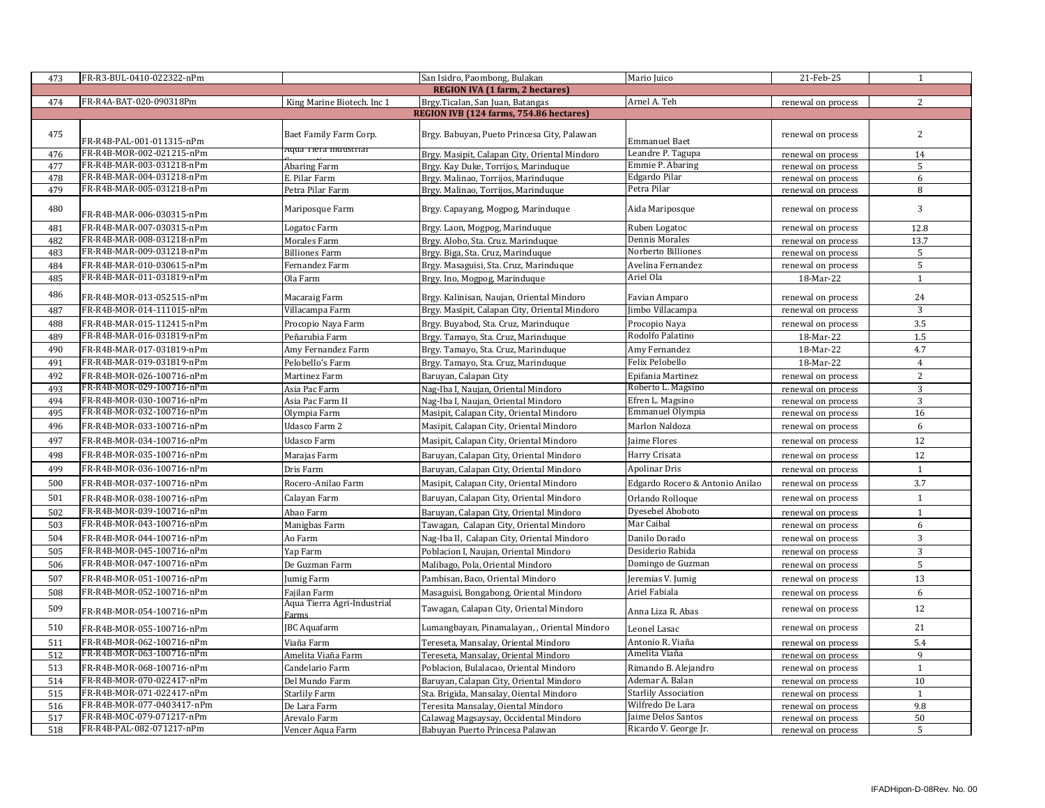| 473 | FR-R3-BUL-0410-022322-nPm  |                                      | San Isidro, Paombong, Bulakan                 | Mario Juico                             | 21-Feb-25                                | $\mathbf{1}$   |
|-----|----------------------------|--------------------------------------|-----------------------------------------------|-----------------------------------------|------------------------------------------|----------------|
|     |                            |                                      | <b>REGION IVA (1 farm, 2 hectares)</b>        |                                         |                                          |                |
| 474 | FR-R4A-BAT-020-090318Pm    | King Marine Biotech. Inc 1           | Brgy.Ticalan, San Juan, Batangas              | Arnel A. Teh                            | renewal on process                       | 2              |
|     |                            |                                      | REGION IVB (124 farms, 754.86 hectares)       |                                         |                                          |                |
| 475 | FR-R4B-PAL-001-011315-nPm  | Baet Family Farm Corp.               | Brgy. Babuyan, Pueto Princesa City, Palawan   | <b>Emmanuel Baet</b>                    | renewal on process                       | 2              |
| 476 | FR-R4B-MOR-002-021215-nPm  | Aqua Tiera muustriar                 | Brgy. Masipit, Calapan City, Oriental Mindoro | Leandre P. Tagupa                       | renewal on process                       | 14             |
| 477 | FR-R4B-MAR-003-031218-nPm  | Abaring Farm                         | Brgy. Kay Duke, Torrijos, Marinduque          | Emmie P. Abaring                        | renewal on process                       | 5              |
| 478 | FR-R4B-MAR-004-031218-nPm  | E. Pilar Farm                        | Brgy. Malinao, Torrijos, Marinduque           | Edgardo Pilar                           | renewal on process                       | 6              |
| 479 | FR-R4B-MAR-005-031218-nPm  | Petra Pilar Farm                     | Brgy. Malinao, Torrijos, Marinduque           | Petra Pilar                             | renewal on process                       | 8              |
| 480 | FR-R4B-MAR-006-030315-nPm  | Mariposque Farm                      | Brgy. Capayang, Mogpog, Marinduque            | Aida Mariposque                         | renewal on process                       | 3              |
| 481 | FR-R4B-MAR-007-030315-nPm  | Logatoc Farm                         | Brgy. Laon, Mogpog, Marinduque                | Ruben Logatoc                           | renewal on process                       | 12.8           |
| 482 | FR-R4B-MAR-008-031218-nPm  | Morales Farm                         | Brgy. Alobo, Sta. Cruz. Marinduque            | Dennis Morales                          | renewal on process                       | 13.7           |
| 483 | FR-R4B-MAR-009-031218-nPm  | <b>Billiones Farm</b>                | Brgy. Biga, Sta. Cruz, Marinduque             | Norberto Billiones                      | renewal on process                       | 5              |
| 484 | FR-R4B-MAR-010-030615-nPm  | Fernandez Farm                       | Brgy. Masaguisi, Sta. Cruz, Marinduque        | Avelina Fernandez                       | renewal on process                       | 5              |
| 485 | FR-R4B-MAR-011-031819-nPm  | Ola Farm                             | Brgy. Ino, Mogpog, Marinduque                 | Ariel Ola                               | 18-Mar-22                                | $\mathbf{1}$   |
| 486 | FR-R4B-MOR-013-052515-nPm  | Macaraig Farm                        | Brgy. Kalinisan, Naujan, Oriental Mindoro     | Favian Amparo                           | renewal on process                       | 24             |
| 487 | FR-R4B-MOR-014-111015-nPm  | Villacampa Farm                      | Brgy. Masipit, Calapan City, Oriental Mindoro | Jimbo Villacampa                        | renewal on process                       | $\overline{3}$ |
| 488 | FR-R4B-MAR-015-112415-nPm  | Procopio Naya Farm                   | Brgy. Buyabod, Sta. Cruz, Marinduque          | Procopio Nava                           | renewal on process                       | 3.5            |
| 489 | FR-R4B-MAR-016-031819-nPm  | Peñarubia Farm                       | Brgy. Tamayo, Sta. Cruz, Marinduque           | Rodolfo Palatino                        | 18-Mar-22                                | 1.5            |
| 490 | FR-R4B-MAR-017-031819-nPm  | Amy Fernandez Farm                   | Brgy. Tamayo, Sta. Cruz, Marinduque           | Amv Fernandez                           | 18-Mar-22                                | 4.7            |
| 491 | FR-R4B-MAR-019-031819-nPm  | Pelobello's Farm                     | Brgy. Tamayo, Sta. Cruz, Marinduque           | Felix Pelobello                         | 18-Mar-22                                | $\overline{4}$ |
| 492 | FR-R4B-MOR-026-100716-nPm  | Martinez Farm                        | Baruyan, Calapan City                         |                                         |                                          | $\overline{2}$ |
| 493 | FR-R4B-MOR-029-100716-nPm  | Asia Pac Farm                        | Nag-Iba I, Naujan, Oriental Mindoro           | Epifania Martinez<br>Roberto L. Magsino | renewal on process                       | 3              |
| 494 | FR-R4B-MOR-030-100716-nPm  | Asia Pac Farm II                     | Nag-Iba I, Naujan, Oriental Mindoro           | Efren L. Magsino                        | renewal on process<br>renewal on process | 3              |
| 495 | FR-R4B-MOR-032-100716-nPm  | Olympia Farm                         | Masipit, Calapan City, Oriental Mindoro       | Emmanuel Olympia                        | renewal on process                       | 16             |
| 496 | FR-R4B-MOR-033-100716-nPm  | Udasco Farm 2                        | Masipit, Calapan City, Oriental Mindoro       | Marlon Naldoza                          | renewal on process                       | 6              |
| 497 | FR-R4B-MOR-034-100716-nPm  | Udasco Farm                          | Masipit, Calapan City, Oriental Mindoro       | Jaime Flores                            | renewal on process                       | 12             |
| 498 | FR-R4B-MOR-035-100716-nPm  | Marajas Farm                         | Baruyan, Calapan City, Oriental Mindoro       | Harry Crisata                           | renewal on process                       | 12             |
| 499 | FR-R4B-MOR-036-100716-nPm  | Dris Farm                            | Baruyan, Calapan City, Oriental Mindoro       | <b>Apolinar Dris</b>                    | renewal on process                       | $\mathbf{1}$   |
| 500 | FR-R4B-MOR-037-100716-nPm  | Rocero-Anilao Farm                   | Masipit, Calapan City, Oriental Mindoro       | Edgardo Rocero & Antonio Anilao         | renewal on process                       | 3.7            |
|     |                            |                                      |                                               |                                         |                                          |                |
| 501 | FR-R4B-MOR-038-100716-nPm  | Calayan Farm                         | Baruyan, Calapan City, Oriental Mindoro       | Orlando Rolloque                        | renewal on process                       | $\mathbf{1}$   |
| 502 | FR-R4B-MOR-039-100716-nPm  | Abao Farm                            | Baruyan, Calapan City, Oriental Mindoro       | Dyesebel Aboboto                        | renewal on process                       | $\mathbf{1}$   |
| 503 | FR-R4B-MOR-043-100716-nPm  | Manigbas Farm                        | Tawagan, Calapan City, Oriental Mindoro       | Mar Caibal                              | renewal on process                       | 6              |
| 504 | FR-R4B-MOR-044-100716-nPm  | Ao Farm                              | Nag-Iba II, Calapan City, Oriental Mindoro    | Danilo Dorado                           | renewal on process                       | 3              |
| 505 | FR-R4B-MOR-045-100716-nPm  | Yap Farm                             | Poblacion I, Naujan, Oriental Mindoro         | Desiderio Rabida                        | renewal on process                       | 3              |
| 506 | FR-R4B-MOR-047-100716-nPm  | De Guzman Farm                       | Malibago, Pola, Oriental Mindoro              | Domingo de Guzman                       | renewal on process                       | $\sqrt{5}$     |
| 507 | FR-R4B-MOR-051-100716-nPm  | Jumig Farm                           | Pambisan, Baco, Oriental Mindoro              | Jeremias V. Jumig                       | renewal on process                       | 13             |
| 508 | FR-R4B-MOR-052-100716-nPm  | Fajilan Farm                         | Masaguisi, Bongabong, Oriental Mindoro        | Ariel Fabiala                           | renewal on process                       | 6              |
| 509 | FR-R4B-MOR-054-100716-nPm  | Aqua Tierra Agri-Industrial<br>Farms | Tawagan, Calapan City, Oriental Mindoro       | Anna Liza R. Abas                       | renewal on process                       | 12             |
| 510 | FR-R4B-MOR-055-100716-nPm  | JBC Aquafarm                         | Lumangbayan, Pinamalayan, , Oriental Mindoro  | Leonel Lasac                            | renewal on process                       | 21             |
| 511 | FR-R4B-MOR-062-100716-nPm  | Viaña Farm                           | Tereseta, Mansalay, Oriental Mindoro          | Antonio R. Viaña                        | renewal on process                       | 5.4            |
| 512 | FR-R4B-MOR-063-100716-nPm  | Amelita Viaña Farm                   | Tereseta, Mansalay, Oriental Mindoro          | Amelita Viaña                           | renewal on process                       | 9              |
| 513 | FR-R4B-MOR-068-100716-nPm  | Candelario Farm                      | Poblacion, Bulalacao, Oriental Mindoro        | Rimando B. Alejandro                    | renewal on process                       | $\mathbf{1}$   |
| 514 | FR-R4B-MOR-070-022417-nPm  | Del Mundo Farm                       | Baruyan, Calapan City, Oriental Mindoro       | Ademar A. Balan                         | renewal on process                       | 10             |
| 515 | FR-R4B-MOR-071-022417-nPm  | Starlily Farm                        | Sta. Brigida, Mansalay, Oiental Mindoro       | Starlily Association                    | renewal on process                       | $\mathbf{1}$   |
| 516 | FR-R4B-MOR-077-0403417-nPm | De Lara Farm                         | Teresita Mansalay, Oiental Mindoro            | Wilfredo De Lara                        | renewal on process                       | 9.8            |
| 517 | FR-R4B-MOC-079-071217-nPm  | Arevalo Farm                         | Calawag Magsaysay, Occidental Mindoro         | Jaime Delos Santos                      | renewal on process                       | 50             |
| 518 | FR-R4B-PAL-082-071217-nPm  | Vencer Aqua Farm                     | Babuyan Puerto Princesa Palawan               | Ricardo V. George Jr.                   | renewal on process                       | 5              |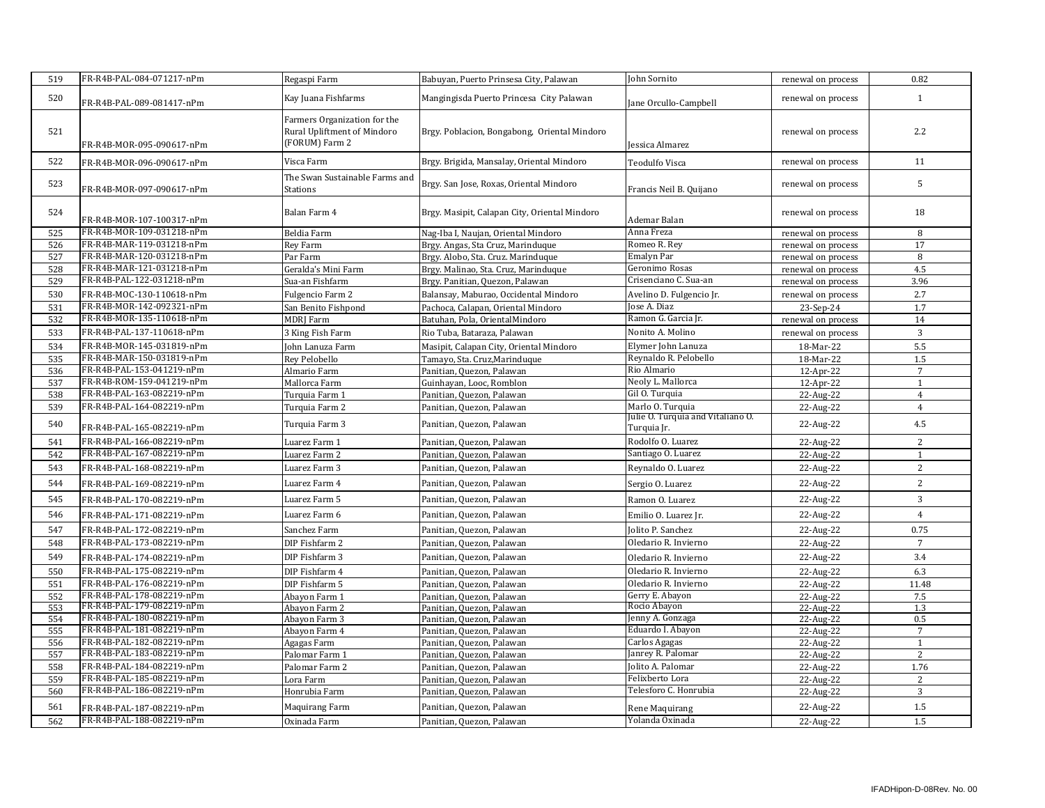| 519 | FR-R4B-PAL-084-071217-nPm                              | Regaspi Farm                                                                  | Babuyan, Puerto Prinsesa City, Palawan        | John Sornito                                     | renewal on process | 0.82            |
|-----|--------------------------------------------------------|-------------------------------------------------------------------------------|-----------------------------------------------|--------------------------------------------------|--------------------|-----------------|
| 520 | FR-R4B-PAL-089-081417-nPm                              | Kay Juana Fishfarms                                                           | Mangingisda Puerto Princesa City Palawan      | Jane Orcullo-Campbell                            | renewal on process | $\mathbf{1}$    |
| 521 | FR-R4B-MOR-095-090617-nPm                              | Farmers Organization for the<br>Rural Upliftment of Mindoro<br>(FORUM) Farm 2 | Brgy. Poblacion, Bongabong, Oriental Mindoro  | <b>Jessica Almarez</b>                           | renewal on process | 2.2             |
| 522 | FR-R4B-MOR-096-090617-nPm                              | Visca Farm                                                                    | Brgy. Brigida, Mansalay, Oriental Mindoro     | Teodulfo Visca                                   | renewal on process | 11              |
| 523 | FR-R4B-MOR-097-090617-nPm                              | The Swan Sustainable Farms and<br>Stations                                    | Brgy. San Jose, Roxas, Oriental Mindoro       | Francis Neil B. Quijano                          | renewal on process | 5               |
| 524 | FR-R4B-MOR-107-100317-nPm                              | Balan Farm 4                                                                  | Brgy. Masipit, Calapan City, Oriental Mindoro | Ademar Balan                                     | renewal on process | 18              |
| 525 | FR-R4B-MOR-109-031218-nPm                              | Beldia Farm                                                                   | Nag-Iba I, Naujan, Oriental Mindoro           | Anna Freza                                       | renewal on process | 8               |
| 526 | FR-R4B-MAR-119-031218-nPm                              | <b>Rev Farm</b>                                                               | Brgy. Angas, Sta Cruz, Marinduque             | Romeo R. Rey                                     | renewal on process | 17              |
| 527 | FR-R4B-MAR-120-031218-nPm                              | Par Farm                                                                      | Brgy. Alobo, Sta. Cruz. Marinduque            | Emalyn Par                                       | renewal on process | 8               |
| 528 | FR-R4B-MAR-121-031218-nPm                              | Geralda's Mini Farm                                                           | Brgy. Malinao, Sta. Cruz, Marinduque          | Geronimo Rosas                                   | renewal on process | 4.5             |
| 529 | FR-R4B-PAL-122-031218-nPm                              | Sua-an Fishfarm                                                               | Brgy. Panitian, Quezon, Palawan               | Crisenciano C. Sua-an                            | renewal on process | 3.96            |
| 530 | FR-R4B-MOC-130-110618-nPm                              | Fulgencio Farm 2                                                              | Balansay, Maburao, Occidental Mindoro         | Avelino D. Fulgencio Jr.                         | renewal on process | 2.7             |
| 531 | FR-R4B-MOR-142-092321-nPm                              | San Benito Fishpond                                                           | Pachoca, Calapan, Oriental Mindoro            | Jose A. Diaz                                     | 23-Sep-24          | 1.7             |
| 532 | FR-R4B-MOR-135-110618-nPm                              | <b>MDRJ</b> Farm                                                              | Batuhan, Pola, OrientalMindoro                | Ramon G. Garcia Jr.                              | renewal on process | 14              |
| 533 | FR-R4B-PAL-137-110618-nPm                              | 3 King Fish Farm                                                              | Rio Tuba, Bataraza, Palawan                   | Nonito A. Molino                                 | renewal on process | 3               |
| 534 | FR-R4B-MOR-145-031819-nPm                              | John Lanuza Farm                                                              | Masipit, Calapan City, Oriental Mindoro       | Elymer John Lanuza                               | 18-Mar-22          | 5.5             |
| 535 | FR-R4B-MAR-150-031819-nPm                              | Rey Pelobello                                                                 | Tamayo, Sta. Cruz, Marinduque                 | Reynaldo R. Pelobello                            | 18-Mar-22          | 1.5             |
| 536 | FR-R4B-PAL-153-041219-nPm                              | Almario Farm                                                                  | Panitian, Quezon, Palawan                     | Rio Almario                                      | 12-Apr-22          | $7\overline{ }$ |
| 537 | FR-R4B-ROM-159-041219-nPm                              | Mallorca Farm                                                                 | Guinhayan, Looc, Romblon                      | Neoly L. Mallorca                                | 12-Apr-22          | $\mathbf{1}$    |
| 538 | FR-R4B-PAL-163-082219-nPm                              | Turquia Farm 1                                                                | Panitian, Quezon, Palawan                     | Gil O. Turquia                                   | 22-Aug-22          | $\overline{4}$  |
| 539 | FR-R4B-PAL-164-082219-nPm                              | Turquia Farm 2                                                                | Panitian, Quezon, Palawan                     | Marlo O. Turquia                                 | 22-Aug-22          | $\overline{4}$  |
| 540 | FR-R4B-PAL-165-082219-nPm                              | Turquia Farm 3                                                                | Panitian, Quezon, Palawan                     | Julie O. Turquia and Vitaliano O.<br>Turquia Jr. | 22-Aug-22          | 4.5             |
| 541 | FR-R4B-PAL-166-082219-nPm                              | uarez Farm 1                                                                  | Panitian, Quezon, Palawan                     | Rodolfo O. Luarez                                | 22-Aug-22          | 2               |
| 542 | FR-R4B-PAL-167-082219-nPm                              | uarez Farm 2                                                                  | Panitian, Quezon, Palawan                     | Santiago O. Luarez                               | 22-Aug-22          | 1               |
| 543 | FR-R4B-PAL-168-082219-nPm                              | uarez Farm 3                                                                  | Panitian, Quezon, Palawan                     | Reynaldo O. Luarez                               | 22-Aug-22          | 2               |
| 544 | FR-R4B-PAL-169-082219-nPm                              | Luarez Farm 4                                                                 | Panitian, Quezon, Palawan                     | Sergio O. Luarez                                 | 22-Aug-22          | 2               |
| 545 | FR-R4B-PAL-170-082219-nPm                              | Luarez Farm 5                                                                 | Panitian, Quezon, Palawan                     | Ramon O. Luarez                                  | 22-Aug-22          | 3               |
| 546 | FR-R4B-PAL-171-082219-nPm                              | Luarez Farm 6                                                                 | Panitian, Quezon, Palawan                     | Emilio O. Luarez Jr.                             | 22-Aug-22          | $\overline{4}$  |
| 547 | FR-R4B-PAL-172-082219-nPm                              | Sanchez Farm                                                                  | Panitian, Quezon, Palawan                     | Jolito P. Sanchez                                | 22-Aug-22          | 0.75            |
| 548 | FR-R4B-PAL-173-082219-nPm                              | DIP Fishfarm 2                                                                | Panitian, Quezon, Palawan                     | Oledario R. Invierno                             | 22-Aug-22          | $7\overline{ }$ |
| 549 | FR-R4B-PAL-174-082219-nPm                              | DIP Fishfarm 3                                                                | Panitian, Quezon, Palawan                     | Oledario R. Invierno                             | 22-Aug-22          | 3.4             |
| 550 | FR-R4B-PAL-175-082219-nPm                              | DIP Fishfarm 4                                                                | Panitian, Quezon, Palawan                     | Oledario R. Invierno                             | 22-Aug-22          | 6.3             |
| 551 | FR-R4B-PAL-176-082219-nPm                              | DIP Fishfarm 5                                                                | Panitian, Quezon, Palawan                     | Oledario R. Invierno                             | 22-Aug-22          | 11.48           |
| 552 | FR-R4B-PAL-178-082219-nPm                              | Abayon Farm 1                                                                 | Panitian, Quezon, Palawan                     | Gerry E. Abayon                                  | 22-Aug-22          | 7.5             |
| 553 | FR-R4B-PAL-179-082219-nPm                              | Abayon Farm 2                                                                 | Panitian, Quezon, Palawan                     | Rocio Abayon                                     | 22-Aug-22          | 1.3             |
| 554 | FR-R4B-PAL-180-082219-nPm                              | Abayon Farm 3                                                                 | Panitian, Quezon, Palawan                     | Jenny A. Gonzaga                                 | 22-Aug-22          | 0.5             |
| 555 | FR-R4B-PAL-181-082219-nPm                              | Abayon Farm 4                                                                 | Panitian, Quezon, Palawan                     | Eduardo I. Abayon                                | 22-Aug-22          | $7\overline{ }$ |
| 556 | FR-R4B-PAL-182-082219-nPm                              | Agagas Farm                                                                   | Panitian, Quezon, Palawan                     | Carlos Agagas                                    | 22-Aug-22          | $\mathbf{1}$    |
| 557 | FR-R4B-PAL-183-082219-nPm                              | Palomar Farm 1                                                                | Panitian, Quezon, Palawan                     | Janrey R. Palomar                                | 22-Aug-22          | 2               |
| 558 | FR-R4B-PAL-184-082219-nPm                              | Palomar Farm 2                                                                | Panitian, Quezon, Palawan                     | Jolito A. Palomar                                | 22-Aug-22          | 1.76            |
| 559 | FR-R4B-PAL-185-082219-nPm                              | Lora Farm                                                                     | Panitian, Quezon, Palawan                     | Felixberto Lora                                  | 22-Aug-22          | 2               |
| 560 | FR-R4B-PAL-186-082219-nPm                              | Honrubia Farm                                                                 | Panitian, Quezon, Palawan                     | Telesforo C. Honrubia                            | 22-Aug-22          | $\overline{3}$  |
| 561 |                                                        | Maquirang Farm                                                                | Panitian, Quezon, Palawan                     |                                                  | 22-Aug-22          | 1.5             |
| 562 | FR-R4B-PAL-187-082219-nPm<br>FR-R4B-PAL-188-082219-nPm |                                                                               | Panitian, Quezon, Palawan                     | Rene Maquirang<br>Yolanda Oxinada                |                    | 1.5             |
|     |                                                        | Oxinada Farm                                                                  |                                               |                                                  | 22-Aug-22          |                 |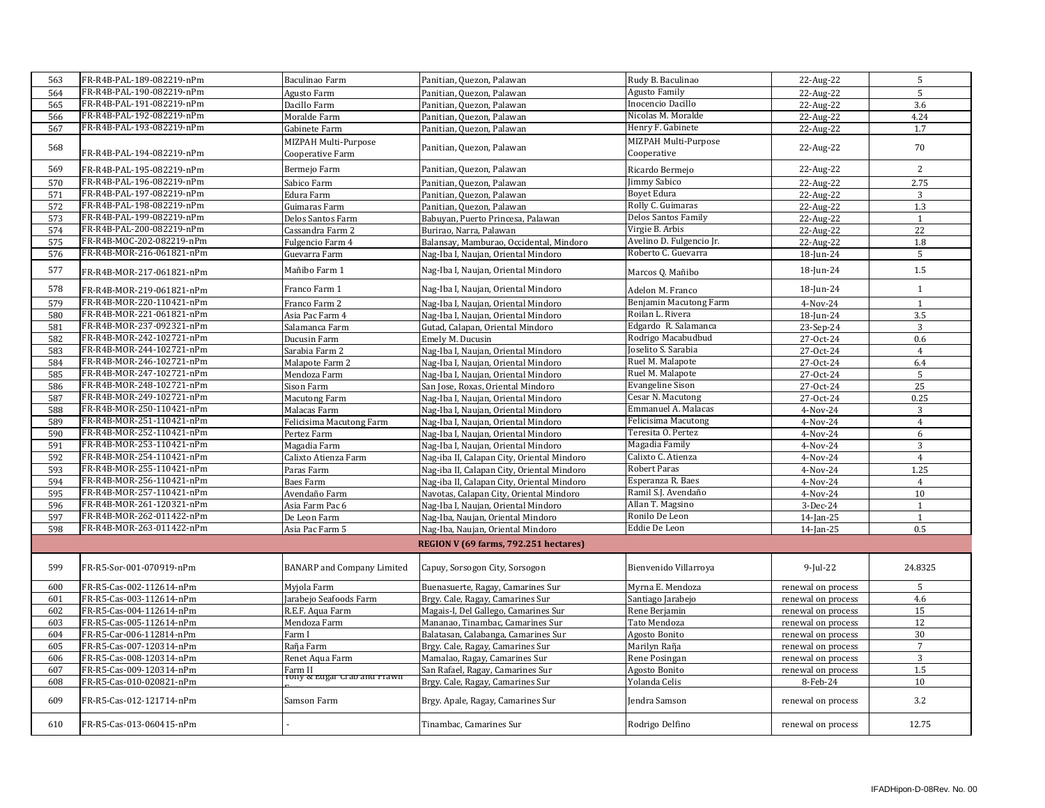| 563 | FR-R4B-PAL-189-082219-nPm | Baculinao Farm                    | Panitian, Quezon, Palawan                  | Rudy B. Baculinao          | 22-Aug-22          | 5              |
|-----|---------------------------|-----------------------------------|--------------------------------------------|----------------------------|--------------------|----------------|
| 564 | FR-R4B-PAL-190-082219-nPm | Agusto Farm                       | Panitian, Quezon, Palawan                  | <b>Agusto Family</b>       | 22-Aug-22          | 5              |
| 565 | FR-R4B-PAL-191-082219-nPm | Dacillo Farm                      | Panitian, Quezon, Palawan                  | Inocencio Dacillo          | 22-Aug-22          | 3.6            |
| 566 | FR-R4B-PAL-192-082219-nPm | Moralde Farm                      | Panitian, Quezon, Palawan                  | Nicolas M. Moralde         | 22-Aug-22          | 4.24           |
| 567 | FR-R4B-PAL-193-082219-nPm | Gabinete Farm                     | Panitian, Quezon, Palawan                  | Henry F. Gabinete          | 22-Aug-22          | 1.7            |
|     |                           | MIZPAH Multi-Purpose              |                                            | MIZPAH Multi-Purpose       |                    |                |
| 568 | FR-R4B-PAL-194-082219-nPm | Cooperative Farm                  | Panitian, Quezon, Palawan                  | Cooperative                | 22-Aug-22          | 70             |
| 569 | FR-R4B-PAL-195-082219-nPm | Bermejo Farm                      | Panitian, Quezon, Palawan                  | Ricardo Bermejo            | 22-Aug-22          | $\overline{c}$ |
|     | FR-R4B-PAL-196-082219-nPm |                                   |                                            | Jimmy Sabico               |                    |                |
| 570 | FR-R4B-PAL-197-082219-nPm | Sabico Farm                       | Panitian, Quezon, Palawan                  | <b>Boyet Edura</b>         | 22-Aug-22          | 2.75           |
| 571 | FR-R4B-PAL-198-082219-nPm | Edura Farm                        | Panitian, Quezon, Palawan                  | Rolly C. Guimaras          | 22-Aug-22          | 3              |
| 572 | FR-R4B-PAL-199-082219-nPm | Guimaras Farm                     | Panitian, Quezon, Palawan                  | Delos Santos Family        | 22-Aug-22          | 1.3            |
| 573 |                           | <b>Delos Santos Farm</b>          | Babuyan, Puerto Princesa, Palawan          |                            | 22-Aug-22          | $\mathbf{1}$   |
| 574 | FR-R4B-PAL-200-082219-nPm | Cassandra Farm 2                  | Burirao, Narra, Palawan                    | Virgie B. Arbis            | 22-Aug-22          | 22             |
| 575 | FR-R4B-MOC-202-082219-nPm | Fulgencio Farm 4                  | Balansay, Mamburao, Occidental, Mindoro    | Avelino D. Fulgencio Jr.   | 22-Aug-22          | 1.8            |
| 576 | FR-R4B-MOR-216-061821-nPm | Guevarra Farm                     | Nag-Iba I, Naujan, Oriental Mindoro        | Roberto C. Guevarra        | 18-Jun-24          | 5              |
| 577 | FR-R4B-MOR-217-061821-nPm | Mañibo Farm 1                     | Nag-Iba I, Naujan, Oriental Mindoro        | Marcos Q. Mañibo           | 18-Jun-24          | 1.5            |
| 578 | FR-R4B-MOR-219-061821-nPm | Franco Farm 1                     | Nag-Iba I, Naujan, Oriental Mindoro        | Adelon M. Franco           | 18-Jun-24          | 1              |
| 579 | FR-R4B-MOR-220-110421-nPm | Franco Farm 2                     | Nag-Iba I, Naujan, Oriental Mindoro        | Benjamin Macutong Farm     | 4-Nov-24           | $\mathbf{1}$   |
| 580 | FR-R4B-MOR-221-061821-nPm | Asia Pac Farm 4                   | Nag-Iba I, Naujan, Oriental Mindoro        | Roilan L. Rivera           | 18-Jun-24          | 3.5            |
| 581 | FR-R4B-MOR-237-092321-nPm | Salamanca Farm                    | Gutad, Calapan, Oriental Mindoro           | Edgardo R. Salamanca       | 23-Sep-24          | 3              |
| 582 | FR-R4B-MOR-242-102721-nPm | Ducusin Farm                      | Emely M. Ducusin                           | Rodrigo Macabudbud         | 27-Oct-24          | 0.6            |
| 583 | FR-R4B-MOR-244-102721-nPm | Sarabia Farm 2                    | Nag-Iba I, Naujan, Oriental Mindoro        | Joselito S. Sarabia        | 27-Oct-24          | $\overline{4}$ |
| 584 | FR-R4B-MOR-246-102721-nPm | Malapote Farm 2                   | Nag-Iba I, Naujan, Oriental Mindoro        | Ruel M. Malapote           | 27-Oct-24          | 6.4            |
| 585 | FR-R4B-MOR-247-102721-nPm | Mendoza Farm                      | Nag-Iba I, Naujan, Oriental Mindoro        | Ruel M. Malapote           | 27-Oct-24          | 5              |
| 586 | FR-R4B-MOR-248-102721-nPm | Sison Farm                        | San Jose, Roxas, Oriental Mindoro          | <b>Evangeline Sison</b>    | 27-Oct-24          | 25             |
| 587 | FR-R4B-MOR-249-102721-nPm | Macutong Farm                     | Nag-Iba I, Naujan, Oriental Mindoro        | Cesar N. Macutong          | 27-Oct-24          | 0.25           |
| 588 | FR-R4B-MOR-250-110421-nPm | Malacas Farm                      | Nag-Iba I, Naujan, Oriental Mindoro        | Emmanuel A. Malacas        | 4-Nov-24           | 3              |
| 589 | FR-R4B-MOR-251-110421-nPm | Felicisima Macutong Farm          | Nag-Iba I, Naujan, Oriental Mindoro        | <b>Felicisima Macutong</b> | 4-Nov-24           | $\overline{4}$ |
| 590 | FR-R4B-MOR-252-110421-nPm | Pertez Farm                       | Nag-Iba I, Naujan, Oriental Mindoro        | Teresita O. Pertez         | 4-Nov-24           | 6              |
| 591 | FR-R4B-MOR-253-110421-nPm | Magadia Farm                      | Nag-Iba I, Naujan, Oriental Mindoro        | Magadia Family             | 4-Nov-24           | 3              |
| 592 | FR-R4B-MOR-254-110421-nPm | Calixto Atienza Farm              | Nag-iba II, Calapan City, Oriental Mindoro | Calixto C. Atienza         | 4-Nov-24           | $\overline{4}$ |
| 593 | FR-R4B-MOR-255-110421-nPm | Paras Farm                        | Nag-iba II, Calapan City, Oriental Mindoro | Robert Paras               | 4-Nov-24           | 1.25           |
| 594 | FR-R4B-MOR-256-110421-nPm | <b>Baes Farm</b>                  | Nag-iba II, Calapan City, Oriental Mindoro | Esperanza R. Baes          | 4-Nov-24           | $\,4\,$        |
| 595 | FR-R4B-MOR-257-110421-nPm | Avendaño Farm                     | Navotas, Calapan City, Oriental Mindoro    | Ramil S.J. Avendaño        | 4-Nov-24           | 10             |
| 596 | FR-R4B-MOR-261-120321-nPm | Asia Farm Pac 6                   | Nag-Iba I, Naujan, Oriental Mindoro        | Allan T. Magsino           | 3-Dec-24           | $\mathbf{1}$   |
| 597 | FR-R4B-MOR-262-011422-nPm | De Leon Farm                      | Nag-Iba, Naujan, Oriental Mindoro          | Ronilo De Leon             | $14$ -Jan-25       | $\mathbf{1}$   |
| 598 | FR-R4B-MOR-263-011422-nPm | Asia Pac Farm 5                   | Nag-Iba, Naujan, Oriental Mindoro          | Eddie De Leon              | 14-Jan-25          | 0.5            |
|     |                           |                                   |                                            |                            |                    |                |
|     |                           |                                   | REGION V (69 farms, 792.251 hectares)      |                            |                    |                |
| 599 | FR-R5-Sor-001-070919-nPm  | <b>BANARP</b> and Company Limited | Capuy, Sorsogon City, Sorsogon             | Bienvenido Villarroya      | $9$ -Jul-22        | 24.8325        |
| 600 | FR-R5-Cas-002-112614-nPm  | Myjola Farm                       | Buenasuerte, Ragay, Camarines Sur          | Myrna E. Mendoza           | renewal on process | 5              |
| 601 | FR-R5-Cas-003-112614-nPm  | Jarabejo Seafoods Farm            | Brgy. Cale, Ragay, Camarines Sur           | Santiago Jarabejo          | renewal on process | 4.6            |
| 602 | FR-R5-Cas-004-112614-nPm  | R.E.F. Aqua Farm                  | Magais-I, Del Gallego, Camarines Sur       | Rene Berjamin              | renewal on process | 15             |
| 603 | FR-R5-Cas-005-112614-nPm  | Mendoza Farm                      | Mananao, Tinambac, Camarines Sur           | Tato Mendoza               | renewal on process | 12             |
| 604 | FR-R5-Car-006-112814-nPm  | Farm I                            | Balatasan, Calabanga, Camarines Sur        | Agosto Bonito              | renewal on process | 30             |
| 605 | FR-R5-Cas-007-120314-nPm  | Raña Farm                         | Brgy. Cale, Ragay, Camarines Sur           | Marilyn Raña               | renewal on process | $\sqrt{7}$     |
| 606 | FR-R5-Cas-008-120314-nPm  | Renet Aqua Farm                   | Mamalao, Ragay, Camarines Sur              | Rene Posingan              | renewal on process | 3              |
| 607 | FR-R5-Cas-009-120314-nPm  | Farm II                           | San Rafael, Ragay, Camarines Sur           | Agosto Bonito              | renewal on process | 1.5            |
| 608 | FR-R5-Cas-010-020821-nPm  | rony & Eugar Grab and Prawn       | Brgy. Cale, Ragay, Camarines Sur           | Yolanda Celis              | 8-Feb-24           | 10             |
|     |                           |                                   |                                            |                            |                    |                |
| 609 | FR-R5-Cas-012-121714-nPm  | Samson Farm                       | Brgy. Apale, Ragay, Camarines Sur          | Jendra Samson              | renewal on process | 3.2            |
| 610 | FR-R5-Cas-013-060415-nPm  |                                   | Tinambac, Camarines Sur                    | Rodrigo Delfino            | renewal on process | 12.75          |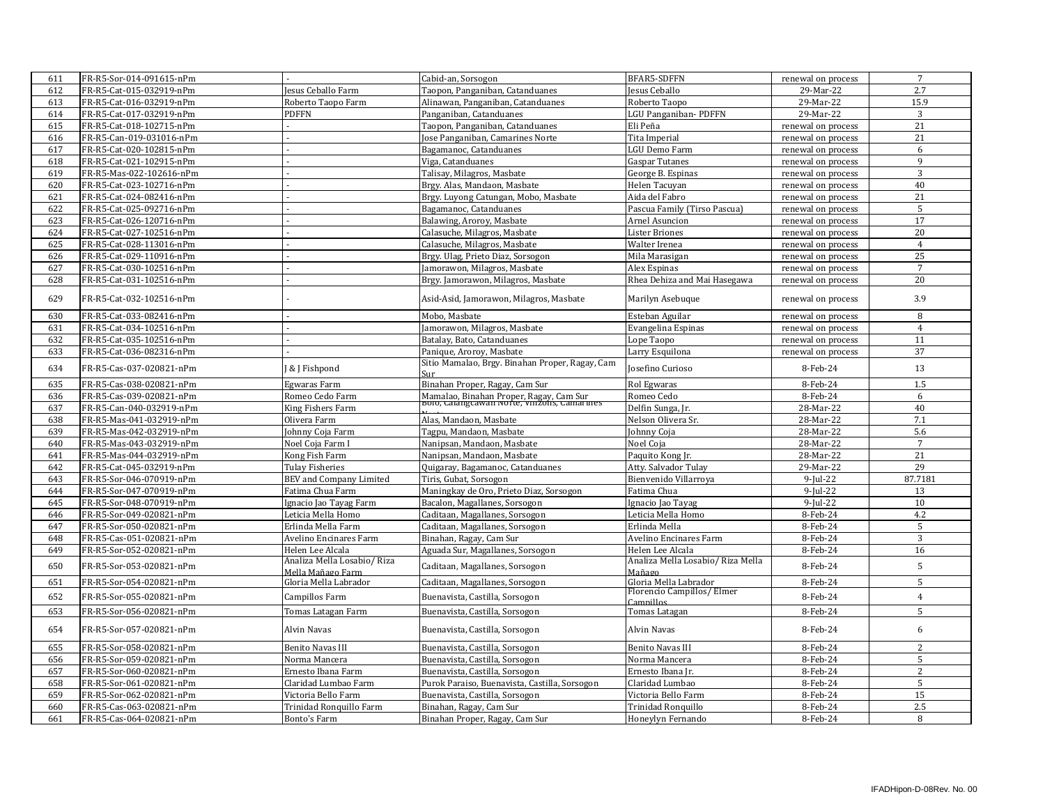| 611 | FR-R5-Sor-014-091615-nPm |                                                  | Cabid-an, Sorsogon                                                                      | <b>BFAR5-SDFFN</b>                          | renewal on process | $7\overline{ }$ |
|-----|--------------------------|--------------------------------------------------|-----------------------------------------------------------------------------------------|---------------------------------------------|--------------------|-----------------|
| 612 | FR-R5-Cat-015-032919-nPm | lesus Ceballo Farm                               | Taopon, Panganiban, Catanduanes                                                         | <b>Jesus Ceballo</b>                        | 29-Mar-22          | 2.7             |
| 613 | FR-R5-Cat-016-032919-nPm | Roberto Taopo Farm                               | Alinawan, Panganiban, Catanduanes                                                       | Roberto Taopo                               | 29-Mar-22          | 15.9            |
| 614 | FR-R5-Cat-017-032919-nPm | PDFFN                                            | Panganiban, Catanduanes                                                                 | LGU Panganiban- PDFFN                       | 29-Mar-22          | 3               |
| 615 | FR-R5-Cat-018-102715-nPm |                                                  | Taopon, Panganiban, Catanduanes                                                         | Eli Peña                                    | renewal on process | 21              |
| 616 | FR-R5-Can-019-031016-nPm |                                                  | Jose Panganiban, Camarines Norte                                                        | Tita Imperial                               | renewal on process | 21              |
| 617 | FR-R5-Cat-020-102815-nPm |                                                  | Bagamanoc, Catanduanes                                                                  | GU Demo Farm                                | renewal on process | 6               |
| 618 | FR-R5-Cat-021-102915-nPm |                                                  | Viga, Catanduanes                                                                       | Gaspar Tutanes                              | renewal on process | 9               |
| 619 | FR-R5-Mas-022-102616-nPm |                                                  | Talisav. Milagros. Masbate                                                              | George B. Espinas                           | renewal on process | 3               |
| 620 | FR-R5-Cat-023-102716-nPm |                                                  | Brgy. Alas, Mandaon, Masbate                                                            | Helen Tacuyan                               | renewal on process | 40              |
| 621 | FR-R5-Cat-024-082416-nPm |                                                  | Brgy. Luyong Catungan, Mobo, Masbate                                                    | Aida del Fabro                              | renewal on process | 21              |
| 622 | FR-R5-Cat-025-092716-nPm |                                                  | Bagamanoc, Catanduanes                                                                  | Pascua Family (Tirso Pascua)                | renewal on process | 5               |
| 623 | FR-R5-Cat-026-120716-nPm |                                                  | Balawing, Aroroy, Masbate                                                               | Arnel Asuncion                              | renewal on process | 17              |
| 624 | FR-R5-Cat-027-102516-nPm |                                                  | Calasuche, Milagros, Masbate                                                            | <b>Lister Briones</b>                       | renewal on process | 20              |
| 625 | FR-R5-Cat-028-113016-nPm |                                                  | Calasuche, Milagros, Masbate                                                            | Walter Irenea                               | renewal on process | $\overline{4}$  |
| 626 | FR-R5-Cat-029-110916-nPm |                                                  | Brgy. Ulag, Prieto Diaz, Sorsogon                                                       | Mila Marasigan                              | renewal on process | 25              |
| 627 | FR-R5-Cat-030-102516-nPm |                                                  | Jamorawon, Milagros, Masbate                                                            | Alex Espinas                                | renewal on process | $\overline{7}$  |
| 628 | FR-R5-Cat-031-102516-nPm |                                                  | Brgy. Jamorawon, Milagros, Masbate                                                      | Rhea Dehiza and Mai Hasegawa                | renewal on process | 20              |
| 629 | FR-R5-Cat-032-102516-nPm |                                                  | Asid-Asid, Jamorawon, Milagros, Masbate                                                 | Marilyn Asebuque                            | renewal on process | 3.9             |
| 630 | FR-R5-Cat-033-082416-nPm |                                                  | Mobo, Masbate                                                                           | Esteban Aguilar                             | renewal on process | 8               |
| 631 | FR-R5-Cat-034-102516-nPm |                                                  | Jamorawon, Milagros, Masbate                                                            | Evangelina Espinas                          | renewal on process | $\overline{4}$  |
| 632 | FR-R5-Cat-035-102516-nPm |                                                  | Batalay, Bato, Catanduanes                                                              | Lope Taopo                                  | renewal on process | 11              |
| 633 | FR-R5-Cat-036-082316-nPm |                                                  | Panique, Aroroy, Masbate                                                                | Larry Esquilona                             | renewal on process | 37              |
| 634 | FR-R5-Cas-037-020821-nPm | & J Fishpond                                     | Sitio Mamalao, Brgy. Binahan Proper, Ragay, Cam<br>Sur                                  | Josefino Curioso                            | 8-Feb-24           | 13              |
| 635 | FR-R5-Cas-038-020821-nPm | Egwaras Farm                                     | Binahan Proper, Ragay, Cam Sur                                                          | Rol Egwaras                                 | 8-Feb-24           | 1.5             |
| 636 | FR-R5-Cas-039-020821-nPm | Romeo Cedo Farm                                  | Mamalao, Binahan Proper, Ragay, Cam Sur<br>DOIO, Calangcawan Norte, VIIIzons, Camarines | Romeo Cedo                                  | 8-Feb-24           | 6               |
| 637 | FR-R5-Can-040-032919-nPm | King Fishers Farm                                |                                                                                         | Delfin Sunga, Jr.                           | 28-Mar-22          | 40              |
| 638 | FR-R5-Mas-041-032919-nPm | Olivera Farm                                     | Alas, Mandaon, Masbate                                                                  | Nelson Olivera Sr.                          | 28-Mar-22          | 7.1             |
| 639 | FR-R5-Mas-042-032919-nPm | Johnny Coja Farm                                 | Tagpu, Mandaon, Masbate                                                                 | Johnny Coja                                 | 28-Mar-22          | 5.6             |
| 640 | FR-R5-Mas-043-032919-nPm | Noel Coja Farm I                                 | Nanipsan, Mandaon, Masbate                                                              | Noel Coja                                   | 28-Mar-22          | $\overline{7}$  |
| 641 | FR-R5-Mas-044-032919-nPm | Kong Fish Farm                                   | Nanipsan, Mandaon, Masbate                                                              | Paquito Kong Jr.                            | 28-Mar-22          | 21              |
| 642 | FR-R5-Cat-045-032919-nPm | Tulay Fisheries                                  | Quigaray, Bagamanoc, Catanduanes                                                        | Atty. Salvador Tulay                        | 29-Mar-22          | 29              |
| 643 | FR-R5-Sor-046-070919-nPm | BEV and Company Limited                          | Tiris, Gubat, Sorsogon                                                                  | Bienvenido Villarroya                       | $9$ -Jul-22        | 87.7181         |
| 644 | FR-R5-Sor-047-070919-nPm | Fatima Chua Farm                                 | Maningkay de Oro, Prieto Diaz, Sorsogon                                                 | Fatima Chua                                 | $9$ -Jul-22        | 13              |
| 645 | FR-R5-Sor-048-070919-nPm | Ignacio Jao Tayag Farm                           | Bacalon, Magallanes, Sorsogon                                                           | Ignacio Jao Tayag                           | $9$ -Jul-22        | 10              |
| 646 | FR-R5-Sor-049-020821-nPm | Leticia Mella Homo                               | Caditaan, Magallanes, Sorsogon                                                          | Leticia Mella Homo                          | 8-Feb-24           | 4.2             |
| 647 | FR-R5-Sor-050-020821-nPm | Erlinda Mella Farm                               | Caditaan, Magallanes, Sorsogon                                                          | Erlinda Mella                               | 8-Feb-24           | 5               |
| 648 | FR-R5-Cas-051-020821-nPm | Avelino Encinares Farm                           | Binahan, Ragay, Cam Sur                                                                 | Avelino Encinares Farm                      | 8-Feb-24           | 3               |
| 649 | FR-R5-Sor-052-020821-nPm | Helen Lee Alcala                                 | Aguada Sur, Magallanes, Sorsogon                                                        | Helen Lee Alcala                            | 8-Feb-24           | 16              |
| 650 | FR-R5-Sor-053-020821-nPm | Analiza Mella Losabio/ Riza<br>Mella Mañago Farm | Caditaan, Magallanes, Sorsogon                                                          | Analiza Mella Losabio/ Riza Mella<br>Mañago | 8-Feb-24           | 5               |
| 651 | FR-R5-Sor-054-020821-nPm | Gloria Mella Labrador                            | Caditaan, Magallanes, Sorsogon                                                          | Gloria Mella Labrador                       | 8-Feb-24           | 5               |
| 652 | FR-R5-Sor-055-020821-nPm | Campillos Farm                                   | Buenavista, Castilla, Sorsogon                                                          | Florencio Campillos/ Elmer<br>Campillos     | 8-Feb-24           | $\overline{4}$  |
| 653 | FR-R5-Sor-056-020821-nPm | Tomas Latagan Farm                               | Buenavista, Castilla, Sorsogon                                                          | Tomas Latagan                               | 8-Feb-24           | 5               |
| 654 | FR-R5-Sor-057-020821-nPm | Alvin Navas                                      | Buenavista, Castilla, Sorsogon                                                          | Alvin Navas                                 | 8-Feb-24           | 6               |
| 655 | FR-R5-Sor-058-020821-nPm | <b>Benito Navas III</b>                          | Buenavista, Castilla, Sorsogon                                                          | <b>Benito Navas III</b>                     | 8-Feb-24           | 2               |
| 656 | FR-R5-Sor-059-020821-nPm | Norma Mancera                                    | Buenavista, Castilla, Sorsogon                                                          | Norma Mancera                               | 8-Feb-24           | 5               |
| 657 | FR-R5-Sor-060-020821-nPm | Ernesto Ibana Farm                               | Buenavista, Castilla, Sorsogon                                                          | Ernesto Ibana Jr.                           | 8-Feb-24           | $\overline{c}$  |
| 658 | FR-R5-Sor-061-020821-nPm | Claridad Lumbao Farm                             | Purok Paraiso, Buenavista, Castilla, Sorsogon                                           | Claridad Lumbao                             | 8-Feb-24           | 5               |
| 659 | FR-R5-Sor-062-020821-nPm | Victoria Bello Farm                              | Buenavista, Castilla, Sorsogon                                                          | Victoria Bello Farm                         | 8-Feb-24           | 15              |
| 660 | FR-R5-Cas-063-020821-nPm | Trinidad Ronquillo Farm                          | Binahan, Ragay, Cam Sur                                                                 | Trinidad Ronquillo                          | 8-Feb-24           | 2.5             |
| 661 | FR-R5-Cas-064-020821-nPm | Bonto's Farm                                     | Binahan Proper, Ragay, Cam Sur                                                          | Honeylyn Fernando                           | 8-Feb-24           | 8               |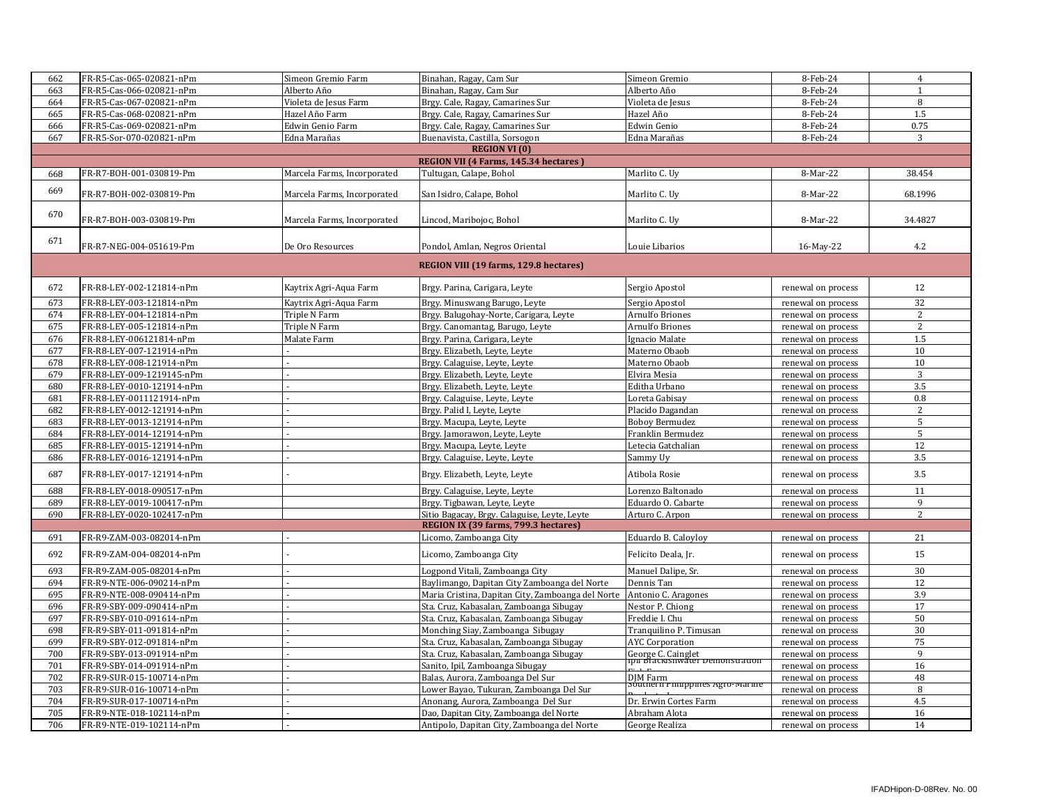| 662        | FR-R5-Cas-065-020821-nPm                             | Simeon Gremio Farm          | Binahan, Ragay, Cam Sur                                                        | Simeon Gremio                                          | 8-Feb-24                                 | $\overline{4}$ |
|------------|------------------------------------------------------|-----------------------------|--------------------------------------------------------------------------------|--------------------------------------------------------|------------------------------------------|----------------|
| 663        | FR-R5-Cas-066-020821-nPm                             | Alberto Año                 | Binahan, Ragay, Cam Sur                                                        | Alberto Año                                            | 8-Feb-24                                 | $\overline{1}$ |
| 664        | FR-R5-Cas-067-020821-nPm                             | Violeta de Jesus Farm       | Brgy. Cale, Ragay, Camarines Sur                                               | Violeta de Jesus                                       | 8-Feb-24                                 | 8              |
| 665        | FR-R5-Cas-068-020821-nPm                             | Hazel Año Farm              | Brgy. Cale, Ragay, Camarines Sur                                               | Hazel Año                                              | 8-Feb-24                                 | 1.5            |
| 666        | FR-R5-Cas-069-020821-nPm                             | Edwin Genio Farm            | Brgy. Cale, Ragay, Camarines Sur                                               | Edwin Genio                                            | 8-Feb-24                                 | 0.75           |
| 667        | FR-R5-Sor-070-020821-nPm                             | Edna Marañas                | Buenavista, Castilla, Sorsogon                                                 | Edna Marañas                                           | 8-Feb-24                                 | 3              |
|            |                                                      |                             | <b>REGION VI</b> (0)                                                           |                                                        |                                          |                |
|            |                                                      |                             | REGION VII (4 Farms, 145.34 hectares)                                          |                                                        |                                          |                |
| 668        | FR-R7-BOH-001-030819-Pm                              | Marcela Farms, Incorporated | Tultugan, Calape, Bohol                                                        | Marlito C. Uy                                          | 8-Mar-22                                 | 38.454         |
|            |                                                      |                             |                                                                                |                                                        |                                          |                |
| 669        | FR-R7-BOH-002-030819-Pm                              | Marcela Farms, Incorporated | San Isidro, Calape, Bohol                                                      | Marlito C. Uv                                          | 8-Mar-22                                 | 68.1996        |
|            |                                                      |                             |                                                                                |                                                        |                                          |                |
| 670        | FR-R7-BOH-003-030819-Pm                              | Marcela Farms, Incorporated | Lincod, Maribojoc, Bohol                                                       | Marlito C. Uy                                          | 8-Mar-22                                 | 34.4827        |
|            |                                                      |                             |                                                                                |                                                        |                                          |                |
| 671        | FR-R7-NEG-004-051619-Pm                              | De Oro Resources            | Pondol, Amlan, Negros Oriental                                                 | Louie Libarios                                         | 16-May-22                                | 4.2            |
|            |                                                      |                             |                                                                                |                                                        |                                          |                |
|            |                                                      |                             | REGION VIII (19 farms, 129.8 hectares)                                         |                                                        |                                          |                |
|            |                                                      |                             |                                                                                |                                                        |                                          |                |
| 672        | FR-R8-LEY-002-121814-nPm                             | Kaytrix Agri-Aqua Farm      | Brgy. Parina, Carigara, Leyte                                                  | Sergio Apostol                                         | renewal on process                       | 12             |
| 673        | FR-R8-LEY-003-121814-nPm                             | Kaytrix Agri-Aqua Farm      | Brgy. Minuswang Barugo, Leyte                                                  | Sergio Apostol                                         | renewal on process                       | 32             |
| 674        | FR-R8-LEY-004-121814-nPm                             | Triple N Farm               | Brgy. Balugohay-Norte, Carigara, Leyte                                         | Arnulfo Briones                                        | renewal on process                       | 2              |
| 675        | FR-R8-LEY-005-121814-nPm                             | Triple N Farm               | Brgy. Canomantag, Barugo, Leyte                                                | Arnulfo Briones                                        | renewal on process                       | 2              |
| 676        | FR-R8-LEY-006121814-nPm                              | Malate Farm                 | Brgy. Parina, Carigara, Leyte                                                  | Ignacio Malate                                         | renewal on process                       | 1.5            |
| 677        | FR-R8-LEY-007-121914-nPm                             |                             | Brgy. Elizabeth, Leyte, Leyte                                                  | Materno Obaob                                          | renewal on process                       | 10             |
| 678        | FR-R8-LEY-008-121914-nPm                             |                             | Brgy. Calaguise, Leyte, Leyte                                                  | Materno Obaob                                          | renewal on process                       | 10             |
| 679        | FR-R8-LEY-009-1219145-nPm                            |                             | Brgy. Elizabeth, Leyte, Leyte                                                  | Elvira Mesia                                           | renewal on process                       | 3              |
| 680        | FR-R8-LEY-0010-121914-nPm                            |                             | Brgy. Elizabeth, Leyte, Leyte                                                  | Editha Urbano                                          | renewal on process                       | 3.5            |
| 681        | FR-R8-LEY-0011121914-nPm                             |                             | Brgy. Calaguise, Leyte, Leyte                                                  | Loreta Gabisay                                         | renewal on process                       | $\rm 0.8$      |
| 682        | FR-R8-LEY-0012-121914-nPm                            |                             | Brgy. Palid I, Leyte, Leyte                                                    | Placido Dagandan                                       | renewal on process                       | $\overline{c}$ |
| 683        | FR-R8-LEY-0013-121914-nPm                            |                             | Brgy. Macupa, Leyte, Leyte                                                     | <b>Boboy Bermudez</b>                                  | renewal on process                       | 5              |
| 684        | FR-R8-LEY-0014-121914-nPm                            |                             | Brgy. Jamorawon, Leyte, Leyte                                                  | Franklin Bermudez                                      | renewal on process                       | 5              |
| 685        | FR-R8-LEY-0015-121914-nPm                            |                             | Brgy. Macupa, Leyte, Leyte                                                     | Letecia Gatchalian                                     | renewal on process                       | 12             |
| 686        | FR-R8-LEY-0016-121914-nPm                            |                             | Brgy. Calaguise, Leyte, Leyte                                                  | Sammy Uy                                               | renewal on process                       | 3.5            |
| 687        | FR-R8-LEY-0017-121914-nPm                            |                             | Brgy. Elizabeth, Leyte, Leyte                                                  | Atibola Rosie                                          | renewal on process                       | 3.5            |
|            |                                                      |                             |                                                                                |                                                        |                                          |                |
| 688        | FR-R8-LEY-0018-090517-nPm                            |                             | Brgy. Calaguise, Leyte, Leyte                                                  | Lorenzo Baltonado                                      | renewal on process                       | 11             |
| 689        | FR-R8-LEY-0019-100417-nPm                            |                             | Brgy. Tigbawan, Leyte, Leyte                                                   | Eduardo O. Cabarte                                     | renewal on process                       | 9              |
| 690        | FR-R8-LEY-0020-102417-nPm                            |                             | Sitio Bagacay, Brgy. Calaguise, Leyte, Leyte                                   | Arturo C. Arpon                                        | renewal on process                       | 2              |
|            |                                                      |                             | REGION IX (39 farms, 799.3 hectares)                                           |                                                        |                                          |                |
| 691        | FR-R9-ZAM-003-082014-nPm                             |                             | Licomo, Zamboanga City                                                         | Eduardo B. Caloyloy                                    | renewal on process                       | 21             |
| 692        | FR-R9-ZAM-004-082014-nPm                             |                             | Licomo, Zamboanga City                                                         | Felicito Deala, Jr.                                    | renewal on process                       | 15             |
|            |                                                      |                             |                                                                                |                                                        |                                          | 30             |
| 693<br>694 | FR-R9-ZAM-005-082014-nPm<br>FR-R9-NTE-006-090214-nPm |                             | Logpond Vitali, Zamboanga City<br>Baylimango, Dapitan City Zamboanga del Norte | Manuel Dalipe, Sr.<br>Dennis Tan                       | renewal on process<br>renewal on process | 12             |
| 695        | FR-R9-NTE-008-090414-nPm                             |                             | Maria Cristina, Dapitan City, Zamboanga del Norte                              | Antonio C. Aragones                                    | renewal on process                       | 3.9            |
| 696        | FR-R9-SBY-009-090414-nPm                             |                             | Sta. Cruz, Kabasalan, Zamboanga Sibugay                                        | Nestor P. Chiong                                       | renewal on process                       | 17             |
| 697        | FR-R9-SBY-010-091614-nPm                             |                             | Sta. Cruz, Kabasalan, Zamboanga Sibugay                                        | Freddie I. Chu                                         | renewal on process                       | 50             |
| 698        | FR-R9-SBY-011-091814-nPm                             |                             | Monching Siay, Zamboanga Sibugay                                               | Tranquilino P. Timusan                                 | renewal on process                       | 30             |
| 699        | FR-R9-SBY-012-091814-nPm                             |                             | Sta. Cruz, Kabasalan, Zamboanga Sibugay                                        | <b>AYC Corporation</b>                                 | renewal on process                       | 75             |
| 700        | FR-R9-SBY-013-091914-nPm                             |                             | Sta. Cruz, Kabasalan, Zamboanga Sibugay                                        |                                                        | renewal on process                       | 9              |
| 701        | FR-R9-SBY-014-091914-nPm                             |                             | Sanito, Ipil, Zamboanga Sibugay                                                | George C. Cainglet<br>трп втасктыт матет Demonstration | renewal on process                       | 16             |
| 702        | FR-R9-SUR-015-100714-nPm                             |                             | Balas, Aurora, Zamboanga Del Sur                                               | DJM Farm                                               | renewal on process                       | 48             |
| 703        | FR-R9-SUR-016-100714-nPm                             |                             | Lower Bayao, Tukuran, Zamboanga Del Sur                                        | <del>битен и еппррие</del> s <del>Agro-мание</del>     | renewal on process                       | 8              |
| 704        | FR-R9-SUR-017-100714-nPm                             |                             | Anonang, Aurora, Zamboanga Del Sur                                             | Dr. Erwin Cortes Farm                                  | renewal on process                       | 4.5            |
| 705        | FR-R9-NTE-018-102114-nPm                             |                             | Dao, Dapitan City, Zamboanga del Norte                                         | Abraham Alota                                          | renewal on process                       | 16             |
| 706        | FR-R9-NTE-019-102114-nPm                             |                             | Antipolo, Dapitan City, Zamboanga del Norte                                    | George Realiza                                         | renewal on process                       | 14             |
|            |                                                      |                             |                                                                                |                                                        |                                          |                |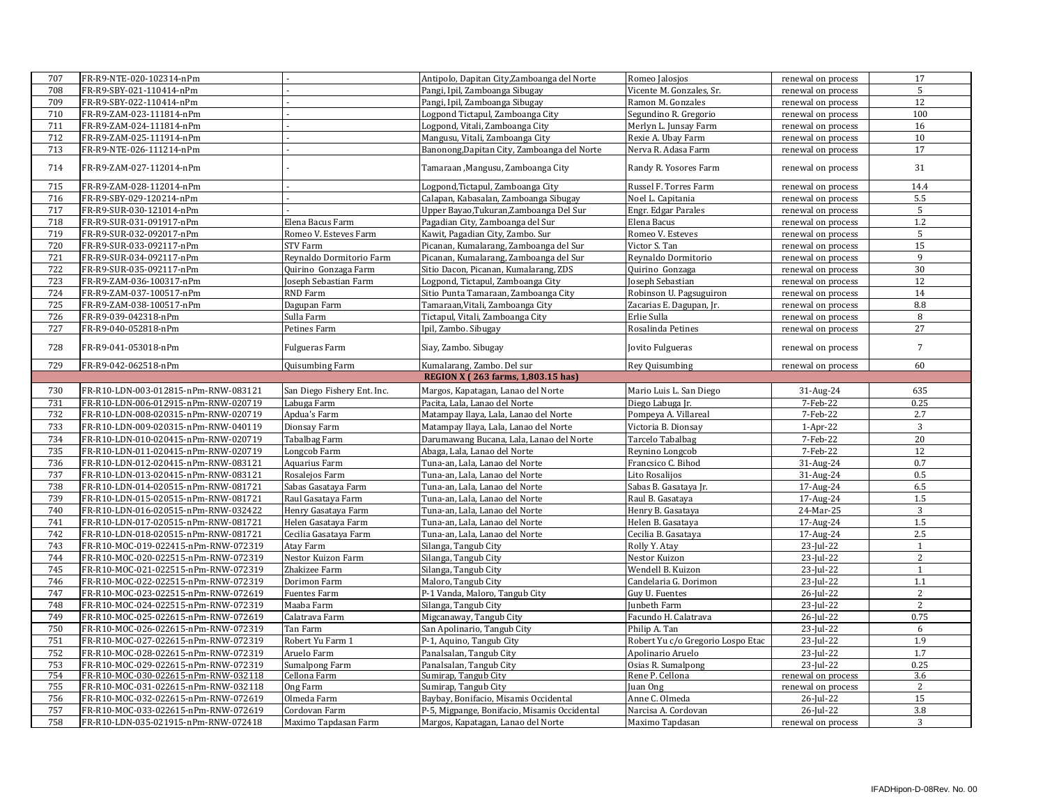| 707 | FR-R9-NTE-020-102314-nPm             |                             | Antipolo, Dapitan City, Zamboanga del Norte  | Romeo Jalosjos                    | renewal on process | 17              |
|-----|--------------------------------------|-----------------------------|----------------------------------------------|-----------------------------------|--------------------|-----------------|
| 708 | FR-R9-SBY-021-110414-nPm             |                             | Pangi, Ipil, Zamboanga Sibugay               | Vicente M. Gonzales, Sr.          | renewal on process | 5               |
| 709 | FR-R9-SBY-022-110414-nPm             |                             | Pangi, Ipil, Zamboanga Sibugay               | Ramon M. Gonzales                 | renewal on process | 12              |
| 710 | FR-R9-ZAM-023-111814-nPm             |                             | Logpond Tictapul, Zamboanga City             | Segundino R. Gregorio             | renewal on process | 100             |
| 711 | FR-R9-ZAM-024-111814-nPm             |                             | Logpond, Vitali, Zamboanga City              | Merlyn L. Junsay Farm             | renewal on process | 16              |
| 712 | FR-R9-ZAM-025-111914-nPm             |                             | Mangusu, Vitali, Zamboanga City              | Rexie A. Ubay Farm                | renewal on process | 10              |
| 713 | FR-R9-NTE-026-111214-nPm             |                             | Banonong, Dapitan City, Zamboanga del Norte  | Nerva R. Adasa Farm               | renewal on process | 17              |
| 714 | FR-R9-ZAM-027-112014-nPm             |                             | Tamaraan ,Mangusu, Zamboanga City            | Randy R. Yosores Farm             | renewal on process | 31              |
| 715 | FR-R9-ZAM-028-112014-nPm             |                             | Logpond, Tictapul, Zamboanga City            | Russel F. Torres Farm             | renewal on process | 14.4            |
| 716 | FR-R9-SBY-029-120214-nPm             |                             | Calapan, Kabasalan, Zamboanga Sibugay        | Noel L. Capitania                 | renewal on process | 5.5             |
| 717 | FR-R9-SUR-030-121014-nPm             |                             | Upper Bayao, Tukuran, Zamboanga Del Sur      | Engr. Edgar Parales               | renewal on process | 5               |
| 718 | FR-R9-SUR-031-091917-nPm             | Elena Bacus Farm            | Pagadian City, Zamboanga del Sur             | Elena Bacus                       | renewal on process | 1.2             |
| 719 | FR-R9-SUR-032-092017-nPm             | Romeo V. Esteves Farm       | Kawit, Pagadian City, Zambo. Sur             | Romeo V. Esteves                  | renewal on process | 5               |
| 720 | FR-R9-SUR-033-092117-nPm             | <b>STV Farm</b>             | Picanan, Kumalarang, Zamboanga del Sur       | Victor S. Tan                     | renewal on process | 15              |
| 721 | FR-R9-SUR-034-092117-nPm             | Reynaldo Dormitorio Farm    | Picanan, Kumalarang, Zamboanga del Sur       | Reynaldo Dormitorio               | renewal on process | 9               |
| 722 | FR-R9-SUR-035-092117-nPm             | Quirino Gonzaga Farm        | Sitio Dacon, Picanan, Kumalarang, ZDS        | Quirino Gonzaga                   | renewal on process | 30              |
| 723 | FR-R9-ZAM-036-100317-nPm             | Oseph Sebastian Farm        | Logpond, Tictapul, Zamboanga City            | Joseph Sebastian                  | renewal on process | 12              |
| 724 | FR-R9-ZAM-037-100517-nPm             | RND Farm                    | Sitio Punta Tamaraan, Zamboanga City         | Robinson U. Pagsuguiron           | renewal on process | 14              |
| 725 | FR-R9-ZAM-038-100517-nPm             | Dagupan Farm                | Tamaraan, Vitali, Zamboanga City             | Zacarias E. Dagupan, Jr.          | renewal on process | 8.8             |
| 726 | FR-R9-039-042318-nPm                 | Sulla Farm                  | Tictapul, Vitali, Zamboanga City             | Erlie Sulla                       | renewal on process | 8               |
| 727 | FR-R9-040-052818-nPm                 | Petines Farm                | Ipil, Zambo. Sibugay                         | Rosalinda Petines                 | renewal on process | 27              |
|     |                                      |                             |                                              |                                   |                    |                 |
| 728 | FR-R9-041-053018-nPm                 | Fulgueras Farm              | Siay, Zambo. Sibugay                         | Jovito Fulgueras                  | renewal on process | $7\overline{ }$ |
| 729 | FR-R9-042-062518-nPm                 | Quisumbing Farm             | Kumalarang, Zambo. Del sur                   | Rey Quisumbing                    | renewal on process | 60              |
|     |                                      |                             | REGION X (263 farms, 1,803.15 has)           |                                   |                    |                 |
| 730 | FR-R10-LDN-003-012815-nPm-RNW-083121 | San Diego Fishery Ent. Inc. | Margos, Kapatagan, Lanao del Norte           | Mario Luis L. San Diego           | 31-Aug-24          | 635             |
| 731 | FR-R10-LDN-006-012915-nPm-RNW-020719 | Labuga Farm                 | Pacita, Lala, Lanao del Norte                | Diego Labuga Jr.                  | 7-Feb-22           | 0.25            |
| 732 | FR-R10-LDN-008-020315-nPm-RNW-020719 | Apdua's Farm                | Matampay Ilaya, Lala, Lanao del Norte        | Pompeya A. Villareal              | 7-Feb-22           | 2.7             |
| 733 | FR-R10-LDN-009-020315-nPm-RNW-040119 | Dionsay Farm                | Matampay Ilaya, Lala, Lanao del Norte        | Victoria B. Dionsay               | $1-Apr-22$         | 3               |
| 734 | FR-R10-LDN-010-020415-nPm-RNW-020719 | Tabalbag Farm               | Darumawang Bucana, Lala, Lanao del Norte     | Tarcelo Tabalbag                  | 7-Feb-22           | 20              |
| 735 | FR-R10-LDN-011-020415-nPm-RNW-020719 | Longcob Farm                | Abaga, Lala, Lanao del Norte                 | Reynino Longcob                   | 7-Feb-22           | 12              |
| 736 | FR-R10-LDN-012-020415-nPm-RNW-083121 | Aquarius Farm               | Tuna-an, Lala, Lanao del Norte               | Francsico C. Bihod                | 31-Aug-24          | 0.7             |
| 737 | FR-R10-LDN-013-020415-nPm-RNW-083121 | Rosalejos Farm              | Tuna-an, Lala, Lanao del Norte               | lito Rosalijos                    | 31-Aug-24          | 0.5             |
| 738 | FR-R10-LDN-014-020515-nPm-RNW-081721 | Sabas Gasataya Farm         | Tuna-an, Lala, Lanao del Norte               | Sabas B. Gasataya Jr.             | 17-Aug-24          | 6.5             |
| 739 | FR-R10-LDN-015-020515-nPm-RNW-081721 | Raul Gasataya Farm          | Tuna-an, Lala, Lanao del Norte               | Raul B. Gasataya                  | 17-Aug-24          | 1.5             |
| 740 | FR-R10-LDN-016-020515-nPm-RNW-032422 | Henry Gasataya Farm         | Tuna-an, Lala, Lanao del Norte               | Henry B. Gasataya                 | 24-Mar-25          | 3               |
| 741 | FR-R10-LDN-017-020515-nPm-RNW-081721 | Helen Gasataya Farm         | Tuna-an, Lala, Lanao del Norte               | Helen B. Gasataya                 | 17-Aug-24          | 1.5             |
| 742 | FR-R10-LDN-018-020515-nPm-RNW-081721 | Cecilia Gasataya Farm       | Tuna-an, Lala, Lanao del Norte               | Cecilia B. Gasataya               | 17-Aug-24          | 2.5             |
| 743 | FR-R10-MOC-019-022415-nPm-RNW-072319 | Atay Farm                   | Silanga, Tangub City                         | Rolly Y. Atay                     | 23-Jul-22          | $\mathbf{1}$    |
| 744 | FR-R10-MOC-020-022515-nPm-RNW-072319 | Nestor Kuizon Farm          | Silanga, Tangub City                         | Nestor Kuizon                     | 23-Jul-22          | $\overline{2}$  |
| 745 | FR-R10-MOC-021-022515-nPm-RNW-072319 | Zhakizee Farm               | Silanga, Tangub City                         | Wendell B. Kuizon                 | 23-Jul-22          | $\mathbf{1}$    |
| 746 | FR-R10-MOC-022-022515-nPm-RNW-072319 | Dorimon Farm                | Maloro, Tangub City                          | Candelaria G. Dorimon             | 23-Jul-22          | 1.1             |
| 747 | FR-R10-MOC-023-022515-nPm-RNW-072619 | Fuentes Farm                | P-1 Vanda, Maloro, Tangub City               | Guy U. Fuentes                    | 26-Jul-22          | $\overline{2}$  |
| 748 | FR-R10-MOC-024-022515-nPm-RNW-072319 | Maaba Farm                  | Silanga, Tangub City                         | Junbeth Farm                      | 23-Jul-22          | 2               |
| 749 | FR-R10-MOC-025-022615-nPm-RNW-072619 | Calatrava Farm              | Migcanaway, Tangub City                      | Facundo H. Calatrava              | 26-Jul-22          | 0.75            |
| 750 | FR-R10-MOC-026-022615-nPm-RNW-072319 | Tan Farm                    | San Apolinario, Tangub City                  | Philip A. Tan                     | 23-Jul-22          | 6               |
| 751 | FR-R10-MOC-027-022615-nPm-RNW-072319 | Robert Yu Farm 1            | P-1, Aquino, Tangub City                     | Robert Yu c/o Gregorio Lospo Etac | 23-Jul-22          | 1.9             |
| 752 | FR-R10-MOC-028-022615-nPm-RNW-072319 | Aruelo Farm                 | Panalsalan, Tangub City                      | Apolinario Aruelo                 | 23-Jul-22          | 1.7             |
| 753 | FR-R10-MOC-029-022615-nPm-RNW-072319 | Sumalpong Farm              | Panalsalan, Tangub City                      | Osias R. Sumalpong                | 23-Jul-22          | 0.25            |
| 754 | FR-R10-MOC-030-022615-nPm-RNW-032118 | Cellona Farm                | Sumirap, Tangub City                         | Rene P. Cellona                   | renewal on process | 3.6             |
| 755 | FR-R10-MOC-031-022615-nPm-RNW-032118 | Ong Farm                    | Sumirap, Tangub City                         | Juan Ong                          | renewal on process | 2               |
| 756 | FR-R10-MOC-032-022615-nPm-RNW-072619 | Olmeda Farm                 | Baybay, Bonifacio, Misamis Occidental        | Anne C. Olmeda                    | 26-Jul-22          | 15              |
| 757 | FR-R10-MOC-033-022615-nPm-RNW-072619 | Cordovan Farm               | P-5, Migpange, Bonifacio, Misamis Occidental | Narcisa A. Cordovan               | 26-Jul-22          | 3.8             |
| 758 | FR-R10-LDN-035-021915-nPm-RNW-072418 | Maximo Tapdasan Farm        | Margos, Kapatagan, Lanao del Norte           | Maximo Tapdasan                   | renewal on process | 3               |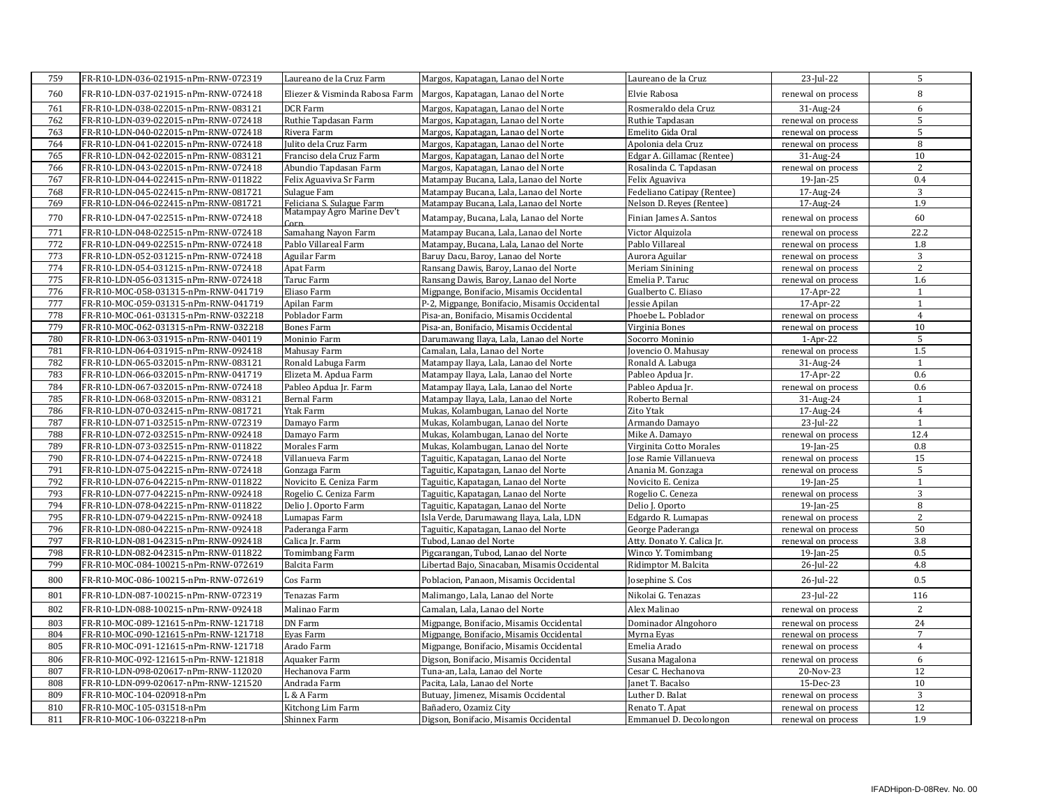| 759        | FR-R10-LDN-036-021915-nPm-RNW-072319                                         | Laureano de la Cruz Farm                                | Margos, Kapatagan, Lanao del Norte                                   | Laureano de la Cruz                              | 23-Jul-22                       | 5                    |
|------------|------------------------------------------------------------------------------|---------------------------------------------------------|----------------------------------------------------------------------|--------------------------------------------------|---------------------------------|----------------------|
| 760        | FR-R10-LDN-037-021915-nPm-RNW-072418                                         | Eliezer & Visminda Rabosa Farm                          | Margos, Kapatagan, Lanao del Norte                                   | Elvie Rabosa                                     | renewal on process              | 8                    |
| 761        | FR-R10-LDN-038-022015-nPm-RNW-083121                                         | DCR Farm                                                | Margos, Kapatagan, Lanao del Norte                                   | Rosmeraldo dela Cruz                             | 31-Aug-24                       | 6                    |
| 762        | FR-R10-LDN-039-022015-nPm-RNW-072418                                         | Ruthie Tapdasan Farm                                    | Margos, Kapatagan, Lanao del Norte                                   | Ruthie Tapdasan                                  | renewal on process              | 5                    |
| 763        | FR-R10-LDN-040-022015-nPm-RNW-072418                                         | Rivera Farm                                             | Margos, Kapatagan, Lanao del Norte                                   | Emelito Gida Oral                                | renewal on process              | 5                    |
| 764        | FR-R10-LDN-041-022015-nPm-RNW-072418                                         | Julito dela Cruz Farm                                   | Margos, Kapatagan, Lanao del Norte                                   | Apolonia dela Cruz                               | renewal on process              | 8                    |
| 765        | FR-R10-LDN-042-022015-nPm-RNW-083121                                         | Franciso dela Cruz Farm                                 | Margos, Kapatagan, Lanao del Norte                                   | Edgar A. Gillamac (Rentee)                       | 31-Aug-24                       | 10                   |
| 766        | FR-R10-LDN-043-022015-nPm-RNW-072418                                         | Abundio Tapdasan Farm                                   | Margos, Kapatagan, Lanao del Norte                                   | Rosalinda C. Tapdasan                            | renewal on process              | $\overline{c}$       |
| 767        | FR-R10-LDN-044-022415-nPm-RNW-011822                                         | Felix Aguaviva Sr Farm                                  | Matampay Bucana, Lala, Lanao del Norte                               | Felix Aguaviva                                   | 19-Jan-25                       | 0.4                  |
| 768        | FR-R10-LDN-045-022415-nPm-RNW-081721                                         | Sulague Fam                                             | Matampay Bucana, Lala, Lanao del Norte                               | Fedeliano Catipay (Rentee)                       | 17-Aug-24                       | 3                    |
| 769        | FR-R10-LDN-046-022415-nPm-RNW-081721                                         | Feliciana S. Sulague Farm<br>Matampay Agro Marine Dev't | Matampay Bucana, Lala, Lanao del Norte                               | Nelson D. Reyes (Rentee)                         | 17-Aug-24                       | 1.9                  |
| 770        | FR-R10-LDN-047-022515-nPm-RNW-072418                                         | `orn                                                    | Matampay, Bucana, Lala, Lanao del Norte                              | Finian James A. Santos                           | renewal on process              | 60                   |
| 771        | FR-R10-LDN-048-022515-nPm-RNW-072418                                         | Samahang Nayon Farm                                     | Matampay Bucana, Lala, Lanao del Norte                               | Victor Alguizola                                 | renewal on process              | 22.2                 |
| 772        | FR-R10-LDN-049-022515-nPm-RNW-072418                                         | Pablo Villareal Farm                                    | Matampay, Bucana, Lala, Lanao del Norte                              | Pablo Villareal                                  | renewal on process              | 1.8                  |
| 773        | FR-R10-LDN-052-031215-nPm-RNW-072418                                         | Aguilar Farm                                            | Baruy Dacu, Baroy, Lanao del Norte                                   | Aurora Aguilar                                   | renewal on process              | 3                    |
| 774        | FR-R10-LDN-054-031215-nPm-RNW-072418                                         | Apat Farm                                               | Ransang Dawis, Baroy, Lanao del Norte                                | <b>Meriam Sinining</b>                           | renewal on process              | $\overline{2}$       |
| 775        | FR-R10-LDN-056-031315-nPm-RNW-072418                                         | Taruc Farm                                              | Ransang Dawis, Baroy, Lanao del Norte                                | Emelia P. Taruc                                  | renewal on process              | 1.6                  |
| 776        | FR-R10-MOC-058-031315-nPm-RNW-041719                                         | Eliaso Farm                                             | Migpange, Bonifacio, Misamis Occidental                              | Gualberto C. Eliaso                              | 17-Apr-22                       | 1                    |
| 777        | FR-R10-MOC-059-031315-nPm-RNW-041719                                         | Apilan Farm                                             | P-2, Migpange, Bonifacio, Misamis Occidental                         | Jessie Apilan                                    | 17-Apr-22                       | $\mathbf{1}$         |
| 778        | FR-R10-MOC-061-031315-nPm-RNW-032218                                         | Poblador Farm                                           | Pisa-an, Bonifacio, Misamis Occidental                               | Phoebe L. Poblador                               | renewal on process              | $\overline{4}$       |
| 779        | FR-R10-MOC-062-031315-nPm-RNW-032218                                         | <b>Bones Farm</b>                                       | Pisa-an, Bonifacio, Misamis Occidental                               | Virginia Bones                                   | renewal on process              | $10\,$               |
| 780        | FR-R10-LDN-063-031915-nPm-RNW-040119                                         | Moninio Farm                                            | Darumawang Ilaya, Lala, Lanao del Norte                              | Socorro Moninio                                  | $1-Apr-22$                      | 5                    |
| 781        | FR-R10-LDN-064-031915-nPm-RNW-092418                                         | Mahusay Farm                                            | Camalan, Lala, Lanao del Norte                                       | ovencio O. Mahusay                               | renewal on process              | 1.5                  |
| 782        | FR-R10-LDN-065-032015-nPm-RNW-083121                                         | Ronald Labuga Farm                                      | Matampay Ilaya, Lala, Lanao del Norte                                | Ronald A. Labuga                                 | 31-Aug-24                       | $\mathbf{1}$         |
| 783        | FR-R10-LDN-066-032015-nPm-RNW-041719                                         | Elizeta M. Apdua Farm                                   | Matampay Ilaya, Lala, Lanao del Norte                                | Pableo Apdua Jr.                                 | 17-Apr-22                       | 0.6                  |
| 784        | FR-R10-LDN-067-032015-nPm-RNW-072418                                         | Pableo Apdua Jr. Farm                                   | Matampay Ilaya, Lala, Lanao del Norte                                | Pableo Apdua Jr.                                 | renewal on process              | 0.6                  |
| 785        | FR-R10-LDN-068-032015-nPm-RNW-083121                                         | Bernal Farm                                             | Matampay Ilaya, Lala, Lanao del Norte                                | Roberto Bernal                                   | 31-Aug-24                       | $\mathbf{1}$         |
| 786        | FR-R10-LDN-070-032415-nPm-RNW-081721                                         | Ytak Farm                                               | Mukas, Kolambugan, Lanao del Norte                                   | Zito Ytak                                        | 17-Aug-24                       | $\overline{4}$       |
| 787        | FR-R10-LDN-071-032515-nPm-RNW-072319                                         | Damayo Farm                                             | Mukas, Kolambugan, Lanao del Norte                                   | Armando Damayo                                   | 23-Jul-22                       | $\mathbf{1}$         |
| 788        | FR-R10-LDN-072-032515-nPm-RNW-092418                                         | Damayo Farm                                             | Mukas, Kolambugan, Lanao del Norte                                   | Mike A. Damayo                                   | renewal on process              | 12.4                 |
| 789        | FR-R10-LDN-073-032515-nPm-RNW-011822                                         | Morales Farm                                            | Mukas, Kolambugan, Lanao del Norte                                   | Virginita Cotto Morales                          | 19-Jan-25                       | 0.8                  |
| 790        | FR-R10-LDN-074-042215-nPm-RNW-072418                                         | Villanueva Farm                                         | Taguitic, Kapatagan, Lanao del Norte                                 | Jose Ramie Villanueva                            | renewal on process              | 15                   |
| 791        | FR-R10-LDN-075-042215-nPm-RNW-072418                                         | Gonzaga Farm                                            | Taguitic, Kapatagan, Lanao del Norte                                 | Anania M. Gonzaga                                | renewal on process              | 5                    |
| 792        | FR-R10-LDN-076-042215-nPm-RNW-011822                                         | Novicito E. Ceniza Farm                                 | Taguitic, Kapatagan, Lanao del Norte                                 | Novicito E. Ceniza                               | 19-Jan-25                       | $\mathbf{1}$         |
| 793        | FR-R10-LDN-077-042215-nPm-RNW-092418                                         | Rogelio C. Ceniza Farm                                  | Taguitic, Kapatagan, Lanao del Norte                                 | Rogelio C. Ceneza                                | renewal on process              | 3                    |
| 794        | FR-R10-LDN-078-042215-nPm-RNW-011822                                         | Delio J. Oporto Farm                                    | Taguitic, Kapatagan, Lanao del Norte                                 | Delio J. Oporto                                  | $19$ -Jan-25                    | 8                    |
| 795        | FR-R10-LDN-079-042215-nPm-RNW-092418                                         | Lumapas Farm                                            | Isla Verde, Darumawang Ilaya, Lala, LDN                              | Edgardo R. Lumapas                               | renewal on process              | $\overline{2}$       |
| 796<br>797 | FR-R10-LDN-080-042215-nPm-RNW-092418                                         | Paderanga Farm                                          | Taguitic, Kapatagan, Lanao del Norte                                 | George Paderanga                                 | renewal on process              | 50                   |
| 798        | FR-R10-LDN-081-042315-nPm-RNW-092418<br>FR-R10-LDN-082-042315-nPm-RNW-011822 | Calica Jr. Farm<br>Tomimbang Farm                       | Tubod, Lanao del Norte<br>Pigcarangan, Tubod, Lanao del Norte        | Atty. Donato Y. Calica Jr.<br>Winco Y. Tomimbang | renewal on process<br>19-Jan-25 | 3.8<br>0.5           |
| 799        | FR-R10-MOC-084-100215-nPm-RNW-072619                                         | Balcita Farm                                            | Libertad Bajo, Sinacaban, Misamis Occidental                         | Ridimptor M. Balcita                             | 26-Jul-22                       | 4.8                  |
| 800        | FR-R10-MOC-086-100215-nPm-RNW-072619                                         | Cos Farm                                                | Poblacion, Panaon, Misamis Occidental                                | osephine S. Cos                                  | 26-Jul-22                       | 0.5                  |
| 801        | FR-R10-LDN-087-100215-nPm-RNW-072319                                         | Tenazas Farm                                            | Malimango, Lala, Lanao del Norte                                     | Nikolai G. Tenazas                               | 23-Jul-22                       | 116                  |
| 802        | FR-R10-LDN-088-100215-nPm-RNW-092418                                         | Malinao Farm                                            | Camalan, Lala, Lanao del Norte                                       | Alex Malinao                                     | renewal on process              | $\overline{c}$       |
|            |                                                                              |                                                         |                                                                      |                                                  |                                 |                      |
| 803        | FR-R10-MOC-089-121615-nPm-RNW-121718                                         | DN Farm                                                 | Migpange, Bonifacio, Misamis Occidental                              | Dominador Alngohoro                              | renewal on process              | 24<br>$\overline{7}$ |
| 804        | FR-R10-MOC-090-121615-nPm-RNW-121718                                         | Eyas Farm                                               | Migpange, Bonifacio, Misamis Occidental                              | Myrna Eyas                                       | renewal on process              | $\overline{4}$       |
| 805        | FR-R10-MOC-091-121615-nPm-RNW-121718                                         | Arado Farm                                              | Migpange, Bonifacio, Misamis Occidental                              | Emelia Arado                                     | renewal on process              |                      |
| 806        | FR-R10-MOC-092-121615-nPm-RNW-121818                                         | Aquaker Farm                                            | Digson, Bonifacio, Misamis Occidental                                | Susana Magalona                                  | renewal on process              | 6                    |
| 807        | FR-R10-LDN-098-020617-nPm-RNW-112020                                         | Hechanova Farm                                          | Tuna-an, Lala, Lanao del Norte                                       | Cesar C. Hechanova                               | 20-Nov-23                       | 12                   |
| 808<br>809 | FR-R10-LDN-099-020617-nPm-RNW-121520<br>FR-R10-MOC-104-020918-nPm            | Andrada Farm<br>L & A Farm                              | Pacita, Lala, Lanao del Norte<br>Butuay, Jimenez, Misamis Occidental | anet T. Bacalso<br>Luther D. Balat               | 15-Dec-23<br>renewal on process | 10<br>3              |
| 810        | FR-R10-MOC-105-031518-nPm                                                    | Kitchong Lim Farm                                       | Bañadero, Ozamiz City                                                | Renato T. Apat                                   | renewal on process              | 12                   |
| 811        | FR-R10-MOC-106-032218-nPm                                                    | Shinnex Farm                                            | Digson, Bonifacio, Misamis Occidental                                | Emmanuel D. Decolongon                           | renewal on process              | 1.9                  |
|            |                                                                              |                                                         |                                                                      |                                                  |                                 |                      |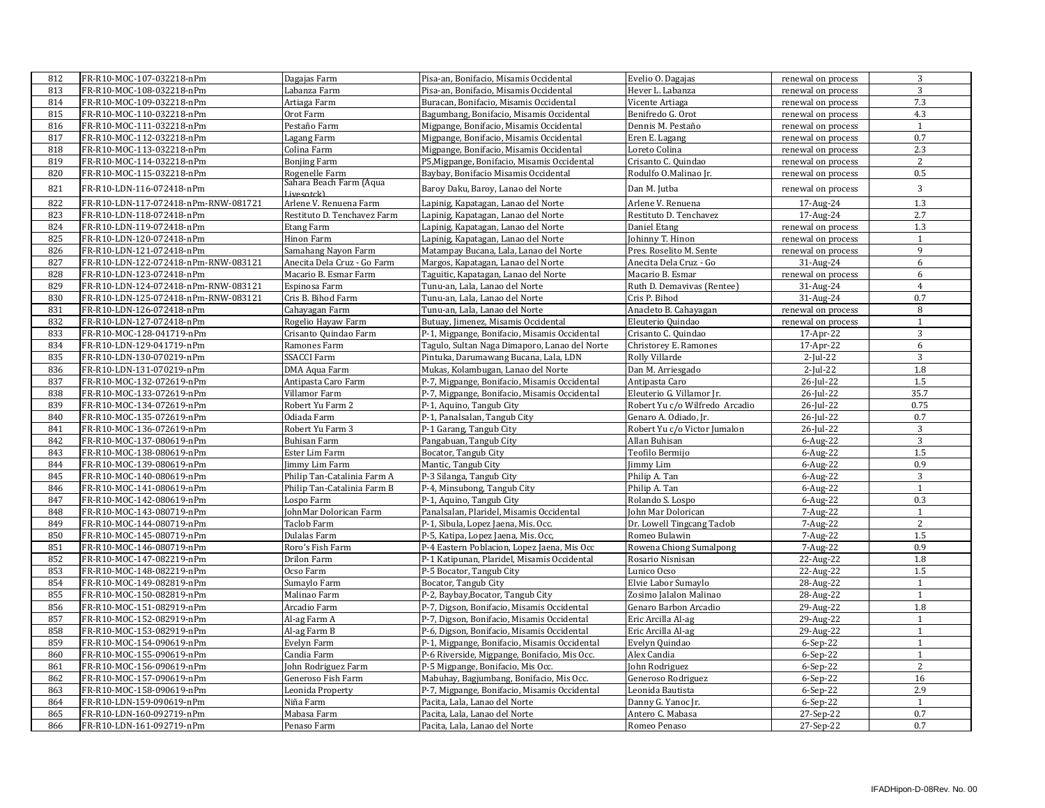| 812 | FR-R10-MOC-107-032218-nPm                              | Dagajas Farm                              | Pisa-an, Bonifacio, Misamis Occidental                                                 | Evelio O. Dagajas              | renewal on process                       | 3              |
|-----|--------------------------------------------------------|-------------------------------------------|----------------------------------------------------------------------------------------|--------------------------------|------------------------------------------|----------------|
| 813 | FR-R10-MOC-108-032218-nPm                              | Labanza Farm                              | Pisa-an, Bonifacio, Misamis Occidental                                                 | Hever L. Labanza               | renewal on process                       | 3              |
| 814 | FR-R10-MOC-109-032218-nPm                              | Artiaga Farm                              | Buracan, Bonifacio, Misamis Occidental                                                 | Vicente Artiaga                | renewal on process                       | 7.3            |
| 815 | FR-R10-MOC-110-032218-nPm                              | Orot Farm                                 | Bagumbang, Bonifacio, Misamis Occidental                                               | Benifredo G. Orot              | renewal on process                       | 4.3            |
| 816 | FR-R10-MOC-111-032218-nPm                              | Pestaño Farm                              | Migpange, Bonifacio, Misamis Occidental                                                | Dennis M. Pestaño              | renewal on process                       | 1              |
| 817 | FR-R10-MOC-112-032218-nPm                              | Lagang Farm                               | Migpange, Bonifacio, Misamis Occidental                                                | Eren E. Lagang                 | renewal on process                       | 0.7            |
| 818 |                                                        | Colina Farm                               |                                                                                        | Loreto Colina                  |                                          | 2.3            |
| 819 | FR-R10-MOC-113-032218-nPm<br>FR-R10-MOC-114-032218-nPm | <b>Bonjing Farm</b>                       | Migpange, Bonifacio, Misamis Occidental<br>P5, Migpange, Bonifacio, Misamis Occidental | Crisanto C. Quindao            | renewal on process<br>renewal on process | 2              |
| 820 |                                                        |                                           |                                                                                        |                                |                                          | 0.5            |
|     | FR-R10-MOC-115-032218-nPm                              | Rogenelle Farm<br>Sahara Beach Farm (Aqua | Baybay, Bonifacio Misamis Occidental                                                   | Rodulfo O.Malinao Jr.          | renewal on process                       |                |
| 821 | FR-R10-LDN-116-072418-nPm                              | Livesotck)                                | Baroy Daku, Baroy, Lanao del Norte                                                     | Dan M. Jutba                   | renewal on process                       | 3              |
| 822 | FR-R10-LDN-117-072418-nPm-RNW-081721                   | Arlene V. Renuena Farm                    | Lapinig, Kapatagan, Lanao del Norte                                                    | Arlene V. Renuena              | 17-Aug-24                                | 1.3            |
| 823 | FR-R10-LDN-118-072418-nPm                              | Restituto D. Tenchavez Farm               | Lapinig, Kapatagan, Lanao del Norte                                                    | Restituto D. Tenchavez         | 17-Aug-24                                | 2.7            |
| 824 | FR-R10-LDN-119-072418-nPm                              | Etang Farm                                | Lapinig, Kapatagan, Lanao del Norte                                                    | Daniel Etang                   | renewal on process                       | 1.3            |
| 825 | FR-R10-LDN-120-072418-nPm                              | Hinon Farm                                | Lapinig, Kapatagan, Lanao del Norte                                                    | Johinny T. Hinon               | renewal on process                       | 1              |
| 826 | FR-R10-LDN-121-072418-nPm                              | Samahang Nayon Farm                       | Matampay Bucana, Lala, Lanao del Norte                                                 | Pres. Roselito M. Sente        | renewal on process                       | 9              |
| 827 | FR-R10-LDN-122-072418-nPm-RNW-083121                   | Anecita Dela Cruz - Go Farm               | Margos, Kapatagan, Lanao del Norte                                                     | Anecita Dela Cruz - Go         | 31-Aug-24                                | 6              |
| 828 | FR-R10-LDN-123-072418-nPm                              | Macario B. Esmar Farm                     | Taguitic, Kapatagan, Lanao del Norte                                                   | Macario B. Esmar               | renewal on process                       | 6              |
| 829 | FR-R10-LDN-124-072418-nPm-RNW-083121                   | Espinosa Farm                             | Tunu-an, Lala, Lanao del Norte                                                         | Ruth D. Demavivas (Rentee)     | 31-Aug-24                                | $\overline{4}$ |
| 830 | FR-R10-LDN-125-072418-nPm-RNW-083121                   | Cris B. Bihod Farm                        | Tunu-an, Lala, Lanao del Norte                                                         | Cris P. Bihod                  | 31-Aug-24                                | 0.7            |
| 831 | FR-R10-LDN-126-072418-nPm                              | Cahayagan Farm                            | Tunu-an, Lala, Lanao del Norte                                                         | Anacleto B. Cahayagan          | renewal on process                       | 8              |
| 832 | FR-R10-LDN-127-072418-nPm                              | Rogelio Hayaw Farm                        | Butuay, Jimenez, Misamis Occidental                                                    | Eleuterio Quindao              | renewal on process                       | $\mathbf{1}$   |
| 833 | FR-R10-MOC-128-041719-nPm                              | Crisanto Quindao Farm                     | P-1, Migpange, Bonifacio, Misamis Occidental                                           | Crisanto C. Quindao            | 17-Apr-22                                | 3              |
| 834 | FR-R10-LDN-129-041719-nPm                              | Ramones Farm                              | Tagulo, Sultan Naga Dimaporo, Lanao del Norte                                          | Christorey E. Ramones          | 17-Apr-22                                | 6              |
| 835 | FR-R10-LDN-130-070219-nPm                              | <b>SSACCI Farm</b>                        | Pintuka, Darumawang Bucana, Lala, LDN                                                  | Rolly Villarde                 | 2-Jul-22                                 | 3              |
| 836 | FR-R10-LDN-131-070219-nPm                              | DMA Aqua Farm                             | Mukas, Kolambugan, Lanao del Norte                                                     | Dan M. Arriesgado              | $2$ -Jul-22                              | 1.8            |
| 837 | FR-R10-MOC-132-072619-nPm                              | Antipasta Caro Farm                       | P-7, Migpange, Bonifacio, Misamis Occidental                                           | Antipasta Caro                 | 26-Jul-22                                | 1.5            |
| 838 | FR-R10-MOC-133-072619-nPm                              | Villamor Farm                             | P-7, Migpange, Bonifacio, Misamis Occidental                                           | Eleuterio G. Villamor Jr.      | 26-Jul-22                                | 35.7           |
| 839 | FR-R10-MOC-134-072619-nPm                              | Robert Yu Farm 2                          | P-1, Aquino, Tangub City                                                               | Robert Yu c/o Wilfredo Arcadio | 26-Jul-22                                | 0.75           |
| 840 | FR-R10-MOC-135-072619-nPm                              | Odiada Farm                               | P-1, Panalsalan, Tangub City                                                           | Genaro A. Odiado, Jr.          | 26-Jul-22                                | 0.7            |
| 841 | FR-R10-MOC-136-072619-nPm                              | Robert Yu Farm 3                          | P-1 Garang, Tangub City                                                                | Robert Yu c/o Victor Jumalon   | 26-Jul-22                                | 3              |
| 842 | FR-R10-MOC-137-080619-nPm                              | Buhisan Farm                              | Pangabuan, Tangub City                                                                 | Allan Buhisan                  | $6$ -Aug-22                              | $\overline{3}$ |
| 843 | FR-R10-MOC-138-080619-nPm                              | Ester Lim Farm                            | Bocator, Tangub City                                                                   | Teofilo Bermijo                | 6-Aug-22                                 | 1.5            |
| 844 | FR-R10-MOC-139-080619-nPm                              | Jimmy Lim Farm                            | Mantic, Tangub City                                                                    | Jimmy Lim                      | $6$ -Aug-22                              | 0.9            |
| 845 | FR-R10-MOC-140-080619-nPm                              | Philip Tan-Catalinia Farm A               | P-3 Silanga, Tangub City                                                               | Philip A. Tan                  | 6-Aug-22                                 | 3              |
| 846 | FR-R10-MOC-141-080619-nPm                              | Philip Tan-Catalinia Farm B               | P-4, Minsubong, Tangub City                                                            | Philip A. Tan                  | 6-Aug-22                                 | $\mathbf{1}$   |
| 847 | FR-R10-MOC-142-080619-nPm                              | Lospo Farm                                | P-1, Aquino, Tangub City                                                               | Rolando S. Lospo               | 6-Aug-22                                 | 0.3            |
| 848 | FR-R10-MOC-143-080719-nPm                              | JohnMar Dolorican Farm                    | Panalsalan, Plaridel, Misamis Occidental                                               | John Mar Dolorican             | 7-Aug-22                                 | $\mathbf{1}$   |
| 849 | FR-R10-MOC-144-080719-nPm                              | Taclob Farm                               | P-1, Sibula, Lopez Jaena, Mis. Occ.                                                    | Dr. Lowell Tingcang Taclob     | 7-Aug-22                                 | 2              |
| 850 | FR-R10-MOC-145-080719-nPm                              | Dulalas Farm                              | P-5, Katipa, Lopez Jaena, Mis. Occ,                                                    | Romeo Bulawin                  | 7-Aug-22                                 | 1.5            |
| 851 | FR-R10-MOC-146-080719-nPm                              | Roro's Fish Farm                          | P-4 Eastern Poblacion, Lopez Jaena, Mis Occ                                            | Rowena Chiong Sumalpong        | 7-Aug-22                                 | 0.9            |
| 852 | FR-R10-MOC-147-082219-nPm                              | Drilon Farm                               | P-1 Katipunan, Plaridel, Misamis Occidental                                            | Rosario Nisnisan               | 22-Aug-22                                | 1.8            |
| 853 | FR-R10-MOC-148-082219-nPm                              | Ocso Farm                                 | P-5 Bocator, Tangub City                                                               | Lunico Ocso                    | 22-Aug-22                                | 1.5            |
| 854 | FR-R10-MOC-149-082819-nPm                              | Sumaylo Farm                              | Bocator, Tangub City                                                                   | Elvie Labor Sumaylo            | 28-Aug-22                                | $\mathbf{1}$   |
| 855 | FR-R10-MOC-150-082819-nPm                              | Malinao Farm                              | P-2, Baybay, Bocator, Tangub City                                                      | Zosimo Jalalon Malinao         | 28-Aug-22                                | $\mathbf{1}$   |
| 856 | FR-R10-MOC-151-082919-nPm                              | Arcadio Farm                              | P-7, Digson, Bonifacio, Misamis Occidental                                             | Genaro Barbon Arcadio          | 29-Aug-22                                | 1.8            |
| 857 | FR-R10-MOC-152-082919-nPm                              | Al-ag Farm A                              | P-7, Digson, Bonifacio, Misamis Occidental                                             | Eric Arcilla Al-ag             | 29-Aug-22                                | $\mathbf{1}$   |
| 858 | FR-R10-MOC-153-082919-nPm                              | Al-ag Farm B                              | P-6, Digson, Bonifacio, Misamis Occidental                                             | Eric Arcilla Al-ag             | 29-Aug-22                                | $\mathbf{1}$   |
| 859 | FR-R10-MOC-154-090619-nPm                              | Evelyn Farm                               | P-1, Migpange, Bonifacio, Misamis Occidental                                           | Evelyn Quindao                 | $6-Sep-22$                               | $\mathbf{1}$   |
| 860 | FR-R10-MOC-155-090619-nPm                              | Candia Farm                               | P-6 Riverside, Migpange, Bonifacio, Mis Occ.                                           | Alex Candia                    | $6-Sep-22$                               | $\mathbf{1}$   |
| 861 | FR-R10-MOC-156-090619-nPm                              | John Rodriguez Farm                       | P-5 Migpange, Bonifacio, Mis Occ.                                                      | John Rodriguez                 | $6-Sep-22$                               | 2              |
| 862 | FR-R10-MOC-157-090619-nPm                              | Generoso Fish Farm                        | Mabuhay, Bagjumbang, Bonifacio, Mis Occ.                                               | Generoso Rodriguez             | $6-Sep-22$                               | 16             |
| 863 | FR-R10-MOC-158-090619-nPm                              | Leonida Property                          | P-7, Migpange, Bonifacio, Misamis Occidental                                           | Leonida Bautista               | $6-Sep-22$                               | 2.9            |
| 864 | FR-R10-LDN-159-090619-nPm                              | Niña Farm                                 | Pacita, Lala, Lanao del Norte                                                          | Danny G. Yanoc Jr.             | $6-Sep-22$                               | 1              |
| 865 | FR-R10-LDN-160-092719-nPm                              | Mabasa Farm                               | Pacita, Lala, Lanao del Norte                                                          | Antero C. Mabasa               | 27-Sep-22                                | 0.7            |
| 866 | FR-R10-LDN-161-092719-nPm                              | Penaso Farm                               | Pacita, Lala, Lanao del Norte                                                          | Romeo Penaso                   | 27-Sep-22                                | 0.7            |
|     |                                                        |                                           |                                                                                        |                                |                                          |                |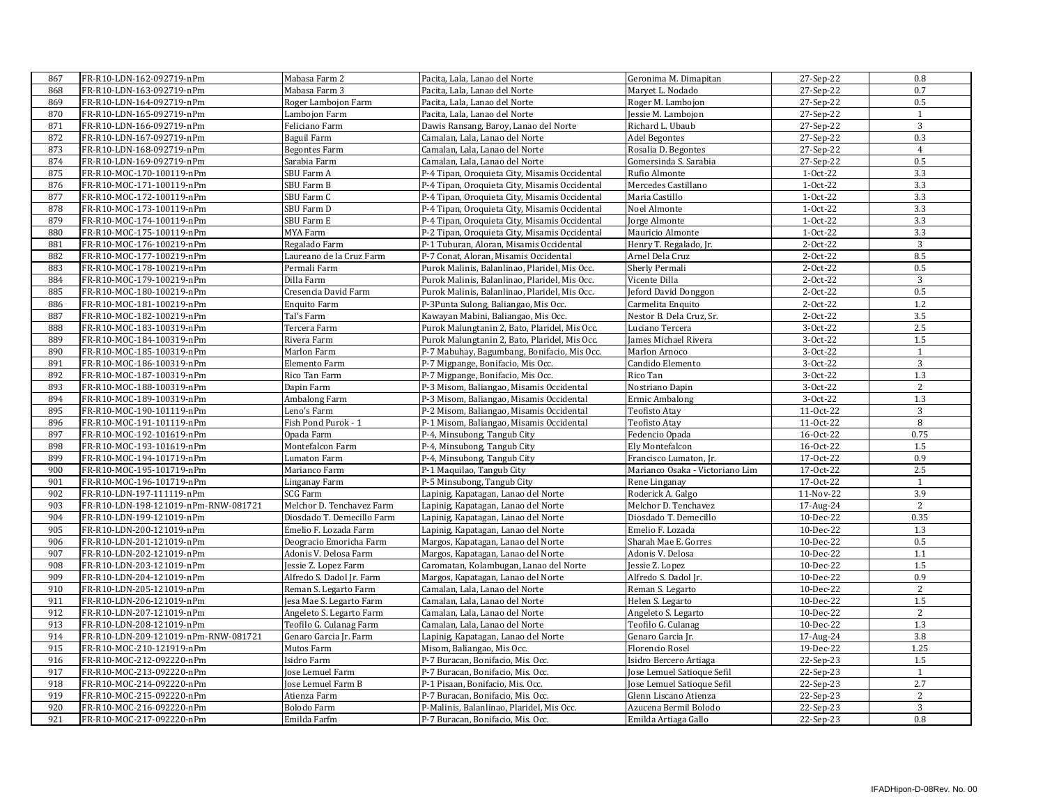| 867 | FR-R10-LDN-162-092719-nPm            | Mabasa Farm 2              | Pacita, Lala, Lanao del Norte                 | Geronima M. Dimapitan           | 27-Sep-22  | 0.8            |
|-----|--------------------------------------|----------------------------|-----------------------------------------------|---------------------------------|------------|----------------|
| 868 | FR-R10-LDN-163-092719-nPm            | Mabasa Farm 3              | Pacita, Lala, Lanao del Norte                 | Maryet L. Nodado                | 27-Sep-22  | 0.7            |
| 869 | FR-R10-LDN-164-092719-nPm            | Roger Lambojon Farm        | Pacita, Lala, Lanao del Norte                 | Roger M. Lambojon               | 27-Sep-22  | 0.5            |
| 870 | FR-R10-LDN-165-092719-nPm            | Lambojon Farm              | Pacita, Lala, Lanao del Norte                 | essie M. Lambojon               | 27-Sep-22  | $\mathbf{1}$   |
| 871 | FR-R10-LDN-166-092719-nPm            | Feliciano Farm             | Dawis Ransang, Baroy, Lanao del Norte         | Richard L. Ubaub                | 27-Sep-22  | 3              |
|     |                                      |                            |                                               |                                 |            |                |
| 872 | FR-R10-LDN-167-092719-nPm            | Baguil Farm                | Camalan, Lala, Lanao del Norte                | Adel Begontes                   | 27-Sep-22  | 0.3            |
| 873 | FR-R10-LDN-168-092719-nPm            | <b>Begontes Farm</b>       | Camalan, Lala, Lanao del Norte                | Rosalia D. Begontes             | 27-Sep-22  | $\overline{4}$ |
| 874 | FR-R10-LDN-169-092719-nPm            | Sarabia Farm               | Camalan, Lala, Lanao del Norte                | Gomersinda S. Sarabia           | 27-Sep-22  | 0.5            |
| 875 | FR-R10-MOC-170-100119-nPm            | SBU Farm A                 | P-4 Tipan, Oroquieta City, Misamis Occidental | Rufio Almonte                   | 1-Oct-22   | 3.3            |
| 876 | FR-R10-MOC-171-100119-nPm            | SBU Farm B                 | P-4 Tipan, Oroquieta City, Misamis Occidental | Mercedes Castillano             | 1-Oct-22   | 3.3            |
| 877 | FR-R10-MOC-172-100119-nPm            | SBU Farm C                 | P-4 Tipan, Oroquieta City, Misamis Occidental | Maria Castillo                  | 1-Oct-22   | 3.3            |
| 878 | FR-R10-MOC-173-100119-nPm            | SBU Farm D                 | P-4 Tipan, Oroquieta City, Misamis Occidental | Noel Almonte                    | 1-Oct-22   | 3.3            |
| 879 | FR-R10-MOC-174-100119-nPm            | SBU Farm E                 | P-4 Tipan, Oroquieta City, Misamis Occidental | Jorge Almonte                   | 1-Oct-22   | 3.3            |
| 880 | FR-R10-MOC-175-100119-nPm            | MYA Farm                   | P-2 Tipan, Oroquieta City, Misamis Occidental | Mauricio Almonte                | $1-0ct-22$ | 3.3            |
| 881 | FR-R10-MOC-176-100219-nPm            | Regalado Farm              | P-1 Tuburan, Aloran, Misamis Occidental       | Henry T. Regalado, Jr.          | 2-Oct-22   | 3              |
| 882 | FR-R10-MOC-177-100219-nPm            | Laureano de la Cruz Farm   | P-7 Conat, Aloran, Misamis Occidental         | Arnel Dela Cruz                 | 2-Oct-22   | 8.5            |
| 883 | FR-R10-MOC-178-100219-nPm            | Permali Farm               | Purok Malinis, Balanlinao, Plaridel, Mis Occ. | Sherly Permali                  | 2-Oct-22   | 0.5            |
| 884 | FR-R10-MOC-179-100219-nPm            | Dilla Farm                 | Purok Malinis, Balanlinao, Plaridel, Mis Occ. | Vicente Dilla                   | 2-Oct-22   | 3              |
| 885 | FR-R10-MOC-180-100219-nPm            | Cresencia David Farm       | Purok Malinis, Balanlinao, Plaridel, Mis Occ. | Jeford David Donggon            | 2-Oct-22   | 0.5            |
| 886 | FR-R10-MOC-181-100219-nPm            | <b>Enquito Farm</b>        | P-3Punta Sulong, Baliangao, Mis Occ.          | Carmelita Enquito               | 2-Oct-22   | $1.2\,$        |
| 887 | FR-R10-MOC-182-100219-nPm            | Tal's Farm                 | Kawayan Mabini, Baliangao, Mis Occ.           | Nestor B. Dela Cruz, Sr.        | 2-Oct-22   | 3.5            |
| 888 | FR-R10-MOC-183-100319-nPm            | Tercera Farm               | Purok Malungtanin 2, Bato, Plaridel, Mis Occ. | Luciano Tercera                 | 3-Oct-22   | 2.5            |
| 889 | FR-R10-MOC-184-100319-nPm            | Rivera Farm                | Purok Malungtanin 2, Bato, Plaridel, Mis Occ. | James Michael Rivera            | 3-Oct-22   | 1.5            |
| 890 | FR-R10-MOC-185-100319-nPm            | Marlon Farm                | P-7 Mabuhay, Bagumbang, Bonifacio, Mis Occ.   | Marlon Arnoco                   | 3-Oct-22   | 1              |
| 891 | FR-R10-MOC-186-100319-nPm            | Elemento Farm              | P-7 Migpange, Bonifacio, Mis Occ.             | Candido Elemento                | 3-Oct-22   | $\overline{3}$ |
| 892 | FR-R10-MOC-187-100319-nPm            | Rico Tan Farm              | P-7 Migpange, Bonifacio, Mis Occ.             | Rico Tan                        | 3-Oct-22   | 1.3            |
| 893 | FR-R10-MOC-188-100319-nPm            | Dapin Farm                 | P-3 Misom, Baliangao, Misamis Occidental      | Nostriano Dapin                 | 3-Oct-22   | 2              |
| 894 | FR-R10-MOC-189-100319-nPm            | Ambalong Farm              | P-3 Misom, Baliangao, Misamis Occidental      |                                 | 3-Oct-22   | 1.3            |
| 895 |                                      | Leno's Farm                |                                               | Ermic Ambalong                  | 11-Oct-22  |                |
|     | FR-R10-MOC-190-101119-nPm            |                            | P-2 Misom, Baliangao, Misamis Occidental      | Teofisto Atay                   |            | $\sqrt{3}$     |
| 896 | FR-R10-MOC-191-101119-nPm            | Fish Pond Purok - 1        | P-1 Misom, Baliangao, Misamis Occidental      | Teofisto Atay                   | 11-Oct-22  | $\, 8$         |
| 897 | FR-R10-MOC-192-101619-nPm            | Opada Farm                 | P-4, Minsubong, Tangub City                   | Fedencio Opada                  | 16-Oct-22  | 0.75           |
| 898 | FR-R10-MOC-193-101619-nPm            | Montefalcon Farm           | P-4, Minsubong, Tangub City                   | Ely Montefalcon                 | 16-Oct-22  | 1.5            |
| 899 | FR-R10-MOC-194-101719-nPm            | Lumaton Farm               | P-4, Minsubong, Tangub City                   | Francisco Lumaton, Jr.          | 17-Oct-22  | 0.9            |
| 900 | FR-R10-MOC-195-101719-nPm            | Marianco Farm              | P-1 Maquilao, Tangub City                     | Marianco Osaka - Victoriano Lim | 17-0ct-22  | 2.5            |
| 901 | FR-R10-MOC-196-101719-nPm            | Linganay Farm              | P-5 Minsubong, Tangub City                    | Rene Linganay                   | 17-Oct-22  | $\,1\,$        |
| 902 | FR-R10-LDN-197-111119-nPm            | <b>SCG Farm</b>            | Lapinig, Kapatagan, Lanao del Norte           | Roderick A. Galgo               | 11-Nov-22  | 3.9            |
| 903 | FR-R10-LDN-198-121019-nPm-RNW-081721 | Melchor D. Tenchavez Farm  | Lapinig, Kapatagan, Lanao del Norte           | Melchor D. Tenchavez            | 17-Aug-24  | $\overline{2}$ |
| 904 | FR-R10-LDN-199-121019-nPm            | Diosdado T. Demecillo Farm | Lapinig, Kapatagan, Lanao del Norte           | Diosdado T. Demecillo           | 10-Dec-22  | 0.35           |
| 905 | FR-R10-LDN-200-121019-nPm            | Emelio F. Lozada Farm      | Lapinig, Kapatagan, Lanao del Norte           | Emelio F. Lozada                | 10-Dec-22  | 1.3            |
| 906 | FR-R10-LDN-201-121019-nPm            | Deogracio Emoricha Farm    | Margos, Kapatagan, Lanao del Norte            | Sharah Mae E. Gorres            | 10-Dec-22  | 0.5            |
| 907 | FR-R10-LDN-202-121019-nPm            | Adonis V. Delosa Farm      | Margos, Kapatagan, Lanao del Norte            | Adonis V. Delosa                | 10-Dec-22  | 1.1            |
| 908 | FR-R10-LDN-203-121019-nPm            | Jessie Z. Lopez Farm       | Caromatan, Kolambugan, Lanao del Norte        | Jessie Z. Lopez                 | 10-Dec-22  | 1.5            |
| 909 | FR-R10-LDN-204-121019-nPm            | Alfredo S. Dadol Jr. Farm  | Margos, Kapatagan, Lanao del Norte            | Alfredo S. Dadol Jr.            | 10-Dec-22  | 0.9            |
| 910 | FR-R10-LDN-205-121019-nPm            | Reman S. Legarto Farm      | Camalan, Lala, Lanao del Norte                | Reman S. Legarto                | 10-Dec-22  | 2              |
| 911 | FR-R10-LDN-206-121019-nPm            | Jesa Mae S. Legarto Farm   | Camalan, Lala, Lanao del Norte                | Helen S. Legarto                | 10-Dec-22  | 1.5            |
| 912 | FR-R10-LDN-207-121019-nPm            | Angeleto S. Legarto Farm   | Camalan, Lala, Lanao del Norte                | Angeleto S. Legarto             | 10-Dec-22  | $\sqrt{2}$     |
| 913 | FR-R10-LDN-208-121019-nPm            | Teofilo G. Culanag Farm    | Camalan, Lala, Lanao del Norte                | Teofilo G. Culanag              | 10-Dec-22  | 1.3            |
| 914 | FR-R10-LDN-209-121019-nPm-RNW-081721 | Genaro Garcia Jr. Farm     | Lapinig, Kapatagan, Lanao del Norte           | Genaro Garcia Jr.               | 17-Aug-24  | 3.8            |
| 915 | FR-R10-MOC-210-121919-nPm            | Mutos Farm                 | Misom, Baliangao, Mis Occ.                    | Florencio Rosel                 | 19-Dec-22  | 1.25           |
| 916 | FR-R10-MOC-212-092220-nPm            | Isidro Farm                | P-7 Buracan, Bonifacio, Mis. Occ.             | Isidro Bercero Artiaga          | 22-Sep-23  | 1.5            |
| 917 | FR-R10-MOC-213-092220-nPm            | Jose Lemuel Farm           | P-7 Buracan, Bonifacio, Mis. Occ.             | Jose Lemuel Satioque Sefil      | 22-Sep-23  | 1              |
| 918 | FR-R10-MOC-214-092220-nPm            | Jose Lemuel Farm B         | P-1 Pisaan, Bonifacio, Mis. Occ.              | Jose Lemuel Satioque Sefil      | 22-Sep-23  | 2.7            |
| 919 | FR-R10-MOC-215-092220-nPm            | Atienza Farm               | P-7 Buracan, Bonifacio, Mis. Occ.             | Glenn Liscano Atienza           | 22-Sep-23  | 2              |
| 920 | FR-R10-MOC-216-092220-nPm            | Bolodo Farm                | P-Malinis, Balanlinao, Plaridel, Mis Occ.     | Azucena Bermil Bolodo           | 22-Sep-23  | 3              |
| 921 | FR-R10-MOC-217-092220-nPm            | Emilda Farfm               | P-7 Buracan, Bonifacio, Mis. Occ.             | Emilda Artiaga Gallo            | 22-Sep-23  | 0.8            |
|     |                                      |                            |                                               |                                 |            |                |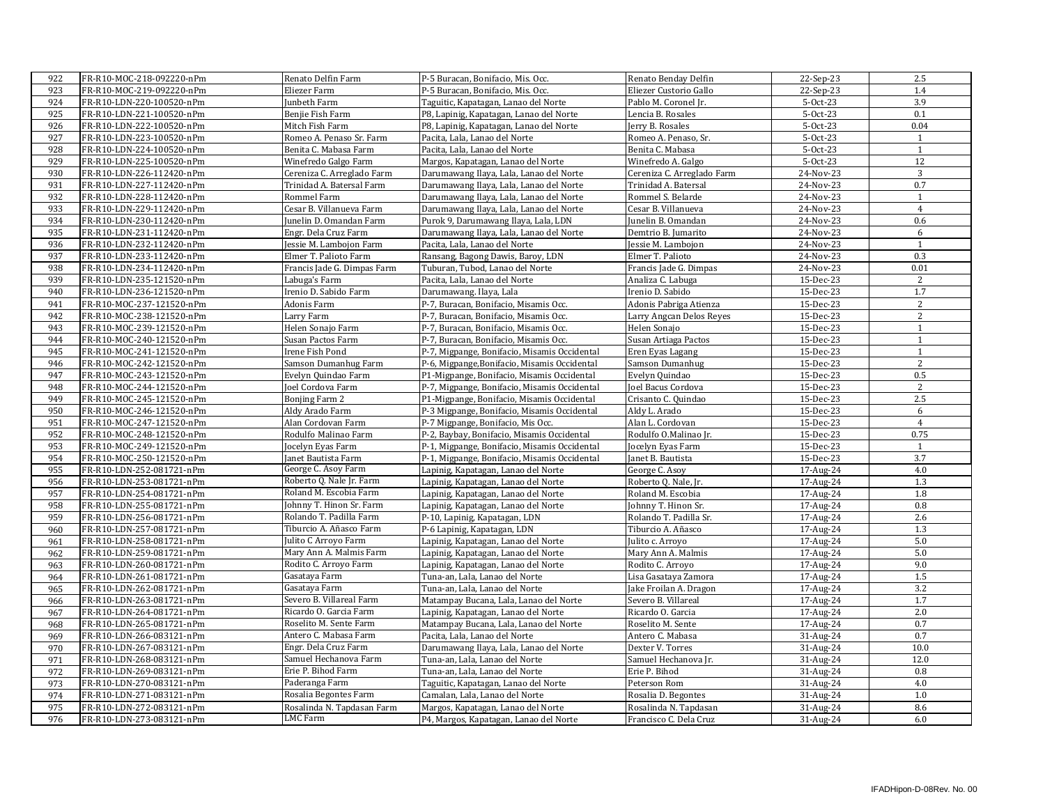| 923<br>FR-R10-MOC-219-092220-nPm<br>Eliezer Farm<br>P-5 Buracan, Bonifacio, Mis. Occ.<br>Eliezer Custorio Gallo<br>22-Sep-23<br>1.4<br>3.9<br>924<br>FR-R10-LDN-220-100520-nPm<br>Junbeth Farm<br>Taguitic, Kapatagan, Lanao del Norte<br>Pablo M. Coronel Jr.<br>5-Oct-23<br>FR-R10-LDN-221-100520-nPm<br>P8, Lapinig, Kapatagan, Lanao del Norte<br>$5-0ct-23$<br>0.1<br>925<br>Benjie Fish Farm<br>Lencia B. Rosales<br>926<br>FR-R10-LDN-222-100520-nPm<br>Mitch Fish Farm<br>P8, Lapinig, Kapatagan, Lanao del Norte<br>Jerry B. Rosales<br>5-Oct-23<br>0.04<br>927<br>FR-R10-LDN-223-100520-nPm<br>Romeo A. Penaso Sr. Farm<br>Pacita, Lala, Lanao del Norte<br>Romeo A. Penaso, Sr.<br>5-Oct-23<br>1<br>928<br>FR-R10-LDN-224-100520-nPm<br>Benita C. Mabasa Farm<br>Pacita, Lala, Lanao del Norte<br>Benita C. Mabasa<br>$5-0ct-23$<br>$\mathbf{1}$<br>929<br>12<br>FR-R10-LDN-225-100520-nPm<br>Winefredo Galgo Farm<br>Margos, Kapatagan, Lanao del Norte<br>Winefredo A. Galgo<br>5-Oct-23<br>930<br>3<br>FR-R10-LDN-226-112420-nPm<br>Cereniza C. Arreglado Farm<br>Darumawang Ilaya, Lala, Lanao del Norte<br>Cereniza C. Arreglado Farm<br>24-Nov-23<br>931<br>Trinidad A. Batersal Farm<br>Darumawang Ilaya, Lala, Lanao del Norte<br>0.7<br>FR-R10-LDN-227-112420-nPm<br>Trinidad A. Batersal<br>24-Nov-23<br>$\mathbf{1}$<br>932<br>Rommel Farm<br>Darumawang Ilaya, Lala, Lanao del Norte<br>FR-R10-LDN-228-112420-nPm<br>Rommel S. Belarde<br>24-Nov-23<br>Cesar B. Villanueva Farm<br>Cesar B. Villanueva<br>$\overline{4}$<br>933<br>FR-R10-LDN-229-112420-nPm<br>Darumawang Ilaya, Lala, Lanao del Norte<br>24-Nov-23<br>unelin D. Omandan Farm<br>Purok 9, Darumawang Ilaya, Lala, LDN<br>Junelin B. Omandan<br>0.6<br>934<br>FR-R10-LDN-230-112420-nPm<br>24-Nov-23<br>935<br>FR-R10-LDN-231-112420-nPm<br>Engr. Dela Cruz Farm<br>Darumawang Ilaya, Lala, Lanao del Norte<br>Demtrio B. Jumarito<br>24-Nov-23<br>6<br>$\mathbf{1}$<br>936<br>FR-R10-LDN-232-112420-nPm<br>Jessie M. Lambojon Farm<br>Pacita, Lala, Lanao del Norte<br>Jessie M. Lambojon<br>24-Nov-23<br>937<br>Ransang, Bagong Dawis, Baroy, LDN<br>Elmer T. Palioto<br>0.3<br>FR-R10-LDN-233-112420-nPm<br>Elmer T. Palioto Farm<br>24-Nov-23<br>938<br>FR-R10-LDN-234-112420-nPm<br>Francis Jade G. Dimpas Farm<br>Tuburan, Tubod, Lanao del Norte<br>24-Nov-23<br>0.01<br>Francis Jade G. Dimpas<br>2<br>939<br>FR-R10-LDN-235-121520-nPm<br>Labuga's Farm<br>Pacita, Lala, Lanao del Norte<br>Analiza C. Labuga<br>15-Dec-23<br>1.7<br>940<br>Irenio D. Sabido Farm<br>Irenio D. Sabido<br>FR-R10-LDN-236-121520-nPm<br>Darumawang. Ilaya, Lala<br>15-Dec-23<br>Adonis Farm<br>Adonis Pabriga Atienza<br>$\overline{c}$<br>941<br>FR-R10-MOC-237-121520-nPm<br>P-7, Buracan, Bonifacio, Misamis Occ.<br>15-Dec-23<br>942<br>FR-R10-MOC-238-121520-nPm<br>Larry Farm<br>P-7, Buracan, Bonifacio, Misamis Occ.<br>Larry Angcan Delos Reyes<br>15-Dec-23<br>2<br>943<br>P-7, Buracan, Bonifacio, Misamis Occ.<br>$\mathbf{1}$<br>FR-R10-MOC-239-121520-nPm<br>Helen Sonajo Farm<br>Helen Sonajo<br>15-Dec-23<br>944<br>15-Dec-23<br>FR-R10-MOC-240-121520-nPm<br>Susan Pactos Farm<br>P-7, Buracan, Bonifacio, Misamis Occ.<br>Susan Artiaga Pactos<br>$\mathbf{1}$<br>945<br>FR-R10-MOC-241-121520-nPm<br>P-7, Migpange, Bonifacio, Misamis Occidental<br>Eren Eyas Lagang<br>15-Dec-23<br>Irene Fish Pond<br>$\mathbf{1}$<br>$\sqrt{2}$<br>946<br>FR-R10-MOC-242-121520-nPm<br>Samson Dumanhug Farm<br>P-6, Migpange, Bonifacio, Misamis Occidental<br>Samson Dumanhug<br>15-Dec-23<br>947<br>15-Dec-23<br>0.5<br>FR-R10-MOC-243-121520-nPm<br>Evelyn Quindao Farm<br>P1-Migpange, Bonifacio, Misamis Occidental<br>Evelyn Quindao<br>948<br>FR-R10-MOC-244-121520-nPm<br>Joel Cordova Farm<br>P-7, Migpange, Bonifacio, Misamis Occidental<br>Joel Bacus Cordova<br>15-Dec-23<br>2<br>2.5<br>949<br>FR-R10-MOC-245-121520-nPm<br>Bonjing Farm 2<br>P1-Migpange, Bonifacio, Misamis Occidental<br>Crisanto C. Quindao<br>15-Dec-23<br>950<br>6<br>FR-R10-MOC-246-121520-nPm<br>Aldy Arado Farm<br>P-3 Migpange, Bonifacio, Misamis Occidental<br>Aldy L. Arado<br>15-Dec-23<br>951<br>FR-R10-MOC-247-121520-nPm<br>Alan Cordovan Farm<br>P-7 Migpange, Bonifacio, Mis Occ.<br>Alan L. Cordovan<br>15-Dec-23<br>$\overline{4}$<br>952<br>0.75<br>FR-R10-MOC-248-121520-nPm<br>Rodulfo Malinao Farm<br>P-2, Baybay, Bonifacio, Misamis Occidental<br>Rodulfo O.Malinao Jr.<br>15-Dec-23<br>953<br>Jocelyn Eyas Farm<br>FR-R10-MOC-249-121520-nPm<br>P-1, Migpange, Bonifacio, Misamis Occidental<br>Jocelyn Eyas Farm<br>15-Dec-23<br>$\mathbf{1}$<br>3.7<br>954<br>FR-R10-MOC-250-121520-nPm<br>anet Bautista Farm<br>P-1, Migpange, Bonifacio, Misamis Occidental<br>Janet B. Bautista<br>15-Dec-23<br>George C. Asoy Farm<br>FR-R10-LDN-252-081721-nPm<br>4.0<br>955<br>Lapinig, Kapatagan, Lanao del Norte<br>George C. Asoy<br>17-Aug-24<br>Roberto Q. Nale Jr. Farm<br>1.3<br>FR-R10-LDN-253-081721-nPm<br>Lapinig, Kapatagan, Lanao del Norte<br>Roberto Q. Nale, Jr.<br>17-Aug-24<br>956<br>Roland M. Escobia Farm<br>957<br>FR-R10-LDN-254-081721-nPm<br>Roland M. Escobia<br>1.8<br>Lapinig, Kapatagan, Lanao del Norte<br>17-Aug-24<br>Johnny T. Hinon Sr. Farm<br>0.8<br>FR-R10-LDN-255-081721-nPm<br>Johnny T. Hinon Sr.<br>958<br>Lapinig, Kapatagan, Lanao del Norte<br>17-Aug-24<br>Rolando T. Padilla Farm<br>2.6<br>959<br>FR-R10-LDN-256-081721-nPm<br>P-10, Lapinig, Kapatagan, LDN<br>Rolando T. Padilla Sr.<br>17-Aug-24<br>FR-R10-LDN-257-081721-nPm<br>Tiburcio A. Añasco Farm<br>1.3<br>P-6 Lapinig, Kapatagan, LDN<br>Tiburcio A. Añasco<br>17-Aug-24<br>960<br>Julito C Arroyo Farm<br>5.0<br>961<br>FR-R10-LDN-258-081721-nPm<br>Lapinig, Kapatagan, Lanao del Norte<br>Julito c. Arroyo<br>17-Aug-24<br>Mary Ann A. Malmis Farm<br>$5.0\,$<br>FR-R10-LDN-259-081721-nPm<br>Lapinig, Kapatagan, Lanao del Norte<br>Mary Ann A. Malmis<br>17-Aug-24<br>962<br>9.0<br>FR-R10-LDN-260-081721-nPm<br>Rodito C. Arroyo Farm<br>963<br>Lapinig, Kapatagan, Lanao del Norte<br>Rodito C. Arroyo<br>17-Aug-24<br>Gasataya Farm<br>1.5<br>964<br>FR-R10-LDN-261-081721-nPm<br>Tuna-an, Lala, Lanao del Norte<br>Lisa Gasataya Zamora<br>17-Aug-24<br>3.2<br>965<br>FR-R10-LDN-262-081721-nPm<br>Gasataya Farm<br>Tuna-an, Lala, Lanao del Norte<br>Jake Froilan A. Dragon<br>17-Aug-24<br>FR-R10-LDN-263-081721-nPm<br>1.7<br>966<br>Severo B. Villareal Farm<br>Matampay Bucana, Lala, Lanao del Norte<br>Severo B. Villareal<br>17-Aug-24<br>Ricardo O. Garcia Farm<br>2.0<br>967<br>FR-R10-LDN-264-081721-nPm<br>Lapinig, Kapatagan, Lanao del Norte<br>Ricardo O. Garcia<br>17-Aug-24<br>0.7<br>968<br>FR-R10-LDN-265-081721-nPm<br>Roselito M. Sente Farm<br>Matampay Bucana, Lala, Lanao del Norte<br>Roselito M. Sente<br>17-Aug-24<br>Antero C. Mabasa Farm<br>0.7<br>FR-R10-LDN-266-083121-nPm<br>Pacita, Lala, Lanao del Norte<br>Antero C. Mabasa<br>31-Aug-24<br>969<br>10.0<br>Engr. Dela Cruz Farm<br>970<br>FR-R10-LDN-267-083121-nPm<br>Darumawang Ilaya, Lala, Lanao del Norte<br>Dexter V. Torres<br>31-Aug-24<br>Samuel Hechanova Farm<br>12.0<br>971<br>FR-R10-LDN-268-083121-nPm<br>Tuna-an, Lala, Lanao del Norte<br>Samuel Hechanova Jr.<br>31-Aug-24<br>Erie P. Bihod Farm<br>FR-R10-LDN-269-083121-nPm<br>Tuna-an, Lala, Lanao del Norte<br>Erie P. Bihod<br>31-Aug-24<br>0.8<br>972<br>Paderanga Farm<br>4.0<br>973<br>FR-R10-LDN-270-083121-nPm<br>Taguitic, Kapatagan, Lanao del Norte<br>Peterson Rom<br>31-Aug-24<br>974<br>FR-R10-LDN-271-083121-nPm<br>Rosalia Begontes Farm<br>Camalan, Lala, Lanao del Norte<br>1.0<br>Rosalia D. Begontes<br>31-Aug-24<br>8.6<br>975<br>FR-R10-LDN-272-083121-nPm<br>Rosalinda N. Tapdasan Farm<br>Margos, Kapatagan, Lanao del Norte<br>Rosalinda N. Tapdasan<br>31-Aug-24 | 922 | FR-R10-MOC-218-092220-nPm | Renato Delfin Farm | P-5 Buracan, Bonifacio, Mis. Occ.      | Renato Benday Delfin   | 22-Sep-23 | 2.5 |
|--------------------------------------------------------------------------------------------------------------------------------------------------------------------------------------------------------------------------------------------------------------------------------------------------------------------------------------------------------------------------------------------------------------------------------------------------------------------------------------------------------------------------------------------------------------------------------------------------------------------------------------------------------------------------------------------------------------------------------------------------------------------------------------------------------------------------------------------------------------------------------------------------------------------------------------------------------------------------------------------------------------------------------------------------------------------------------------------------------------------------------------------------------------------------------------------------------------------------------------------------------------------------------------------------------------------------------------------------------------------------------------------------------------------------------------------------------------------------------------------------------------------------------------------------------------------------------------------------------------------------------------------------------------------------------------------------------------------------------------------------------------------------------------------------------------------------------------------------------------------------------------------------------------------------------------------------------------------------------------------------------------------------------------------------------------------------------------------------------------------------------------------------------------------------------------------------------------------------------------------------------------------------------------------------------------------------------------------------------------------------------------------------------------------------------------------------------------------------------------------------------------------------------------------------------------------------------------------------------------------------------------------------------------------------------------------------------------------------------------------------------------------------------------------------------------------------------------------------------------------------------------------------------------------------------------------------------------------------------------------------------------------------------------------------------------------------------------------------------------------------------------------------------------------------------------------------------------------------------------------------------------------------------------------------------------------------------------------------------------------------------------------------------------------------------------------------------------------------------------------------------------------------------------------------------------------------------------------------------------------------------------------------------------------------------------------------------------------------------------------------------------------------------------------------------------------------------------------------------------------------------------------------------------------------------------------------------------------------------------------------------------------------------------------------------------------------------------------------------------------------------------------------------------------------------------------------------------------------------------------------------------------------------------------------------------------------------------------------------------------------------------------------------------------------------------------------------------------------------------------------------------------------------------------------------------------------------------------------------------------------------------------------------------------------------------------------------------------------------------------------------------------------------------------------------------------------------------------------------------------------------------------------------------------------------------------------------------------------------------------------------------------------------------------------------------------------------------------------------------------------------------------------------------------------------------------------------------------------------------------------------------------------------------------------------------------------------------------------------------------------------------------------------------------------------------------------------------------------------------------------------------------------------------------------------------------------------------------------------------------------------------------------------------------------------------------------------------------------------------------------------------------------------------------------------------------------------------------------------------------------------------------------------------------------------------------------------------------------------------------------------------------------------------------------------------------------------------------------------------------------------------------------------------------------------------------------------------------------------------------------------------------------------------------------------------------------------------------------------------------------------------------------------------------------------------------------------------------------------------------------------------------------------------------------------------------------------------------------------------------------------------------------------------------------------------------------------------------------------------------------------------------------------------------------------------------------------------------------------------------------------------------------------------------------------------------------------------------------------------------------------------------------------------------------------------------------------------------------------------------------------------------------------------------------------------------------------------------------------------------------------------------------------------------------------------------------------------------------------------------------------------------------------------------------------------------------------------------------------------------------------------------------------------------------------------------------------------------------------------------------------------------------------------------------------------------------------------------------------------------------------------------------------------------------------------------------------------------------------------|-----|---------------------------|--------------------|----------------------------------------|------------------------|-----------|-----|
|                                                                                                                                                                                                                                                                                                                                                                                                                                                                                                                                                                                                                                                                                                                                                                                                                                                                                                                                                                                                                                                                                                                                                                                                                                                                                                                                                                                                                                                                                                                                                                                                                                                                                                                                                                                                                                                                                                                                                                                                                                                                                                                                                                                                                                                                                                                                                                                                                                                                                                                                                                                                                                                                                                                                                                                                                                                                                                                                                                                                                                                                                                                                                                                                                                                                                                                                                                                                                                                                                                                                                                                                                                                                                                                                                                                                                                                                                                                                                                                                                                                                                                                                                                                                                                                                                                                                                                                                                                                                                                                                                                                                                                                                                                                                                                                                                                                                                                                                                                                                                                                                                                                                                                                                                                                                                                                                                                                                                                                                                                                                                                                                                                                                                                                                                                                                                                                                                                                                                                                                                                                                                                                                                                                                                                                                                                                                                                                                                                                                                                                                                                                                                                                                                                                                                                                                                                                                                                                                                                                                                                                                                                                                                                                                                                                                                                                                                                                                                                                                                                                                                                                                                                                                                                                                                                                                                                                              |     |                           |                    |                                        |                        |           |     |
|                                                                                                                                                                                                                                                                                                                                                                                                                                                                                                                                                                                                                                                                                                                                                                                                                                                                                                                                                                                                                                                                                                                                                                                                                                                                                                                                                                                                                                                                                                                                                                                                                                                                                                                                                                                                                                                                                                                                                                                                                                                                                                                                                                                                                                                                                                                                                                                                                                                                                                                                                                                                                                                                                                                                                                                                                                                                                                                                                                                                                                                                                                                                                                                                                                                                                                                                                                                                                                                                                                                                                                                                                                                                                                                                                                                                                                                                                                                                                                                                                                                                                                                                                                                                                                                                                                                                                                                                                                                                                                                                                                                                                                                                                                                                                                                                                                                                                                                                                                                                                                                                                                                                                                                                                                                                                                                                                                                                                                                                                                                                                                                                                                                                                                                                                                                                                                                                                                                                                                                                                                                                                                                                                                                                                                                                                                                                                                                                                                                                                                                                                                                                                                                                                                                                                                                                                                                                                                                                                                                                                                                                                                                                                                                                                                                                                                                                                                                                                                                                                                                                                                                                                                                                                                                                                                                                                                                              |     |                           |                    |                                        |                        |           |     |
|                                                                                                                                                                                                                                                                                                                                                                                                                                                                                                                                                                                                                                                                                                                                                                                                                                                                                                                                                                                                                                                                                                                                                                                                                                                                                                                                                                                                                                                                                                                                                                                                                                                                                                                                                                                                                                                                                                                                                                                                                                                                                                                                                                                                                                                                                                                                                                                                                                                                                                                                                                                                                                                                                                                                                                                                                                                                                                                                                                                                                                                                                                                                                                                                                                                                                                                                                                                                                                                                                                                                                                                                                                                                                                                                                                                                                                                                                                                                                                                                                                                                                                                                                                                                                                                                                                                                                                                                                                                                                                                                                                                                                                                                                                                                                                                                                                                                                                                                                                                                                                                                                                                                                                                                                                                                                                                                                                                                                                                                                                                                                                                                                                                                                                                                                                                                                                                                                                                                                                                                                                                                                                                                                                                                                                                                                                                                                                                                                                                                                                                                                                                                                                                                                                                                                                                                                                                                                                                                                                                                                                                                                                                                                                                                                                                                                                                                                                                                                                                                                                                                                                                                                                                                                                                                                                                                                                                              |     |                           |                    |                                        |                        |           |     |
|                                                                                                                                                                                                                                                                                                                                                                                                                                                                                                                                                                                                                                                                                                                                                                                                                                                                                                                                                                                                                                                                                                                                                                                                                                                                                                                                                                                                                                                                                                                                                                                                                                                                                                                                                                                                                                                                                                                                                                                                                                                                                                                                                                                                                                                                                                                                                                                                                                                                                                                                                                                                                                                                                                                                                                                                                                                                                                                                                                                                                                                                                                                                                                                                                                                                                                                                                                                                                                                                                                                                                                                                                                                                                                                                                                                                                                                                                                                                                                                                                                                                                                                                                                                                                                                                                                                                                                                                                                                                                                                                                                                                                                                                                                                                                                                                                                                                                                                                                                                                                                                                                                                                                                                                                                                                                                                                                                                                                                                                                                                                                                                                                                                                                                                                                                                                                                                                                                                                                                                                                                                                                                                                                                                                                                                                                                                                                                                                                                                                                                                                                                                                                                                                                                                                                                                                                                                                                                                                                                                                                                                                                                                                                                                                                                                                                                                                                                                                                                                                                                                                                                                                                                                                                                                                                                                                                                                              |     |                           |                    |                                        |                        |           |     |
|                                                                                                                                                                                                                                                                                                                                                                                                                                                                                                                                                                                                                                                                                                                                                                                                                                                                                                                                                                                                                                                                                                                                                                                                                                                                                                                                                                                                                                                                                                                                                                                                                                                                                                                                                                                                                                                                                                                                                                                                                                                                                                                                                                                                                                                                                                                                                                                                                                                                                                                                                                                                                                                                                                                                                                                                                                                                                                                                                                                                                                                                                                                                                                                                                                                                                                                                                                                                                                                                                                                                                                                                                                                                                                                                                                                                                                                                                                                                                                                                                                                                                                                                                                                                                                                                                                                                                                                                                                                                                                                                                                                                                                                                                                                                                                                                                                                                                                                                                                                                                                                                                                                                                                                                                                                                                                                                                                                                                                                                                                                                                                                                                                                                                                                                                                                                                                                                                                                                                                                                                                                                                                                                                                                                                                                                                                                                                                                                                                                                                                                                                                                                                                                                                                                                                                                                                                                                                                                                                                                                                                                                                                                                                                                                                                                                                                                                                                                                                                                                                                                                                                                                                                                                                                                                                                                                                                                              |     |                           |                    |                                        |                        |           |     |
|                                                                                                                                                                                                                                                                                                                                                                                                                                                                                                                                                                                                                                                                                                                                                                                                                                                                                                                                                                                                                                                                                                                                                                                                                                                                                                                                                                                                                                                                                                                                                                                                                                                                                                                                                                                                                                                                                                                                                                                                                                                                                                                                                                                                                                                                                                                                                                                                                                                                                                                                                                                                                                                                                                                                                                                                                                                                                                                                                                                                                                                                                                                                                                                                                                                                                                                                                                                                                                                                                                                                                                                                                                                                                                                                                                                                                                                                                                                                                                                                                                                                                                                                                                                                                                                                                                                                                                                                                                                                                                                                                                                                                                                                                                                                                                                                                                                                                                                                                                                                                                                                                                                                                                                                                                                                                                                                                                                                                                                                                                                                                                                                                                                                                                                                                                                                                                                                                                                                                                                                                                                                                                                                                                                                                                                                                                                                                                                                                                                                                                                                                                                                                                                                                                                                                                                                                                                                                                                                                                                                                                                                                                                                                                                                                                                                                                                                                                                                                                                                                                                                                                                                                                                                                                                                                                                                                                                              |     |                           |                    |                                        |                        |           |     |
|                                                                                                                                                                                                                                                                                                                                                                                                                                                                                                                                                                                                                                                                                                                                                                                                                                                                                                                                                                                                                                                                                                                                                                                                                                                                                                                                                                                                                                                                                                                                                                                                                                                                                                                                                                                                                                                                                                                                                                                                                                                                                                                                                                                                                                                                                                                                                                                                                                                                                                                                                                                                                                                                                                                                                                                                                                                                                                                                                                                                                                                                                                                                                                                                                                                                                                                                                                                                                                                                                                                                                                                                                                                                                                                                                                                                                                                                                                                                                                                                                                                                                                                                                                                                                                                                                                                                                                                                                                                                                                                                                                                                                                                                                                                                                                                                                                                                                                                                                                                                                                                                                                                                                                                                                                                                                                                                                                                                                                                                                                                                                                                                                                                                                                                                                                                                                                                                                                                                                                                                                                                                                                                                                                                                                                                                                                                                                                                                                                                                                                                                                                                                                                                                                                                                                                                                                                                                                                                                                                                                                                                                                                                                                                                                                                                                                                                                                                                                                                                                                                                                                                                                                                                                                                                                                                                                                                                              |     |                           |                    |                                        |                        |           |     |
|                                                                                                                                                                                                                                                                                                                                                                                                                                                                                                                                                                                                                                                                                                                                                                                                                                                                                                                                                                                                                                                                                                                                                                                                                                                                                                                                                                                                                                                                                                                                                                                                                                                                                                                                                                                                                                                                                                                                                                                                                                                                                                                                                                                                                                                                                                                                                                                                                                                                                                                                                                                                                                                                                                                                                                                                                                                                                                                                                                                                                                                                                                                                                                                                                                                                                                                                                                                                                                                                                                                                                                                                                                                                                                                                                                                                                                                                                                                                                                                                                                                                                                                                                                                                                                                                                                                                                                                                                                                                                                                                                                                                                                                                                                                                                                                                                                                                                                                                                                                                                                                                                                                                                                                                                                                                                                                                                                                                                                                                                                                                                                                                                                                                                                                                                                                                                                                                                                                                                                                                                                                                                                                                                                                                                                                                                                                                                                                                                                                                                                                                                                                                                                                                                                                                                                                                                                                                                                                                                                                                                                                                                                                                                                                                                                                                                                                                                                                                                                                                                                                                                                                                                                                                                                                                                                                                                                                              |     |                           |                    |                                        |                        |           |     |
|                                                                                                                                                                                                                                                                                                                                                                                                                                                                                                                                                                                                                                                                                                                                                                                                                                                                                                                                                                                                                                                                                                                                                                                                                                                                                                                                                                                                                                                                                                                                                                                                                                                                                                                                                                                                                                                                                                                                                                                                                                                                                                                                                                                                                                                                                                                                                                                                                                                                                                                                                                                                                                                                                                                                                                                                                                                                                                                                                                                                                                                                                                                                                                                                                                                                                                                                                                                                                                                                                                                                                                                                                                                                                                                                                                                                                                                                                                                                                                                                                                                                                                                                                                                                                                                                                                                                                                                                                                                                                                                                                                                                                                                                                                                                                                                                                                                                                                                                                                                                                                                                                                                                                                                                                                                                                                                                                                                                                                                                                                                                                                                                                                                                                                                                                                                                                                                                                                                                                                                                                                                                                                                                                                                                                                                                                                                                                                                                                                                                                                                                                                                                                                                                                                                                                                                                                                                                                                                                                                                                                                                                                                                                                                                                                                                                                                                                                                                                                                                                                                                                                                                                                                                                                                                                                                                                                                                              |     |                           |                    |                                        |                        |           |     |
|                                                                                                                                                                                                                                                                                                                                                                                                                                                                                                                                                                                                                                                                                                                                                                                                                                                                                                                                                                                                                                                                                                                                                                                                                                                                                                                                                                                                                                                                                                                                                                                                                                                                                                                                                                                                                                                                                                                                                                                                                                                                                                                                                                                                                                                                                                                                                                                                                                                                                                                                                                                                                                                                                                                                                                                                                                                                                                                                                                                                                                                                                                                                                                                                                                                                                                                                                                                                                                                                                                                                                                                                                                                                                                                                                                                                                                                                                                                                                                                                                                                                                                                                                                                                                                                                                                                                                                                                                                                                                                                                                                                                                                                                                                                                                                                                                                                                                                                                                                                                                                                                                                                                                                                                                                                                                                                                                                                                                                                                                                                                                                                                                                                                                                                                                                                                                                                                                                                                                                                                                                                                                                                                                                                                                                                                                                                                                                                                                                                                                                                                                                                                                                                                                                                                                                                                                                                                                                                                                                                                                                                                                                                                                                                                                                                                                                                                                                                                                                                                                                                                                                                                                                                                                                                                                                                                                                                              |     |                           |                    |                                        |                        |           |     |
|                                                                                                                                                                                                                                                                                                                                                                                                                                                                                                                                                                                                                                                                                                                                                                                                                                                                                                                                                                                                                                                                                                                                                                                                                                                                                                                                                                                                                                                                                                                                                                                                                                                                                                                                                                                                                                                                                                                                                                                                                                                                                                                                                                                                                                                                                                                                                                                                                                                                                                                                                                                                                                                                                                                                                                                                                                                                                                                                                                                                                                                                                                                                                                                                                                                                                                                                                                                                                                                                                                                                                                                                                                                                                                                                                                                                                                                                                                                                                                                                                                                                                                                                                                                                                                                                                                                                                                                                                                                                                                                                                                                                                                                                                                                                                                                                                                                                                                                                                                                                                                                                                                                                                                                                                                                                                                                                                                                                                                                                                                                                                                                                                                                                                                                                                                                                                                                                                                                                                                                                                                                                                                                                                                                                                                                                                                                                                                                                                                                                                                                                                                                                                                                                                                                                                                                                                                                                                                                                                                                                                                                                                                                                                                                                                                                                                                                                                                                                                                                                                                                                                                                                                                                                                                                                                                                                                                                              |     |                           |                    |                                        |                        |           |     |
|                                                                                                                                                                                                                                                                                                                                                                                                                                                                                                                                                                                                                                                                                                                                                                                                                                                                                                                                                                                                                                                                                                                                                                                                                                                                                                                                                                                                                                                                                                                                                                                                                                                                                                                                                                                                                                                                                                                                                                                                                                                                                                                                                                                                                                                                                                                                                                                                                                                                                                                                                                                                                                                                                                                                                                                                                                                                                                                                                                                                                                                                                                                                                                                                                                                                                                                                                                                                                                                                                                                                                                                                                                                                                                                                                                                                                                                                                                                                                                                                                                                                                                                                                                                                                                                                                                                                                                                                                                                                                                                                                                                                                                                                                                                                                                                                                                                                                                                                                                                                                                                                                                                                                                                                                                                                                                                                                                                                                                                                                                                                                                                                                                                                                                                                                                                                                                                                                                                                                                                                                                                                                                                                                                                                                                                                                                                                                                                                                                                                                                                                                                                                                                                                                                                                                                                                                                                                                                                                                                                                                                                                                                                                                                                                                                                                                                                                                                                                                                                                                                                                                                                                                                                                                                                                                                                                                                                              |     |                           |                    |                                        |                        |           |     |
|                                                                                                                                                                                                                                                                                                                                                                                                                                                                                                                                                                                                                                                                                                                                                                                                                                                                                                                                                                                                                                                                                                                                                                                                                                                                                                                                                                                                                                                                                                                                                                                                                                                                                                                                                                                                                                                                                                                                                                                                                                                                                                                                                                                                                                                                                                                                                                                                                                                                                                                                                                                                                                                                                                                                                                                                                                                                                                                                                                                                                                                                                                                                                                                                                                                                                                                                                                                                                                                                                                                                                                                                                                                                                                                                                                                                                                                                                                                                                                                                                                                                                                                                                                                                                                                                                                                                                                                                                                                                                                                                                                                                                                                                                                                                                                                                                                                                                                                                                                                                                                                                                                                                                                                                                                                                                                                                                                                                                                                                                                                                                                                                                                                                                                                                                                                                                                                                                                                                                                                                                                                                                                                                                                                                                                                                                                                                                                                                                                                                                                                                                                                                                                                                                                                                                                                                                                                                                                                                                                                                                                                                                                                                                                                                                                                                                                                                                                                                                                                                                                                                                                                                                                                                                                                                                                                                                                                              |     |                           |                    |                                        |                        |           |     |
|                                                                                                                                                                                                                                                                                                                                                                                                                                                                                                                                                                                                                                                                                                                                                                                                                                                                                                                                                                                                                                                                                                                                                                                                                                                                                                                                                                                                                                                                                                                                                                                                                                                                                                                                                                                                                                                                                                                                                                                                                                                                                                                                                                                                                                                                                                                                                                                                                                                                                                                                                                                                                                                                                                                                                                                                                                                                                                                                                                                                                                                                                                                                                                                                                                                                                                                                                                                                                                                                                                                                                                                                                                                                                                                                                                                                                                                                                                                                                                                                                                                                                                                                                                                                                                                                                                                                                                                                                                                                                                                                                                                                                                                                                                                                                                                                                                                                                                                                                                                                                                                                                                                                                                                                                                                                                                                                                                                                                                                                                                                                                                                                                                                                                                                                                                                                                                                                                                                                                                                                                                                                                                                                                                                                                                                                                                                                                                                                                                                                                                                                                                                                                                                                                                                                                                                                                                                                                                                                                                                                                                                                                                                                                                                                                                                                                                                                                                                                                                                                                                                                                                                                                                                                                                                                                                                                                                                              |     |                           |                    |                                        |                        |           |     |
|                                                                                                                                                                                                                                                                                                                                                                                                                                                                                                                                                                                                                                                                                                                                                                                                                                                                                                                                                                                                                                                                                                                                                                                                                                                                                                                                                                                                                                                                                                                                                                                                                                                                                                                                                                                                                                                                                                                                                                                                                                                                                                                                                                                                                                                                                                                                                                                                                                                                                                                                                                                                                                                                                                                                                                                                                                                                                                                                                                                                                                                                                                                                                                                                                                                                                                                                                                                                                                                                                                                                                                                                                                                                                                                                                                                                                                                                                                                                                                                                                                                                                                                                                                                                                                                                                                                                                                                                                                                                                                                                                                                                                                                                                                                                                                                                                                                                                                                                                                                                                                                                                                                                                                                                                                                                                                                                                                                                                                                                                                                                                                                                                                                                                                                                                                                                                                                                                                                                                                                                                                                                                                                                                                                                                                                                                                                                                                                                                                                                                                                                                                                                                                                                                                                                                                                                                                                                                                                                                                                                                                                                                                                                                                                                                                                                                                                                                                                                                                                                                                                                                                                                                                                                                                                                                                                                                                                              |     |                           |                    |                                        |                        |           |     |
|                                                                                                                                                                                                                                                                                                                                                                                                                                                                                                                                                                                                                                                                                                                                                                                                                                                                                                                                                                                                                                                                                                                                                                                                                                                                                                                                                                                                                                                                                                                                                                                                                                                                                                                                                                                                                                                                                                                                                                                                                                                                                                                                                                                                                                                                                                                                                                                                                                                                                                                                                                                                                                                                                                                                                                                                                                                                                                                                                                                                                                                                                                                                                                                                                                                                                                                                                                                                                                                                                                                                                                                                                                                                                                                                                                                                                                                                                                                                                                                                                                                                                                                                                                                                                                                                                                                                                                                                                                                                                                                                                                                                                                                                                                                                                                                                                                                                                                                                                                                                                                                                                                                                                                                                                                                                                                                                                                                                                                                                                                                                                                                                                                                                                                                                                                                                                                                                                                                                                                                                                                                                                                                                                                                                                                                                                                                                                                                                                                                                                                                                                                                                                                                                                                                                                                                                                                                                                                                                                                                                                                                                                                                                                                                                                                                                                                                                                                                                                                                                                                                                                                                                                                                                                                                                                                                                                                                              |     |                           |                    |                                        |                        |           |     |
|                                                                                                                                                                                                                                                                                                                                                                                                                                                                                                                                                                                                                                                                                                                                                                                                                                                                                                                                                                                                                                                                                                                                                                                                                                                                                                                                                                                                                                                                                                                                                                                                                                                                                                                                                                                                                                                                                                                                                                                                                                                                                                                                                                                                                                                                                                                                                                                                                                                                                                                                                                                                                                                                                                                                                                                                                                                                                                                                                                                                                                                                                                                                                                                                                                                                                                                                                                                                                                                                                                                                                                                                                                                                                                                                                                                                                                                                                                                                                                                                                                                                                                                                                                                                                                                                                                                                                                                                                                                                                                                                                                                                                                                                                                                                                                                                                                                                                                                                                                                                                                                                                                                                                                                                                                                                                                                                                                                                                                                                                                                                                                                                                                                                                                                                                                                                                                                                                                                                                                                                                                                                                                                                                                                                                                                                                                                                                                                                                                                                                                                                                                                                                                                                                                                                                                                                                                                                                                                                                                                                                                                                                                                                                                                                                                                                                                                                                                                                                                                                                                                                                                                                                                                                                                                                                                                                                                                              |     |                           |                    |                                        |                        |           |     |
|                                                                                                                                                                                                                                                                                                                                                                                                                                                                                                                                                                                                                                                                                                                                                                                                                                                                                                                                                                                                                                                                                                                                                                                                                                                                                                                                                                                                                                                                                                                                                                                                                                                                                                                                                                                                                                                                                                                                                                                                                                                                                                                                                                                                                                                                                                                                                                                                                                                                                                                                                                                                                                                                                                                                                                                                                                                                                                                                                                                                                                                                                                                                                                                                                                                                                                                                                                                                                                                                                                                                                                                                                                                                                                                                                                                                                                                                                                                                                                                                                                                                                                                                                                                                                                                                                                                                                                                                                                                                                                                                                                                                                                                                                                                                                                                                                                                                                                                                                                                                                                                                                                                                                                                                                                                                                                                                                                                                                                                                                                                                                                                                                                                                                                                                                                                                                                                                                                                                                                                                                                                                                                                                                                                                                                                                                                                                                                                                                                                                                                                                                                                                                                                                                                                                                                                                                                                                                                                                                                                                                                                                                                                                                                                                                                                                                                                                                                                                                                                                                                                                                                                                                                                                                                                                                                                                                                                              |     |                           |                    |                                        |                        |           |     |
|                                                                                                                                                                                                                                                                                                                                                                                                                                                                                                                                                                                                                                                                                                                                                                                                                                                                                                                                                                                                                                                                                                                                                                                                                                                                                                                                                                                                                                                                                                                                                                                                                                                                                                                                                                                                                                                                                                                                                                                                                                                                                                                                                                                                                                                                                                                                                                                                                                                                                                                                                                                                                                                                                                                                                                                                                                                                                                                                                                                                                                                                                                                                                                                                                                                                                                                                                                                                                                                                                                                                                                                                                                                                                                                                                                                                                                                                                                                                                                                                                                                                                                                                                                                                                                                                                                                                                                                                                                                                                                                                                                                                                                                                                                                                                                                                                                                                                                                                                                                                                                                                                                                                                                                                                                                                                                                                                                                                                                                                                                                                                                                                                                                                                                                                                                                                                                                                                                                                                                                                                                                                                                                                                                                                                                                                                                                                                                                                                                                                                                                                                                                                                                                                                                                                                                                                                                                                                                                                                                                                                                                                                                                                                                                                                                                                                                                                                                                                                                                                                                                                                                                                                                                                                                                                                                                                                                                              |     |                           |                    |                                        |                        |           |     |
|                                                                                                                                                                                                                                                                                                                                                                                                                                                                                                                                                                                                                                                                                                                                                                                                                                                                                                                                                                                                                                                                                                                                                                                                                                                                                                                                                                                                                                                                                                                                                                                                                                                                                                                                                                                                                                                                                                                                                                                                                                                                                                                                                                                                                                                                                                                                                                                                                                                                                                                                                                                                                                                                                                                                                                                                                                                                                                                                                                                                                                                                                                                                                                                                                                                                                                                                                                                                                                                                                                                                                                                                                                                                                                                                                                                                                                                                                                                                                                                                                                                                                                                                                                                                                                                                                                                                                                                                                                                                                                                                                                                                                                                                                                                                                                                                                                                                                                                                                                                                                                                                                                                                                                                                                                                                                                                                                                                                                                                                                                                                                                                                                                                                                                                                                                                                                                                                                                                                                                                                                                                                                                                                                                                                                                                                                                                                                                                                                                                                                                                                                                                                                                                                                                                                                                                                                                                                                                                                                                                                                                                                                                                                                                                                                                                                                                                                                                                                                                                                                                                                                                                                                                                                                                                                                                                                                                                              |     |                           |                    |                                        |                        |           |     |
|                                                                                                                                                                                                                                                                                                                                                                                                                                                                                                                                                                                                                                                                                                                                                                                                                                                                                                                                                                                                                                                                                                                                                                                                                                                                                                                                                                                                                                                                                                                                                                                                                                                                                                                                                                                                                                                                                                                                                                                                                                                                                                                                                                                                                                                                                                                                                                                                                                                                                                                                                                                                                                                                                                                                                                                                                                                                                                                                                                                                                                                                                                                                                                                                                                                                                                                                                                                                                                                                                                                                                                                                                                                                                                                                                                                                                                                                                                                                                                                                                                                                                                                                                                                                                                                                                                                                                                                                                                                                                                                                                                                                                                                                                                                                                                                                                                                                                                                                                                                                                                                                                                                                                                                                                                                                                                                                                                                                                                                                                                                                                                                                                                                                                                                                                                                                                                                                                                                                                                                                                                                                                                                                                                                                                                                                                                                                                                                                                                                                                                                                                                                                                                                                                                                                                                                                                                                                                                                                                                                                                                                                                                                                                                                                                                                                                                                                                                                                                                                                                                                                                                                                                                                                                                                                                                                                                                                              |     |                           |                    |                                        |                        |           |     |
|                                                                                                                                                                                                                                                                                                                                                                                                                                                                                                                                                                                                                                                                                                                                                                                                                                                                                                                                                                                                                                                                                                                                                                                                                                                                                                                                                                                                                                                                                                                                                                                                                                                                                                                                                                                                                                                                                                                                                                                                                                                                                                                                                                                                                                                                                                                                                                                                                                                                                                                                                                                                                                                                                                                                                                                                                                                                                                                                                                                                                                                                                                                                                                                                                                                                                                                                                                                                                                                                                                                                                                                                                                                                                                                                                                                                                                                                                                                                                                                                                                                                                                                                                                                                                                                                                                                                                                                                                                                                                                                                                                                                                                                                                                                                                                                                                                                                                                                                                                                                                                                                                                                                                                                                                                                                                                                                                                                                                                                                                                                                                                                                                                                                                                                                                                                                                                                                                                                                                                                                                                                                                                                                                                                                                                                                                                                                                                                                                                                                                                                                                                                                                                                                                                                                                                                                                                                                                                                                                                                                                                                                                                                                                                                                                                                                                                                                                                                                                                                                                                                                                                                                                                                                                                                                                                                                                                                              |     |                           |                    |                                        |                        |           |     |
|                                                                                                                                                                                                                                                                                                                                                                                                                                                                                                                                                                                                                                                                                                                                                                                                                                                                                                                                                                                                                                                                                                                                                                                                                                                                                                                                                                                                                                                                                                                                                                                                                                                                                                                                                                                                                                                                                                                                                                                                                                                                                                                                                                                                                                                                                                                                                                                                                                                                                                                                                                                                                                                                                                                                                                                                                                                                                                                                                                                                                                                                                                                                                                                                                                                                                                                                                                                                                                                                                                                                                                                                                                                                                                                                                                                                                                                                                                                                                                                                                                                                                                                                                                                                                                                                                                                                                                                                                                                                                                                                                                                                                                                                                                                                                                                                                                                                                                                                                                                                                                                                                                                                                                                                                                                                                                                                                                                                                                                                                                                                                                                                                                                                                                                                                                                                                                                                                                                                                                                                                                                                                                                                                                                                                                                                                                                                                                                                                                                                                                                                                                                                                                                                                                                                                                                                                                                                                                                                                                                                                                                                                                                                                                                                                                                                                                                                                                                                                                                                                                                                                                                                                                                                                                                                                                                                                                                              |     |                           |                    |                                        |                        |           |     |
|                                                                                                                                                                                                                                                                                                                                                                                                                                                                                                                                                                                                                                                                                                                                                                                                                                                                                                                                                                                                                                                                                                                                                                                                                                                                                                                                                                                                                                                                                                                                                                                                                                                                                                                                                                                                                                                                                                                                                                                                                                                                                                                                                                                                                                                                                                                                                                                                                                                                                                                                                                                                                                                                                                                                                                                                                                                                                                                                                                                                                                                                                                                                                                                                                                                                                                                                                                                                                                                                                                                                                                                                                                                                                                                                                                                                                                                                                                                                                                                                                                                                                                                                                                                                                                                                                                                                                                                                                                                                                                                                                                                                                                                                                                                                                                                                                                                                                                                                                                                                                                                                                                                                                                                                                                                                                                                                                                                                                                                                                                                                                                                                                                                                                                                                                                                                                                                                                                                                                                                                                                                                                                                                                                                                                                                                                                                                                                                                                                                                                                                                                                                                                                                                                                                                                                                                                                                                                                                                                                                                                                                                                                                                                                                                                                                                                                                                                                                                                                                                                                                                                                                                                                                                                                                                                                                                                                                              |     |                           |                    |                                        |                        |           |     |
|                                                                                                                                                                                                                                                                                                                                                                                                                                                                                                                                                                                                                                                                                                                                                                                                                                                                                                                                                                                                                                                                                                                                                                                                                                                                                                                                                                                                                                                                                                                                                                                                                                                                                                                                                                                                                                                                                                                                                                                                                                                                                                                                                                                                                                                                                                                                                                                                                                                                                                                                                                                                                                                                                                                                                                                                                                                                                                                                                                                                                                                                                                                                                                                                                                                                                                                                                                                                                                                                                                                                                                                                                                                                                                                                                                                                                                                                                                                                                                                                                                                                                                                                                                                                                                                                                                                                                                                                                                                                                                                                                                                                                                                                                                                                                                                                                                                                                                                                                                                                                                                                                                                                                                                                                                                                                                                                                                                                                                                                                                                                                                                                                                                                                                                                                                                                                                                                                                                                                                                                                                                                                                                                                                                                                                                                                                                                                                                                                                                                                                                                                                                                                                                                                                                                                                                                                                                                                                                                                                                                                                                                                                                                                                                                                                                                                                                                                                                                                                                                                                                                                                                                                                                                                                                                                                                                                                                              |     |                           |                    |                                        |                        |           |     |
|                                                                                                                                                                                                                                                                                                                                                                                                                                                                                                                                                                                                                                                                                                                                                                                                                                                                                                                                                                                                                                                                                                                                                                                                                                                                                                                                                                                                                                                                                                                                                                                                                                                                                                                                                                                                                                                                                                                                                                                                                                                                                                                                                                                                                                                                                                                                                                                                                                                                                                                                                                                                                                                                                                                                                                                                                                                                                                                                                                                                                                                                                                                                                                                                                                                                                                                                                                                                                                                                                                                                                                                                                                                                                                                                                                                                                                                                                                                                                                                                                                                                                                                                                                                                                                                                                                                                                                                                                                                                                                                                                                                                                                                                                                                                                                                                                                                                                                                                                                                                                                                                                                                                                                                                                                                                                                                                                                                                                                                                                                                                                                                                                                                                                                                                                                                                                                                                                                                                                                                                                                                                                                                                                                                                                                                                                                                                                                                                                                                                                                                                                                                                                                                                                                                                                                                                                                                                                                                                                                                                                                                                                                                                                                                                                                                                                                                                                                                                                                                                                                                                                                                                                                                                                                                                                                                                                                                              |     |                           |                    |                                        |                        |           |     |
|                                                                                                                                                                                                                                                                                                                                                                                                                                                                                                                                                                                                                                                                                                                                                                                                                                                                                                                                                                                                                                                                                                                                                                                                                                                                                                                                                                                                                                                                                                                                                                                                                                                                                                                                                                                                                                                                                                                                                                                                                                                                                                                                                                                                                                                                                                                                                                                                                                                                                                                                                                                                                                                                                                                                                                                                                                                                                                                                                                                                                                                                                                                                                                                                                                                                                                                                                                                                                                                                                                                                                                                                                                                                                                                                                                                                                                                                                                                                                                                                                                                                                                                                                                                                                                                                                                                                                                                                                                                                                                                                                                                                                                                                                                                                                                                                                                                                                                                                                                                                                                                                                                                                                                                                                                                                                                                                                                                                                                                                                                                                                                                                                                                                                                                                                                                                                                                                                                                                                                                                                                                                                                                                                                                                                                                                                                                                                                                                                                                                                                                                                                                                                                                                                                                                                                                                                                                                                                                                                                                                                                                                                                                                                                                                                                                                                                                                                                                                                                                                                                                                                                                                                                                                                                                                                                                                                                                              |     |                           |                    |                                        |                        |           |     |
|                                                                                                                                                                                                                                                                                                                                                                                                                                                                                                                                                                                                                                                                                                                                                                                                                                                                                                                                                                                                                                                                                                                                                                                                                                                                                                                                                                                                                                                                                                                                                                                                                                                                                                                                                                                                                                                                                                                                                                                                                                                                                                                                                                                                                                                                                                                                                                                                                                                                                                                                                                                                                                                                                                                                                                                                                                                                                                                                                                                                                                                                                                                                                                                                                                                                                                                                                                                                                                                                                                                                                                                                                                                                                                                                                                                                                                                                                                                                                                                                                                                                                                                                                                                                                                                                                                                                                                                                                                                                                                                                                                                                                                                                                                                                                                                                                                                                                                                                                                                                                                                                                                                                                                                                                                                                                                                                                                                                                                                                                                                                                                                                                                                                                                                                                                                                                                                                                                                                                                                                                                                                                                                                                                                                                                                                                                                                                                                                                                                                                                                                                                                                                                                                                                                                                                                                                                                                                                                                                                                                                                                                                                                                                                                                                                                                                                                                                                                                                                                                                                                                                                                                                                                                                                                                                                                                                                                              |     |                           |                    |                                        |                        |           |     |
|                                                                                                                                                                                                                                                                                                                                                                                                                                                                                                                                                                                                                                                                                                                                                                                                                                                                                                                                                                                                                                                                                                                                                                                                                                                                                                                                                                                                                                                                                                                                                                                                                                                                                                                                                                                                                                                                                                                                                                                                                                                                                                                                                                                                                                                                                                                                                                                                                                                                                                                                                                                                                                                                                                                                                                                                                                                                                                                                                                                                                                                                                                                                                                                                                                                                                                                                                                                                                                                                                                                                                                                                                                                                                                                                                                                                                                                                                                                                                                                                                                                                                                                                                                                                                                                                                                                                                                                                                                                                                                                                                                                                                                                                                                                                                                                                                                                                                                                                                                                                                                                                                                                                                                                                                                                                                                                                                                                                                                                                                                                                                                                                                                                                                                                                                                                                                                                                                                                                                                                                                                                                                                                                                                                                                                                                                                                                                                                                                                                                                                                                                                                                                                                                                                                                                                                                                                                                                                                                                                                                                                                                                                                                                                                                                                                                                                                                                                                                                                                                                                                                                                                                                                                                                                                                                                                                                                                              |     |                           |                    |                                        |                        |           |     |
|                                                                                                                                                                                                                                                                                                                                                                                                                                                                                                                                                                                                                                                                                                                                                                                                                                                                                                                                                                                                                                                                                                                                                                                                                                                                                                                                                                                                                                                                                                                                                                                                                                                                                                                                                                                                                                                                                                                                                                                                                                                                                                                                                                                                                                                                                                                                                                                                                                                                                                                                                                                                                                                                                                                                                                                                                                                                                                                                                                                                                                                                                                                                                                                                                                                                                                                                                                                                                                                                                                                                                                                                                                                                                                                                                                                                                                                                                                                                                                                                                                                                                                                                                                                                                                                                                                                                                                                                                                                                                                                                                                                                                                                                                                                                                                                                                                                                                                                                                                                                                                                                                                                                                                                                                                                                                                                                                                                                                                                                                                                                                                                                                                                                                                                                                                                                                                                                                                                                                                                                                                                                                                                                                                                                                                                                                                                                                                                                                                                                                                                                                                                                                                                                                                                                                                                                                                                                                                                                                                                                                                                                                                                                                                                                                                                                                                                                                                                                                                                                                                                                                                                                                                                                                                                                                                                                                                                              |     |                           |                    |                                        |                        |           |     |
|                                                                                                                                                                                                                                                                                                                                                                                                                                                                                                                                                                                                                                                                                                                                                                                                                                                                                                                                                                                                                                                                                                                                                                                                                                                                                                                                                                                                                                                                                                                                                                                                                                                                                                                                                                                                                                                                                                                                                                                                                                                                                                                                                                                                                                                                                                                                                                                                                                                                                                                                                                                                                                                                                                                                                                                                                                                                                                                                                                                                                                                                                                                                                                                                                                                                                                                                                                                                                                                                                                                                                                                                                                                                                                                                                                                                                                                                                                                                                                                                                                                                                                                                                                                                                                                                                                                                                                                                                                                                                                                                                                                                                                                                                                                                                                                                                                                                                                                                                                                                                                                                                                                                                                                                                                                                                                                                                                                                                                                                                                                                                                                                                                                                                                                                                                                                                                                                                                                                                                                                                                                                                                                                                                                                                                                                                                                                                                                                                                                                                                                                                                                                                                                                                                                                                                                                                                                                                                                                                                                                                                                                                                                                                                                                                                                                                                                                                                                                                                                                                                                                                                                                                                                                                                                                                                                                                                                              |     |                           |                    |                                        |                        |           |     |
|                                                                                                                                                                                                                                                                                                                                                                                                                                                                                                                                                                                                                                                                                                                                                                                                                                                                                                                                                                                                                                                                                                                                                                                                                                                                                                                                                                                                                                                                                                                                                                                                                                                                                                                                                                                                                                                                                                                                                                                                                                                                                                                                                                                                                                                                                                                                                                                                                                                                                                                                                                                                                                                                                                                                                                                                                                                                                                                                                                                                                                                                                                                                                                                                                                                                                                                                                                                                                                                                                                                                                                                                                                                                                                                                                                                                                                                                                                                                                                                                                                                                                                                                                                                                                                                                                                                                                                                                                                                                                                                                                                                                                                                                                                                                                                                                                                                                                                                                                                                                                                                                                                                                                                                                                                                                                                                                                                                                                                                                                                                                                                                                                                                                                                                                                                                                                                                                                                                                                                                                                                                                                                                                                                                                                                                                                                                                                                                                                                                                                                                                                                                                                                                                                                                                                                                                                                                                                                                                                                                                                                                                                                                                                                                                                                                                                                                                                                                                                                                                                                                                                                                                                                                                                                                                                                                                                                                              |     |                           |                    |                                        |                        |           |     |
|                                                                                                                                                                                                                                                                                                                                                                                                                                                                                                                                                                                                                                                                                                                                                                                                                                                                                                                                                                                                                                                                                                                                                                                                                                                                                                                                                                                                                                                                                                                                                                                                                                                                                                                                                                                                                                                                                                                                                                                                                                                                                                                                                                                                                                                                                                                                                                                                                                                                                                                                                                                                                                                                                                                                                                                                                                                                                                                                                                                                                                                                                                                                                                                                                                                                                                                                                                                                                                                                                                                                                                                                                                                                                                                                                                                                                                                                                                                                                                                                                                                                                                                                                                                                                                                                                                                                                                                                                                                                                                                                                                                                                                                                                                                                                                                                                                                                                                                                                                                                                                                                                                                                                                                                                                                                                                                                                                                                                                                                                                                                                                                                                                                                                                                                                                                                                                                                                                                                                                                                                                                                                                                                                                                                                                                                                                                                                                                                                                                                                                                                                                                                                                                                                                                                                                                                                                                                                                                                                                                                                                                                                                                                                                                                                                                                                                                                                                                                                                                                                                                                                                                                                                                                                                                                                                                                                                                              |     |                           |                    |                                        |                        |           |     |
|                                                                                                                                                                                                                                                                                                                                                                                                                                                                                                                                                                                                                                                                                                                                                                                                                                                                                                                                                                                                                                                                                                                                                                                                                                                                                                                                                                                                                                                                                                                                                                                                                                                                                                                                                                                                                                                                                                                                                                                                                                                                                                                                                                                                                                                                                                                                                                                                                                                                                                                                                                                                                                                                                                                                                                                                                                                                                                                                                                                                                                                                                                                                                                                                                                                                                                                                                                                                                                                                                                                                                                                                                                                                                                                                                                                                                                                                                                                                                                                                                                                                                                                                                                                                                                                                                                                                                                                                                                                                                                                                                                                                                                                                                                                                                                                                                                                                                                                                                                                                                                                                                                                                                                                                                                                                                                                                                                                                                                                                                                                                                                                                                                                                                                                                                                                                                                                                                                                                                                                                                                                                                                                                                                                                                                                                                                                                                                                                                                                                                                                                                                                                                                                                                                                                                                                                                                                                                                                                                                                                                                                                                                                                                                                                                                                                                                                                                                                                                                                                                                                                                                                                                                                                                                                                                                                                                                                              |     |                           |                    |                                        |                        |           |     |
|                                                                                                                                                                                                                                                                                                                                                                                                                                                                                                                                                                                                                                                                                                                                                                                                                                                                                                                                                                                                                                                                                                                                                                                                                                                                                                                                                                                                                                                                                                                                                                                                                                                                                                                                                                                                                                                                                                                                                                                                                                                                                                                                                                                                                                                                                                                                                                                                                                                                                                                                                                                                                                                                                                                                                                                                                                                                                                                                                                                                                                                                                                                                                                                                                                                                                                                                                                                                                                                                                                                                                                                                                                                                                                                                                                                                                                                                                                                                                                                                                                                                                                                                                                                                                                                                                                                                                                                                                                                                                                                                                                                                                                                                                                                                                                                                                                                                                                                                                                                                                                                                                                                                                                                                                                                                                                                                                                                                                                                                                                                                                                                                                                                                                                                                                                                                                                                                                                                                                                                                                                                                                                                                                                                                                                                                                                                                                                                                                                                                                                                                                                                                                                                                                                                                                                                                                                                                                                                                                                                                                                                                                                                                                                                                                                                                                                                                                                                                                                                                                                                                                                                                                                                                                                                                                                                                                                                              |     |                           |                    |                                        |                        |           |     |
|                                                                                                                                                                                                                                                                                                                                                                                                                                                                                                                                                                                                                                                                                                                                                                                                                                                                                                                                                                                                                                                                                                                                                                                                                                                                                                                                                                                                                                                                                                                                                                                                                                                                                                                                                                                                                                                                                                                                                                                                                                                                                                                                                                                                                                                                                                                                                                                                                                                                                                                                                                                                                                                                                                                                                                                                                                                                                                                                                                                                                                                                                                                                                                                                                                                                                                                                                                                                                                                                                                                                                                                                                                                                                                                                                                                                                                                                                                                                                                                                                                                                                                                                                                                                                                                                                                                                                                                                                                                                                                                                                                                                                                                                                                                                                                                                                                                                                                                                                                                                                                                                                                                                                                                                                                                                                                                                                                                                                                                                                                                                                                                                                                                                                                                                                                                                                                                                                                                                                                                                                                                                                                                                                                                                                                                                                                                                                                                                                                                                                                                                                                                                                                                                                                                                                                                                                                                                                                                                                                                                                                                                                                                                                                                                                                                                                                                                                                                                                                                                                                                                                                                                                                                                                                                                                                                                                                                              |     |                           |                    |                                        |                        |           |     |
|                                                                                                                                                                                                                                                                                                                                                                                                                                                                                                                                                                                                                                                                                                                                                                                                                                                                                                                                                                                                                                                                                                                                                                                                                                                                                                                                                                                                                                                                                                                                                                                                                                                                                                                                                                                                                                                                                                                                                                                                                                                                                                                                                                                                                                                                                                                                                                                                                                                                                                                                                                                                                                                                                                                                                                                                                                                                                                                                                                                                                                                                                                                                                                                                                                                                                                                                                                                                                                                                                                                                                                                                                                                                                                                                                                                                                                                                                                                                                                                                                                                                                                                                                                                                                                                                                                                                                                                                                                                                                                                                                                                                                                                                                                                                                                                                                                                                                                                                                                                                                                                                                                                                                                                                                                                                                                                                                                                                                                                                                                                                                                                                                                                                                                                                                                                                                                                                                                                                                                                                                                                                                                                                                                                                                                                                                                                                                                                                                                                                                                                                                                                                                                                                                                                                                                                                                                                                                                                                                                                                                                                                                                                                                                                                                                                                                                                                                                                                                                                                                                                                                                                                                                                                                                                                                                                                                                                              |     |                           |                    |                                        |                        |           |     |
|                                                                                                                                                                                                                                                                                                                                                                                                                                                                                                                                                                                                                                                                                                                                                                                                                                                                                                                                                                                                                                                                                                                                                                                                                                                                                                                                                                                                                                                                                                                                                                                                                                                                                                                                                                                                                                                                                                                                                                                                                                                                                                                                                                                                                                                                                                                                                                                                                                                                                                                                                                                                                                                                                                                                                                                                                                                                                                                                                                                                                                                                                                                                                                                                                                                                                                                                                                                                                                                                                                                                                                                                                                                                                                                                                                                                                                                                                                                                                                                                                                                                                                                                                                                                                                                                                                                                                                                                                                                                                                                                                                                                                                                                                                                                                                                                                                                                                                                                                                                                                                                                                                                                                                                                                                                                                                                                                                                                                                                                                                                                                                                                                                                                                                                                                                                                                                                                                                                                                                                                                                                                                                                                                                                                                                                                                                                                                                                                                                                                                                                                                                                                                                                                                                                                                                                                                                                                                                                                                                                                                                                                                                                                                                                                                                                                                                                                                                                                                                                                                                                                                                                                                                                                                                                                                                                                                                                              |     |                           |                    |                                        |                        |           |     |
|                                                                                                                                                                                                                                                                                                                                                                                                                                                                                                                                                                                                                                                                                                                                                                                                                                                                                                                                                                                                                                                                                                                                                                                                                                                                                                                                                                                                                                                                                                                                                                                                                                                                                                                                                                                                                                                                                                                                                                                                                                                                                                                                                                                                                                                                                                                                                                                                                                                                                                                                                                                                                                                                                                                                                                                                                                                                                                                                                                                                                                                                                                                                                                                                                                                                                                                                                                                                                                                                                                                                                                                                                                                                                                                                                                                                                                                                                                                                                                                                                                                                                                                                                                                                                                                                                                                                                                                                                                                                                                                                                                                                                                                                                                                                                                                                                                                                                                                                                                                                                                                                                                                                                                                                                                                                                                                                                                                                                                                                                                                                                                                                                                                                                                                                                                                                                                                                                                                                                                                                                                                                                                                                                                                                                                                                                                                                                                                                                                                                                                                                                                                                                                                                                                                                                                                                                                                                                                                                                                                                                                                                                                                                                                                                                                                                                                                                                                                                                                                                                                                                                                                                                                                                                                                                                                                                                                                              |     |                           |                    |                                        |                        |           |     |
|                                                                                                                                                                                                                                                                                                                                                                                                                                                                                                                                                                                                                                                                                                                                                                                                                                                                                                                                                                                                                                                                                                                                                                                                                                                                                                                                                                                                                                                                                                                                                                                                                                                                                                                                                                                                                                                                                                                                                                                                                                                                                                                                                                                                                                                                                                                                                                                                                                                                                                                                                                                                                                                                                                                                                                                                                                                                                                                                                                                                                                                                                                                                                                                                                                                                                                                                                                                                                                                                                                                                                                                                                                                                                                                                                                                                                                                                                                                                                                                                                                                                                                                                                                                                                                                                                                                                                                                                                                                                                                                                                                                                                                                                                                                                                                                                                                                                                                                                                                                                                                                                                                                                                                                                                                                                                                                                                                                                                                                                                                                                                                                                                                                                                                                                                                                                                                                                                                                                                                                                                                                                                                                                                                                                                                                                                                                                                                                                                                                                                                                                                                                                                                                                                                                                                                                                                                                                                                                                                                                                                                                                                                                                                                                                                                                                                                                                                                                                                                                                                                                                                                                                                                                                                                                                                                                                                                                              |     |                           |                    |                                        |                        |           |     |
|                                                                                                                                                                                                                                                                                                                                                                                                                                                                                                                                                                                                                                                                                                                                                                                                                                                                                                                                                                                                                                                                                                                                                                                                                                                                                                                                                                                                                                                                                                                                                                                                                                                                                                                                                                                                                                                                                                                                                                                                                                                                                                                                                                                                                                                                                                                                                                                                                                                                                                                                                                                                                                                                                                                                                                                                                                                                                                                                                                                                                                                                                                                                                                                                                                                                                                                                                                                                                                                                                                                                                                                                                                                                                                                                                                                                                                                                                                                                                                                                                                                                                                                                                                                                                                                                                                                                                                                                                                                                                                                                                                                                                                                                                                                                                                                                                                                                                                                                                                                                                                                                                                                                                                                                                                                                                                                                                                                                                                                                                                                                                                                                                                                                                                                                                                                                                                                                                                                                                                                                                                                                                                                                                                                                                                                                                                                                                                                                                                                                                                                                                                                                                                                                                                                                                                                                                                                                                                                                                                                                                                                                                                                                                                                                                                                                                                                                                                                                                                                                                                                                                                                                                                                                                                                                                                                                                                                              |     |                           |                    |                                        |                        |           |     |
|                                                                                                                                                                                                                                                                                                                                                                                                                                                                                                                                                                                                                                                                                                                                                                                                                                                                                                                                                                                                                                                                                                                                                                                                                                                                                                                                                                                                                                                                                                                                                                                                                                                                                                                                                                                                                                                                                                                                                                                                                                                                                                                                                                                                                                                                                                                                                                                                                                                                                                                                                                                                                                                                                                                                                                                                                                                                                                                                                                                                                                                                                                                                                                                                                                                                                                                                                                                                                                                                                                                                                                                                                                                                                                                                                                                                                                                                                                                                                                                                                                                                                                                                                                                                                                                                                                                                                                                                                                                                                                                                                                                                                                                                                                                                                                                                                                                                                                                                                                                                                                                                                                                                                                                                                                                                                                                                                                                                                                                                                                                                                                                                                                                                                                                                                                                                                                                                                                                                                                                                                                                                                                                                                                                                                                                                                                                                                                                                                                                                                                                                                                                                                                                                                                                                                                                                                                                                                                                                                                                                                                                                                                                                                                                                                                                                                                                                                                                                                                                                                                                                                                                                                                                                                                                                                                                                                                                              |     |                           |                    |                                        |                        |           |     |
|                                                                                                                                                                                                                                                                                                                                                                                                                                                                                                                                                                                                                                                                                                                                                                                                                                                                                                                                                                                                                                                                                                                                                                                                                                                                                                                                                                                                                                                                                                                                                                                                                                                                                                                                                                                                                                                                                                                                                                                                                                                                                                                                                                                                                                                                                                                                                                                                                                                                                                                                                                                                                                                                                                                                                                                                                                                                                                                                                                                                                                                                                                                                                                                                                                                                                                                                                                                                                                                                                                                                                                                                                                                                                                                                                                                                                                                                                                                                                                                                                                                                                                                                                                                                                                                                                                                                                                                                                                                                                                                                                                                                                                                                                                                                                                                                                                                                                                                                                                                                                                                                                                                                                                                                                                                                                                                                                                                                                                                                                                                                                                                                                                                                                                                                                                                                                                                                                                                                                                                                                                                                                                                                                                                                                                                                                                                                                                                                                                                                                                                                                                                                                                                                                                                                                                                                                                                                                                                                                                                                                                                                                                                                                                                                                                                                                                                                                                                                                                                                                                                                                                                                                                                                                                                                                                                                                                                              |     |                           |                    |                                        |                        |           |     |
|                                                                                                                                                                                                                                                                                                                                                                                                                                                                                                                                                                                                                                                                                                                                                                                                                                                                                                                                                                                                                                                                                                                                                                                                                                                                                                                                                                                                                                                                                                                                                                                                                                                                                                                                                                                                                                                                                                                                                                                                                                                                                                                                                                                                                                                                                                                                                                                                                                                                                                                                                                                                                                                                                                                                                                                                                                                                                                                                                                                                                                                                                                                                                                                                                                                                                                                                                                                                                                                                                                                                                                                                                                                                                                                                                                                                                                                                                                                                                                                                                                                                                                                                                                                                                                                                                                                                                                                                                                                                                                                                                                                                                                                                                                                                                                                                                                                                                                                                                                                                                                                                                                                                                                                                                                                                                                                                                                                                                                                                                                                                                                                                                                                                                                                                                                                                                                                                                                                                                                                                                                                                                                                                                                                                                                                                                                                                                                                                                                                                                                                                                                                                                                                                                                                                                                                                                                                                                                                                                                                                                                                                                                                                                                                                                                                                                                                                                                                                                                                                                                                                                                                                                                                                                                                                                                                                                                                              |     |                           |                    |                                        |                        |           |     |
|                                                                                                                                                                                                                                                                                                                                                                                                                                                                                                                                                                                                                                                                                                                                                                                                                                                                                                                                                                                                                                                                                                                                                                                                                                                                                                                                                                                                                                                                                                                                                                                                                                                                                                                                                                                                                                                                                                                                                                                                                                                                                                                                                                                                                                                                                                                                                                                                                                                                                                                                                                                                                                                                                                                                                                                                                                                                                                                                                                                                                                                                                                                                                                                                                                                                                                                                                                                                                                                                                                                                                                                                                                                                                                                                                                                                                                                                                                                                                                                                                                                                                                                                                                                                                                                                                                                                                                                                                                                                                                                                                                                                                                                                                                                                                                                                                                                                                                                                                                                                                                                                                                                                                                                                                                                                                                                                                                                                                                                                                                                                                                                                                                                                                                                                                                                                                                                                                                                                                                                                                                                                                                                                                                                                                                                                                                                                                                                                                                                                                                                                                                                                                                                                                                                                                                                                                                                                                                                                                                                                                                                                                                                                                                                                                                                                                                                                                                                                                                                                                                                                                                                                                                                                                                                                                                                                                                                              |     |                           |                    |                                        |                        |           |     |
|                                                                                                                                                                                                                                                                                                                                                                                                                                                                                                                                                                                                                                                                                                                                                                                                                                                                                                                                                                                                                                                                                                                                                                                                                                                                                                                                                                                                                                                                                                                                                                                                                                                                                                                                                                                                                                                                                                                                                                                                                                                                                                                                                                                                                                                                                                                                                                                                                                                                                                                                                                                                                                                                                                                                                                                                                                                                                                                                                                                                                                                                                                                                                                                                                                                                                                                                                                                                                                                                                                                                                                                                                                                                                                                                                                                                                                                                                                                                                                                                                                                                                                                                                                                                                                                                                                                                                                                                                                                                                                                                                                                                                                                                                                                                                                                                                                                                                                                                                                                                                                                                                                                                                                                                                                                                                                                                                                                                                                                                                                                                                                                                                                                                                                                                                                                                                                                                                                                                                                                                                                                                                                                                                                                                                                                                                                                                                                                                                                                                                                                                                                                                                                                                                                                                                                                                                                                                                                                                                                                                                                                                                                                                                                                                                                                                                                                                                                                                                                                                                                                                                                                                                                                                                                                                                                                                                                                              |     |                           |                    |                                        |                        |           |     |
|                                                                                                                                                                                                                                                                                                                                                                                                                                                                                                                                                                                                                                                                                                                                                                                                                                                                                                                                                                                                                                                                                                                                                                                                                                                                                                                                                                                                                                                                                                                                                                                                                                                                                                                                                                                                                                                                                                                                                                                                                                                                                                                                                                                                                                                                                                                                                                                                                                                                                                                                                                                                                                                                                                                                                                                                                                                                                                                                                                                                                                                                                                                                                                                                                                                                                                                                                                                                                                                                                                                                                                                                                                                                                                                                                                                                                                                                                                                                                                                                                                                                                                                                                                                                                                                                                                                                                                                                                                                                                                                                                                                                                                                                                                                                                                                                                                                                                                                                                                                                                                                                                                                                                                                                                                                                                                                                                                                                                                                                                                                                                                                                                                                                                                                                                                                                                                                                                                                                                                                                                                                                                                                                                                                                                                                                                                                                                                                                                                                                                                                                                                                                                                                                                                                                                                                                                                                                                                                                                                                                                                                                                                                                                                                                                                                                                                                                                                                                                                                                                                                                                                                                                                                                                                                                                                                                                                                              |     |                           |                    |                                        |                        |           |     |
|                                                                                                                                                                                                                                                                                                                                                                                                                                                                                                                                                                                                                                                                                                                                                                                                                                                                                                                                                                                                                                                                                                                                                                                                                                                                                                                                                                                                                                                                                                                                                                                                                                                                                                                                                                                                                                                                                                                                                                                                                                                                                                                                                                                                                                                                                                                                                                                                                                                                                                                                                                                                                                                                                                                                                                                                                                                                                                                                                                                                                                                                                                                                                                                                                                                                                                                                                                                                                                                                                                                                                                                                                                                                                                                                                                                                                                                                                                                                                                                                                                                                                                                                                                                                                                                                                                                                                                                                                                                                                                                                                                                                                                                                                                                                                                                                                                                                                                                                                                                                                                                                                                                                                                                                                                                                                                                                                                                                                                                                                                                                                                                                                                                                                                                                                                                                                                                                                                                                                                                                                                                                                                                                                                                                                                                                                                                                                                                                                                                                                                                                                                                                                                                                                                                                                                                                                                                                                                                                                                                                                                                                                                                                                                                                                                                                                                                                                                                                                                                                                                                                                                                                                                                                                                                                                                                                                                                              |     |                           |                    |                                        |                        |           |     |
|                                                                                                                                                                                                                                                                                                                                                                                                                                                                                                                                                                                                                                                                                                                                                                                                                                                                                                                                                                                                                                                                                                                                                                                                                                                                                                                                                                                                                                                                                                                                                                                                                                                                                                                                                                                                                                                                                                                                                                                                                                                                                                                                                                                                                                                                                                                                                                                                                                                                                                                                                                                                                                                                                                                                                                                                                                                                                                                                                                                                                                                                                                                                                                                                                                                                                                                                                                                                                                                                                                                                                                                                                                                                                                                                                                                                                                                                                                                                                                                                                                                                                                                                                                                                                                                                                                                                                                                                                                                                                                                                                                                                                                                                                                                                                                                                                                                                                                                                                                                                                                                                                                                                                                                                                                                                                                                                                                                                                                                                                                                                                                                                                                                                                                                                                                                                                                                                                                                                                                                                                                                                                                                                                                                                                                                                                                                                                                                                                                                                                                                                                                                                                                                                                                                                                                                                                                                                                                                                                                                                                                                                                                                                                                                                                                                                                                                                                                                                                                                                                                                                                                                                                                                                                                                                                                                                                                                              |     |                           |                    |                                        |                        |           |     |
|                                                                                                                                                                                                                                                                                                                                                                                                                                                                                                                                                                                                                                                                                                                                                                                                                                                                                                                                                                                                                                                                                                                                                                                                                                                                                                                                                                                                                                                                                                                                                                                                                                                                                                                                                                                                                                                                                                                                                                                                                                                                                                                                                                                                                                                                                                                                                                                                                                                                                                                                                                                                                                                                                                                                                                                                                                                                                                                                                                                                                                                                                                                                                                                                                                                                                                                                                                                                                                                                                                                                                                                                                                                                                                                                                                                                                                                                                                                                                                                                                                                                                                                                                                                                                                                                                                                                                                                                                                                                                                                                                                                                                                                                                                                                                                                                                                                                                                                                                                                                                                                                                                                                                                                                                                                                                                                                                                                                                                                                                                                                                                                                                                                                                                                                                                                                                                                                                                                                                                                                                                                                                                                                                                                                                                                                                                                                                                                                                                                                                                                                                                                                                                                                                                                                                                                                                                                                                                                                                                                                                                                                                                                                                                                                                                                                                                                                                                                                                                                                                                                                                                                                                                                                                                                                                                                                                                                              |     |                           |                    |                                        |                        |           |     |
|                                                                                                                                                                                                                                                                                                                                                                                                                                                                                                                                                                                                                                                                                                                                                                                                                                                                                                                                                                                                                                                                                                                                                                                                                                                                                                                                                                                                                                                                                                                                                                                                                                                                                                                                                                                                                                                                                                                                                                                                                                                                                                                                                                                                                                                                                                                                                                                                                                                                                                                                                                                                                                                                                                                                                                                                                                                                                                                                                                                                                                                                                                                                                                                                                                                                                                                                                                                                                                                                                                                                                                                                                                                                                                                                                                                                                                                                                                                                                                                                                                                                                                                                                                                                                                                                                                                                                                                                                                                                                                                                                                                                                                                                                                                                                                                                                                                                                                                                                                                                                                                                                                                                                                                                                                                                                                                                                                                                                                                                                                                                                                                                                                                                                                                                                                                                                                                                                                                                                                                                                                                                                                                                                                                                                                                                                                                                                                                                                                                                                                                                                                                                                                                                                                                                                                                                                                                                                                                                                                                                                                                                                                                                                                                                                                                                                                                                                                                                                                                                                                                                                                                                                                                                                                                                                                                                                                                              |     |                           |                    |                                        |                        |           |     |
|                                                                                                                                                                                                                                                                                                                                                                                                                                                                                                                                                                                                                                                                                                                                                                                                                                                                                                                                                                                                                                                                                                                                                                                                                                                                                                                                                                                                                                                                                                                                                                                                                                                                                                                                                                                                                                                                                                                                                                                                                                                                                                                                                                                                                                                                                                                                                                                                                                                                                                                                                                                                                                                                                                                                                                                                                                                                                                                                                                                                                                                                                                                                                                                                                                                                                                                                                                                                                                                                                                                                                                                                                                                                                                                                                                                                                                                                                                                                                                                                                                                                                                                                                                                                                                                                                                                                                                                                                                                                                                                                                                                                                                                                                                                                                                                                                                                                                                                                                                                                                                                                                                                                                                                                                                                                                                                                                                                                                                                                                                                                                                                                                                                                                                                                                                                                                                                                                                                                                                                                                                                                                                                                                                                                                                                                                                                                                                                                                                                                                                                                                                                                                                                                                                                                                                                                                                                                                                                                                                                                                                                                                                                                                                                                                                                                                                                                                                                                                                                                                                                                                                                                                                                                                                                                                                                                                                                              |     |                           |                    |                                        |                        |           |     |
|                                                                                                                                                                                                                                                                                                                                                                                                                                                                                                                                                                                                                                                                                                                                                                                                                                                                                                                                                                                                                                                                                                                                                                                                                                                                                                                                                                                                                                                                                                                                                                                                                                                                                                                                                                                                                                                                                                                                                                                                                                                                                                                                                                                                                                                                                                                                                                                                                                                                                                                                                                                                                                                                                                                                                                                                                                                                                                                                                                                                                                                                                                                                                                                                                                                                                                                                                                                                                                                                                                                                                                                                                                                                                                                                                                                                                                                                                                                                                                                                                                                                                                                                                                                                                                                                                                                                                                                                                                                                                                                                                                                                                                                                                                                                                                                                                                                                                                                                                                                                                                                                                                                                                                                                                                                                                                                                                                                                                                                                                                                                                                                                                                                                                                                                                                                                                                                                                                                                                                                                                                                                                                                                                                                                                                                                                                                                                                                                                                                                                                                                                                                                                                                                                                                                                                                                                                                                                                                                                                                                                                                                                                                                                                                                                                                                                                                                                                                                                                                                                                                                                                                                                                                                                                                                                                                                                                                              |     |                           |                    |                                        |                        |           |     |
|                                                                                                                                                                                                                                                                                                                                                                                                                                                                                                                                                                                                                                                                                                                                                                                                                                                                                                                                                                                                                                                                                                                                                                                                                                                                                                                                                                                                                                                                                                                                                                                                                                                                                                                                                                                                                                                                                                                                                                                                                                                                                                                                                                                                                                                                                                                                                                                                                                                                                                                                                                                                                                                                                                                                                                                                                                                                                                                                                                                                                                                                                                                                                                                                                                                                                                                                                                                                                                                                                                                                                                                                                                                                                                                                                                                                                                                                                                                                                                                                                                                                                                                                                                                                                                                                                                                                                                                                                                                                                                                                                                                                                                                                                                                                                                                                                                                                                                                                                                                                                                                                                                                                                                                                                                                                                                                                                                                                                                                                                                                                                                                                                                                                                                                                                                                                                                                                                                                                                                                                                                                                                                                                                                                                                                                                                                                                                                                                                                                                                                                                                                                                                                                                                                                                                                                                                                                                                                                                                                                                                                                                                                                                                                                                                                                                                                                                                                                                                                                                                                                                                                                                                                                                                                                                                                                                                                                              | 976 | FR-R10-LDN-273-083121-nPm | LMC Farm           | P4, Margos, Kapatagan, Lanao del Norte | Francisco C. Dela Cruz | 31-Aug-24 | 6.0 |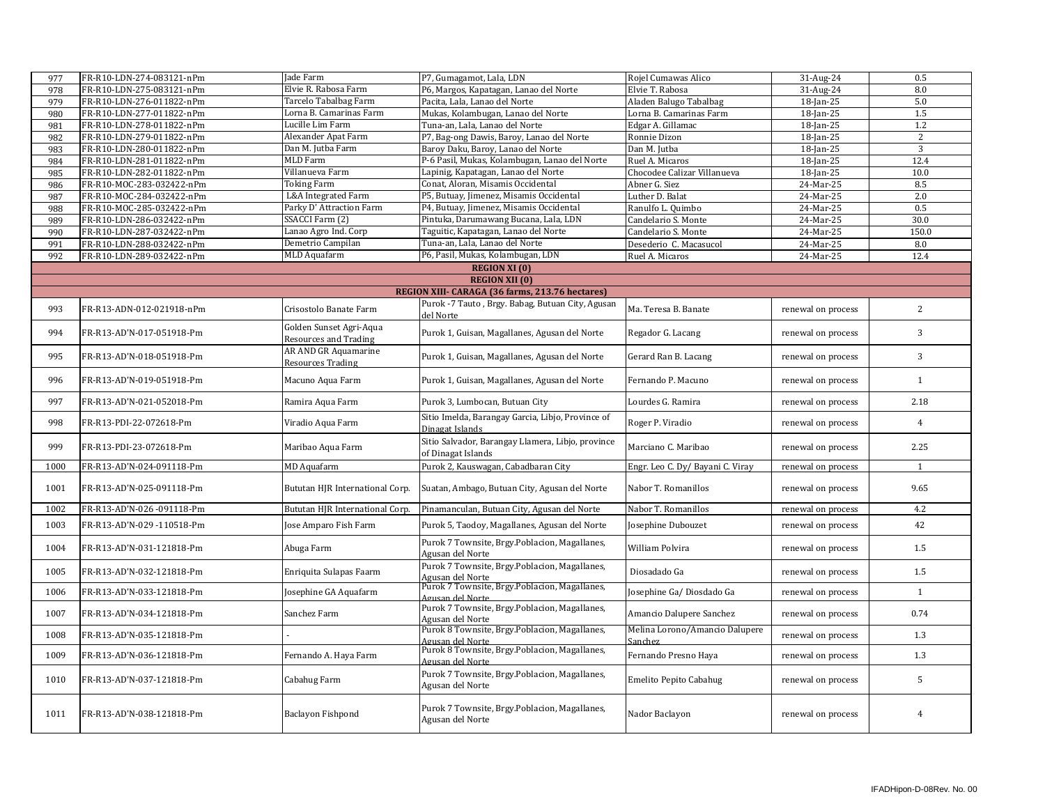|      |                           | <b>Jade Farm</b>                                 |                                                                                       |                                           |                    |                |
|------|---------------------------|--------------------------------------------------|---------------------------------------------------------------------------------------|-------------------------------------------|--------------------|----------------|
| 977  | FR-R10-LDN-274-083121-nPm | Elvie R. Rabosa Farm                             | P7, Gumagamot, Lala, LDN                                                              | Rojel Cumawas Alico                       | 31-Aug-24          | 0.5            |
| 978  | FR-R10-LDN-275-083121-nPm |                                                  | P6, Margos, Kapatagan, Lanao del Norte                                                | Elvie T. Rabosa                           | 31-Aug-24          | 8.0            |
| 979  | FR-R10-LDN-276-011822-nPm | Tarcelo Tabalbag Farm                            | Pacita, Lala, Lanao del Norte                                                         | Aladen Balugo Tabalbag                    | 18-Jan-25          | 5.0            |
| 980  | FR-R10-LDN-277-011822-nPm | Lorna B. Camarinas Farm                          | Mukas, Kolambugan, Lanao del Norte                                                    | Lorna B. Camarinas Farm                   | 18-Jan-25          | 1.5            |
| 981  | FR-R10-LDN-278-011822-nPm | Lucille Lim Farm                                 | Tuna-an, Lala, Lanao del Norte                                                        | Edgar A. Gillamac                         | 18-Jan-25          | 1.2            |
| 982  | FR-R10-LDN-279-011822-nPm | Alexander Apat Farm                              | P7, Bag-ong Dawis, Baroy, Lanao del Norte                                             | Ronnie Dizon                              | 18-Jan-25          | $\overline{2}$ |
| 983  | FR-R10-LDN-280-011822-nPm | Dan M. Jutba Farm                                | Baroy Daku, Baroy, Lanao del Norte                                                    | Dan M. Jutba                              | 18-Jan-25          | 3              |
| 984  | FR-R10-LDN-281-011822-nPm | <b>MLD</b> Farm                                  | P-6 Pasil, Mukas, Kolambugan, Lanao del Norte                                         | Ruel A. Micaros                           | 18-Jan-25          | 12.4           |
| 985  | FR-R10-LDN-282-011822-nPm | Villanueva Farm                                  | Lapinig, Kapatagan, Lanao del Norte                                                   | Chocodee Calizar Villanueva               | 18-Jan-25          | 10.0           |
| 986  | FR-R10-MOC-283-032422-nPm | Toking Farm                                      | Conat, Aloran, Misamis Occidental                                                     | Abner G. Siez                             | 24-Mar-25          | 8.5            |
| 987  | FR-R10-MOC-284-032422-nPm | L&A Integrated Farm                              | P5, Butuay, Jimenez, Misamis Occidental                                               | Luther D. Balat                           | 24-Mar-25          | 2.0            |
| 988  | FR-R10-MOC-285-032422-nPm | Parky D' Attraction Farm                         | P4, Butuay, Jimenez, Misamis Occidental                                               | Ranulfo L. Quimbo                         | 24-Mar-25          | 0.5            |
| 989  | FR-R10-LDN-286-032422-nPm | SSACCI Farm (2)                                  | Pintuka, Darumawang Bucana, Lala, LDN                                                 | Candelario S. Monte                       | 24-Mar-25          | 30.0           |
| 990  | FR-R10-LDN-287-032422-nPm | Lanao Agro Ind. Corp                             | Taguitic, Kapatagan, Lanao del Norte                                                  | Candelario S. Monte                       | 24-Mar-25          | 150.0          |
| 991  | FR-R10-LDN-288-032422-nPm | Demetrio Campilan                                | Tuna-an, Lala, Lanao del Norte                                                        | Desederio C. Macasucol                    | 24-Mar-25          | 8.0            |
| 992  | FR-R10-LDN-289-032422-nPm | <b>MLD</b> Aquafarm                              | P6, Pasil, Mukas, Kolambugan, LDN                                                     | Ruel A. Micaros                           | 24-Mar-25          | 12.4           |
|      |                           |                                                  | <b>REGION XI</b> (0)                                                                  |                                           |                    |                |
|      |                           |                                                  | <b>REGION XII (0)</b>                                                                 |                                           |                    |                |
|      |                           |                                                  | REGION XIII- CARAGA (36 farms, 213.76 hectares)                                       |                                           |                    |                |
|      |                           |                                                  | Purok -7 Tauto, Brgy. Babag, Butuan City, Agusan                                      |                                           |                    |                |
| 993  | FR-R13-ADN-012-021918-nPm | Crisostolo Banate Farm                           | del Norte                                                                             | Ma. Teresa B. Banate                      | renewal on process | 2              |
| 994  | FR-R13-AD'N-017-051918-Pm | Golden Sunset Agri-Aqua<br>Resources and Trading | Purok 1, Guisan, Magallanes, Agusan del Norte                                         | Regador G. Lacang                         | renewal on process | 3              |
| 995  | FR-R13-AD'N-018-051918-Pm | AR AND GR Aquamarine<br><b>Resources Trading</b> | Purok 1, Guisan, Magallanes, Agusan del Norte                                         | Gerard Ran B. Lacang                      | renewal on process | 3              |
| 996  | FR-R13-AD'N-019-051918-Pm | Macuno Aqua Farm                                 | Purok 1, Guisan, Magallanes, Agusan del Norte                                         | Fernando P. Macuno                        | renewal on process | $\mathbf{1}$   |
| 997  | FR-R13-AD'N-021-052018-Pm | Ramira Aqua Farm                                 | Purok 3, Lumbocan, Butuan City                                                        | Lourdes G. Ramira                         | renewal on process | 2.18           |
| 998  | FR-R13-PDI-22-072618-Pm   | Viradio Aqua Farm                                | Sitio Imelda, Barangay Garcia, Libjo, Province of<br>Dinagat Islands                  | Roger P. Viradio                          | renewal on process | $\overline{4}$ |
| 999  | FR-R13-PDI-23-072618-Pm   | Maribao Aqua Farm                                | Sitio Salvador, Barangay Llamera, Libjo, province<br>of Dinagat Islands               | Marciano C. Maribao                       | renewal on process | 2.25           |
| 1000 | FR-R13-AD'N-024-091118-Pm | <b>MD</b> Aquafarm                               | Purok 2, Kauswagan, Cabadbaran City                                                   | Engr. Leo C. Dy/ Bayani C. Viray          | renewal on process | $\mathbf{1}$   |
| 1001 | FR-R13-AD'N-025-091118-Pm | Bututan HJR International Corp.                  | Suatan, Ambago, Butuan City, Agusan del Norte                                         | Nabor T. Romanillos                       | renewal on process | 9.65           |
| 1002 | FR-R13-AD'N-026-091118-Pm | Bututan HJR International Corp.                  | Pinamanculan, Butuan City, Agusan del Norte                                           | Nabor T. Romanillos                       | renewal on process | 4.2            |
| 1003 | FR-R13-AD'N-029-110518-Pm | Jose Amparo Fish Farm                            | Purok 5, Taodoy, Magallanes, Agusan del Norte                                         | Josephine Dubouzet                        | renewal on process | 42             |
| 1004 | FR-R13-AD'N-031-121818-Pm | Abuga Farm                                       | Purok 7 Townsite, Brgy.Poblacion, Magallanes,<br>Agusan del Norte                     | William Polvira                           | renewal on process | 1.5            |
| 1005 | FR-R13-AD'N-032-121818-Pm | Enriquita Sulapas Faarm                          | Purok 7 Townsite, Brgy.Poblacion, Magallanes,<br>Agusan del Norte                     | Diosadado Ga                              | renewal on process | 1.5            |
| 1006 | FR-R13-AD'N-033-121818-Pm | Josephine GA Aquafarm                            | Purok 7 Townsite, Brgy.Poblacion, Magallanes,<br>Agusan del Norte                     | Josephine Ga/ Diosdado Ga                 | renewal on process | $\mathbf{1}$   |
| 1007 | FR-R13-AD'N-034-121818-Pm | Sanchez Farm                                     | Purok 7 Townsite, Brgy Poblacion, Magallanes,<br>Agusan del Norte                     | Amancio Dalupere Sanchez                  | renewal on process | 0.74           |
| 1008 | FR-R13-AD'N-035-121818-Pm |                                                  | Purok 8 Townsite, Brgy.Poblacion, Magallanes,                                         | Melina Lorono/Amancio Dalupere<br>Sanchez | renewal on process | 1.3            |
| 1009 | FR-R13-AD'N-036-121818-Pm | Fernando A. Haya Farm                            | Agusan del Norte<br>Purok 8 Townsite, Brgy.Poblacion, Magallanes,<br>Agusan del Norte | Fernando Presno Haya                      | renewal on process | 1.3            |
| 1010 | FR-R13-AD'N-037-121818-Pm | Cabahug Farm                                     | Purok 7 Townsite, Brgy.Poblacion, Magallanes,<br>Agusan del Norte                     | Emelito Pepito Cabahug                    | renewal on process | 5              |
| 1011 | FR-R13-AD'N-038-121818-Pm | <b>Baclayon Fishpond</b>                         | Purok 7 Townsite, Brgy Poblacion, Magallanes,<br>Agusan del Norte                     | Nador Baclayon                            | renewal on process | $\overline{4}$ |